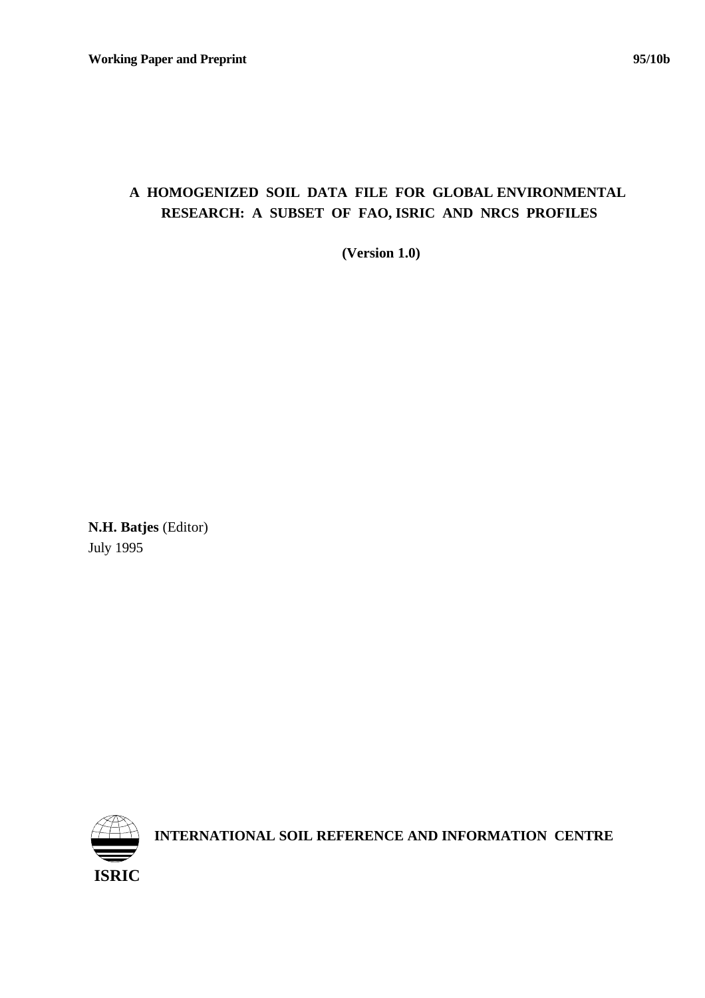# **A HOMOGENIZED SOIL DATA FILE FOR GLOBAL ENVIRONMENTAL RESEARCH: A SUBSET OF FAO, ISRIC AND NRCS PROFILES**

 **(Version 1.0)**

**N.H. Batjes** (Editor) July 1995



**INTERNATIONAL SOIL REFERENCE AND INFORMATION CENTRE**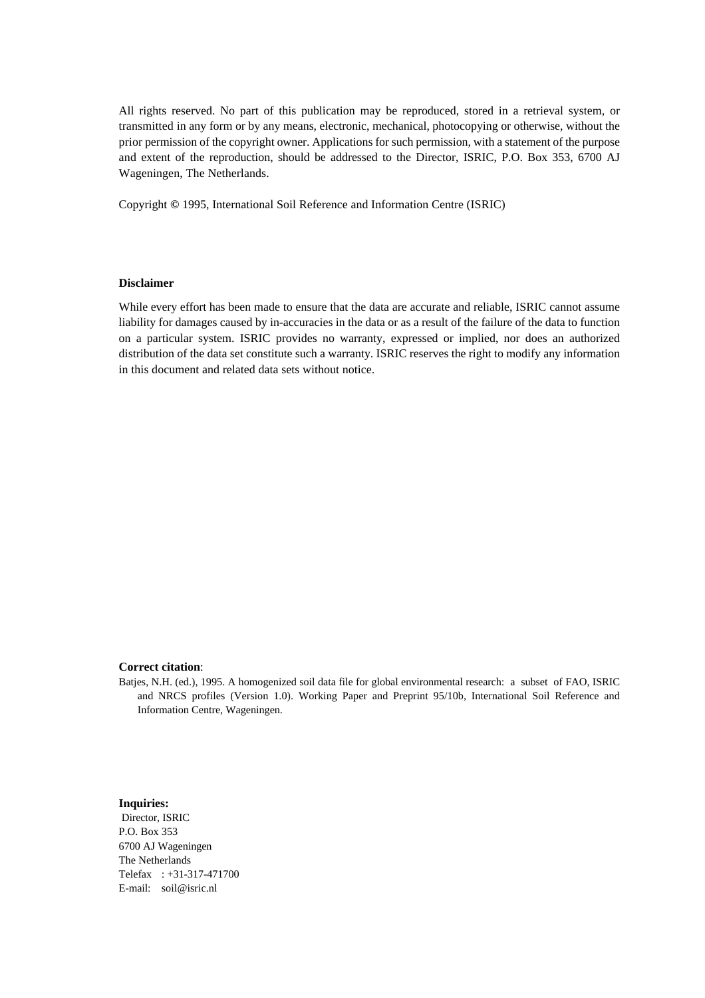All rights reserved. No part of this publication may be reproduced, stored in a retrieval system, or transmitted in any form or by any means, electronic, mechanical, photocopying or otherwise, without the prior permission of the copyright owner. Applications for such permission, with a statement of the purpose and extent of the reproduction, should be addressed to the Director, ISRIC, P.O. Box 353, 6700 AJ Wageningen, The Netherlands.

Copyright **©** 1995, International Soil Reference and Information Centre (ISRIC)

### **Disclaimer**

While every effort has been made to ensure that the data are accurate and reliable, ISRIC cannot assume liability for damages caused by in-accuracies in the data or as a result of the failure of the data to function on a particular system. ISRIC provides no warranty, expressed or implied, nor does an authorized distribution of the data set constitute such a warranty. ISRIC reserves the right to modify any information in this document and related data sets without notice.

#### **Correct citation**:

Batjes, N.H. (ed.), 1995. A homogenized soil data file for global environmental research: a subset of FAO, ISRIC and NRCS profiles (Version 1.0). Working Paper and Preprint 95/10b, International Soil Reference and Information Centre, Wageningen.

## **Inquiries:**

 Director, ISRIC P.O. Box 353 6700 AJ Wageningen The Netherlands Telefax : +31-317-471700 E-mail: soil@isric.nl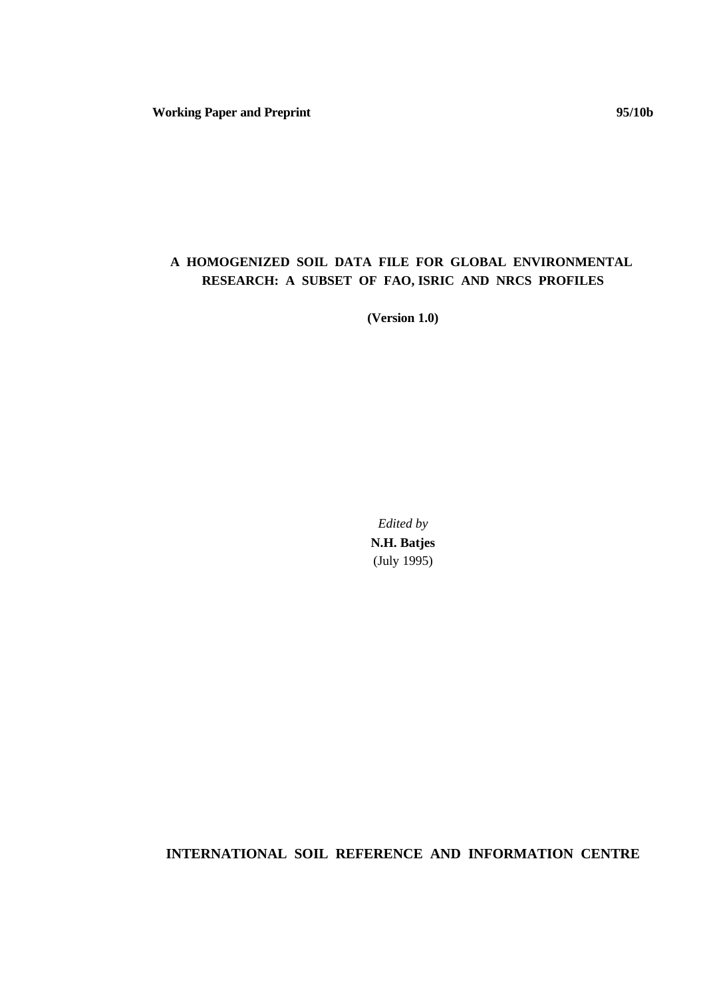**Working Paper and Preprint 95/10b**

## **A HOMOGENIZED SOIL DATA FILE FOR GLOBAL ENVIRONMENTAL RESEARCH: A SUBSET OF FAO, ISRIC AND NRCS PROFILES**

**(Version 1.0)**

*Edited by* **N.H. Batjes** (July 1995)

**INTERNATIONAL SOIL REFERENCE AND INFORMATION CENTRE**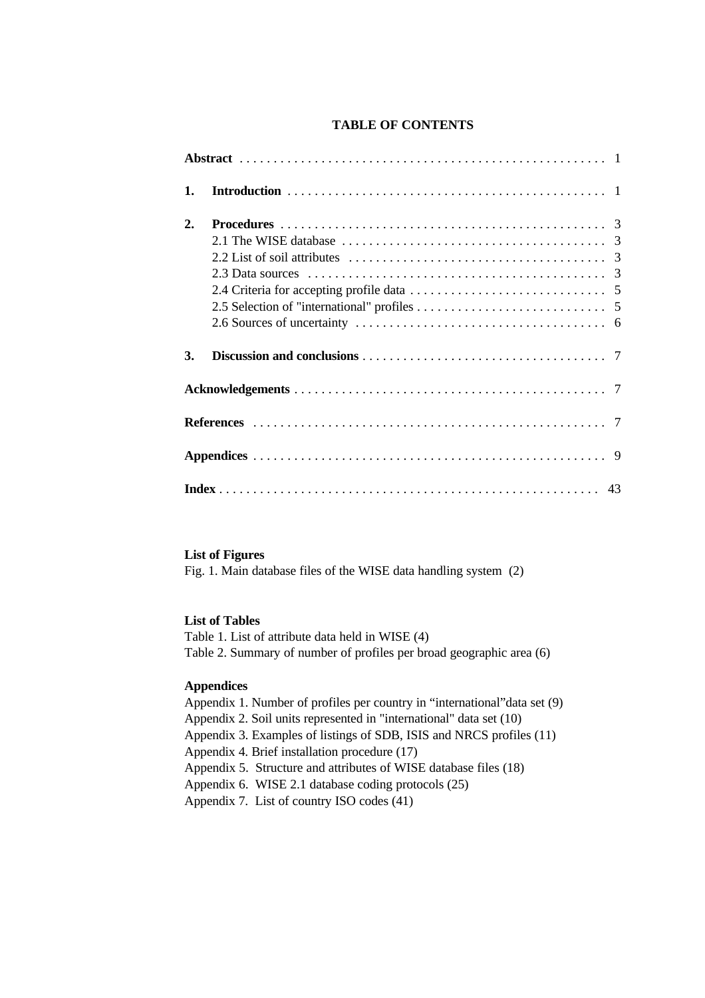## **TABLE OF CONTENTS**

| 1. |  |
|----|--|
| 2. |  |
|    |  |
|    |  |
|    |  |
|    |  |
|    |  |
|    |  |
| 3. |  |
|    |  |
|    |  |
|    |  |
|    |  |

## **List of Figures**

Fig. 1. Main database files of the WISE data handling system (2)

## **List of Tables**

Table 1. List of attribute data held in WISE (4) Table 2. Summary of number of profiles per broad geographic area (6)

## **Appendices**

Appendix 1. Number of profiles per country in "international"data set (9) Appendix 2. Soil units represented in "international" data set (10) Appendix 3. Examples of listings of SDB, ISIS and NRCS profiles (11) Appendix 4. Brief installation procedure (17) Appendix 5. Structure and attributes of WISE database files (18) Appendix 6. WISE 2.1 database coding protocols (25) Appendix 7. List of country ISO codes (41)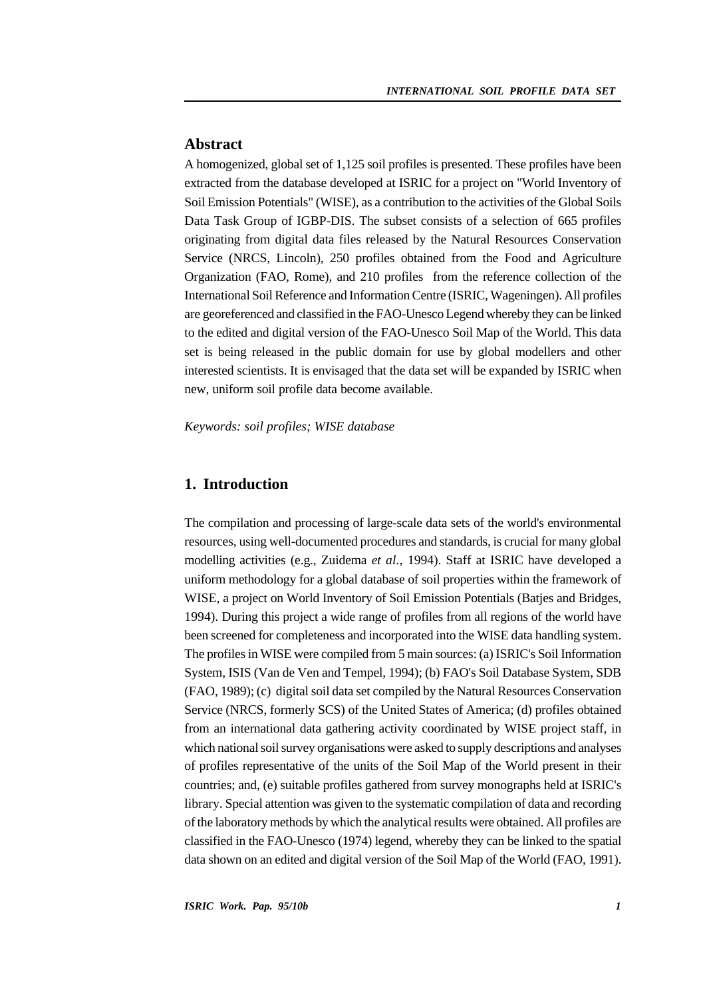## **Abstract**

A homogenized, global set of 1,125 soil profiles is presented. These profiles have been extracted from the database developed at ISRIC for a project on "World Inventory of Soil Emission Potentials" (WISE), as a contribution to the activities of the Global Soils Data Task Group of IGBP-DIS. The subset consists of a selection of 665 profiles originating from digital data files released by the Natural Resources Conservation Service (NRCS, Lincoln), 250 profiles obtained from the Food and Agriculture Organization (FAO, Rome), and 210 profiles from the reference collection of the International Soil Reference and Information Centre (ISRIC, Wageningen). All profiles are georeferenced and classified in the FAO-Unesco Legend whereby they can be linked to the edited and digital version of the FAO-Unesco Soil Map of the World. This data set is being released in the public domain for use by global modellers and other interested scientists. It is envisaged that the data set will be expanded by ISRIC when new, uniform soil profile data become available.

*Keywords: soil profiles; WISE database* 

## **1. Introduction**

The compilation and processing of large-scale data sets of the world's environmental resources, using well-documented procedures and standards, is crucial for many global modelling activities (e.g., Zuidema *et al.*, 1994). Staff at ISRIC have developed a uniform methodology for a global database of soil properties within the framework of WISE, a project on World Inventory of Soil Emission Potentials (Batjes and Bridges, 1994). During this project a wide range of profiles from all regions of the world have been screened for completeness and incorporated into the WISE data handling system. The profiles in WISE were compiled from 5 main sources: (a) ISRIC's Soil Information System, ISIS (Van de Ven and Tempel, 1994); (b) FAO's Soil Database System, SDB (FAO, 1989); (c) digital soil data set compiled by the Natural Resources Conservation Service (NRCS, formerly SCS) of the United States of America; (d) profiles obtained from an international data gathering activity coordinated by WISE project staff, in which national soil survey organisations were asked to supply descriptions and analyses of profiles representative of the units of the Soil Map of the World present in their countries; and, (e) suitable profiles gathered from survey monographs held at ISRIC's library. Special attention was given to the systematic compilation of data and recording of the laboratory methods by which the analytical results were obtained. All profiles are classified in the FAO-Unesco (1974) legend, whereby they can be linked to the spatial data shown on an edited and digital version of the Soil Map of the World (FAO, 1991).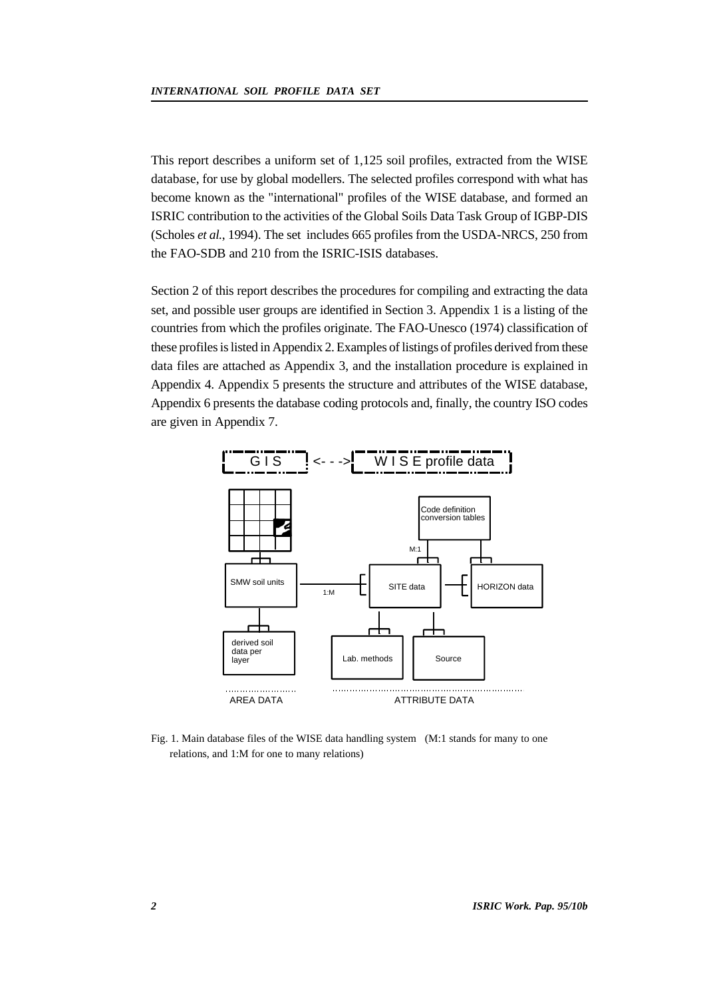This report describes a uniform set of 1,125 soil profiles, extracted from the WISE database, for use by global modellers. The selected profiles correspond with what has become known as the "international" profiles of the WISE database, and formed an ISRIC contribution to the activities of the Global Soils Data Task Group of IGBP-DIS (Scholes *et al.*, 1994). The set includes 665 profiles from the USDA-NRCS, 250 from the FAO-SDB and 210 from the ISRIC-ISIS databases.

Section 2 of this report describes the procedures for compiling and extracting the data set, and possible user groups are identified in Section 3. Appendix 1 is a listing of the countries from which the profiles originate. The FAO-Unesco (1974) classification of these profiles is listed in Appendix 2. Examples of listings of profiles derived from these data files are attached as Appendix 3, and the installation procedure is explained in Appendix 4. Appendix 5 presents the structure and attributes of the WISE database, Appendix 6 presents the database coding protocols and, finally, the country ISO codes are given in Appendix 7.



Fig. 1. Main database files of the WISE data handling system (M:1 stands for many to one relations, and 1:M for one to many relations)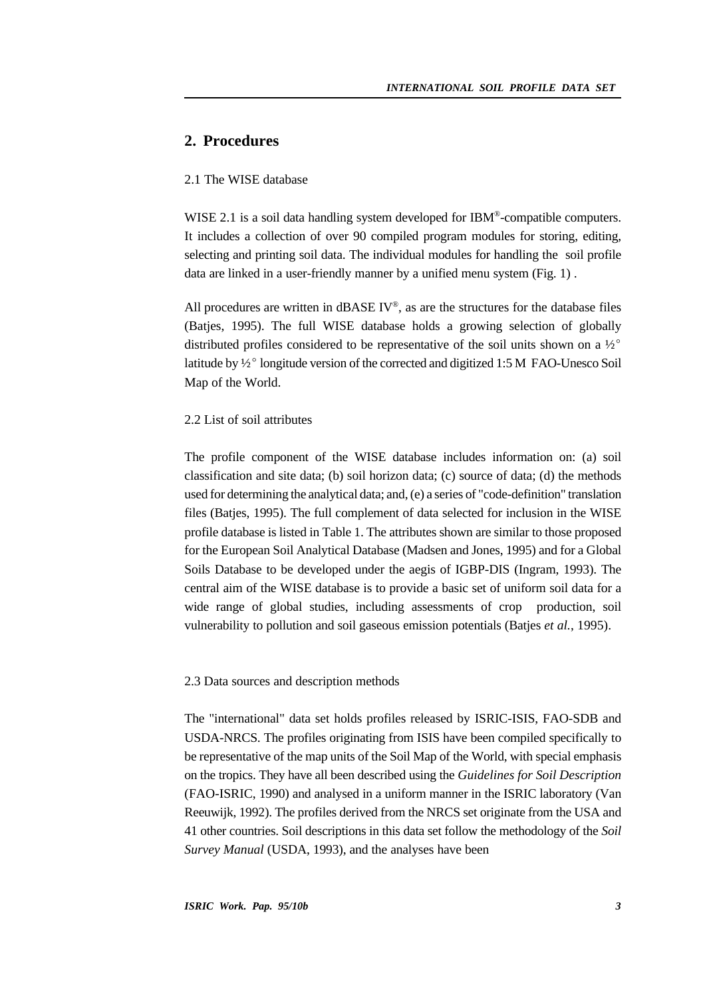## **2. Procedures**

## 2.1 The WISE database

WISE 2.1 is a soil data handling system developed for IBM®-compatible computers. It includes a collection of over 90 compiled program modules for storing, editing, selecting and printing soil data. The individual modules for handling the soil profile data are linked in a user-friendly manner by a unified menu system (Fig. 1) .

All procedures are written in dBASE  $IV^{\circ}$ , as are the structures for the database files (Batjes, 1995). The full WISE database holds a growing selection of globally distributed profiles considered to be representative of the soil units shown on a  $\frac{1}{2}^{\circ}$ latitude by  $\frac{1}{2}^{\circ}$  longitude version of the corrected and digitized 1:5 M FAO-Unesco Soil Map of the World.

## 2.2 List of soil attributes

The profile component of the WISE database includes information on: (a) soil classification and site data; (b) soil horizon data; (c) source of data; (d) the methods used for determining the analytical data; and, (e) a series of "code-definition" translation files (Baties, 1995). The full complement of data selected for inclusion in the WISE profile database is listed in Table 1. The attributes shown are similar to those proposed for the European Soil Analytical Database (Madsen and Jones, 1995) and for a Global Soils Database to be developed under the aegis of IGBP-DIS (Ingram, 1993). The central aim of the WISE database is to provide a basic set of uniform soil data for a wide range of global studies, including assessments of crop production, soil vulnerability to pollution and soil gaseous emission potentials (Batjes *et al.*, 1995).

## 2.3 Data sources and description methods

The "international" data set holds profiles released by ISRIC-ISIS, FAO-SDB and USDA-NRCS. The profiles originating from ISIS have been compiled specifically to be representative of the map units of the Soil Map of the World, with special emphasis on the tropics. They have all been described using the *Guidelines for Soil Description* (FAO-ISRIC, 1990) and analysed in a uniform manner in the ISRIC laboratory (Van Reeuwijk, 1992). The profiles derived from the NRCS set originate from the USA and 41 other countries. Soil descriptions in this data set follow the methodology of the *Soil Survey Manual* (USDA, 1993), and the analyses have been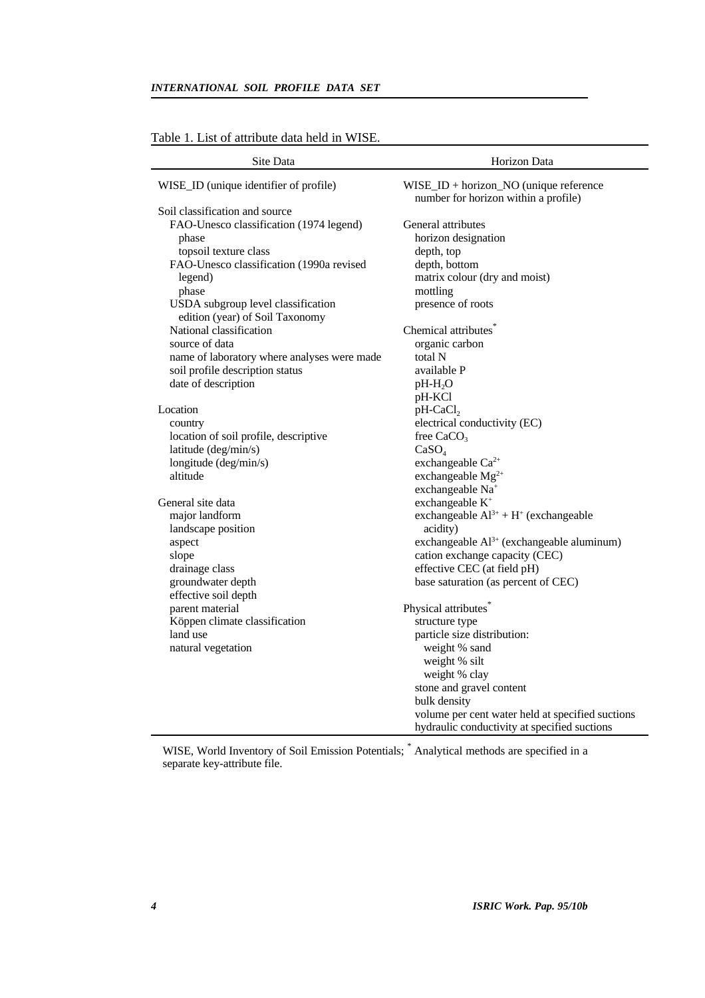## *INTERNATIONAL SOIL PROFILE DATA SET*

| Site Data                                   | Horizon Data                                                                      |
|---------------------------------------------|-----------------------------------------------------------------------------------|
| WISE_ID (unique identifier of profile)      | $WISE\_ID + horizon_NO$ (unique reference<br>number for horizon within a profile) |
| Soil classification and source              |                                                                                   |
| FAO-Unesco classification (1974 legend)     | General attributes                                                                |
| phase                                       | horizon designation                                                               |
| topsoil texture class                       | depth, top                                                                        |
| FAO-Unesco classification (1990a revised    | depth, bottom                                                                     |
| legend)                                     | matrix colour (dry and moist)                                                     |
| phase                                       | mottling                                                                          |
| USDA subgroup level classification          | presence of roots                                                                 |
| edition (year) of Soil Taxonomy             |                                                                                   |
| National classification                     | Chemical attributes <sup>®</sup>                                                  |
| source of data                              | organic carbon                                                                    |
| name of laboratory where analyses were made | total N                                                                           |
| soil profile description status             | available P                                                                       |
| date of description                         | $pH-H_2O$                                                                         |
|                                             | pH-KCl                                                                            |
| Location                                    | $pH-CaCl2$                                                                        |
| country                                     | electrical conductivity (EC)                                                      |
| location of soil profile, descriptive       | free $CaCO3$                                                                      |
| latitude (deg/min/s)                        | CaSO <sub>4</sub>                                                                 |
| longitude (deg/min/s)                       | exchangeable Ca <sup>2+</sup>                                                     |
| altitude                                    | exchangeable Mg <sup>2+</sup>                                                     |
|                                             | exchangeable Na <sup>+</sup>                                                      |
| General site data                           | exchangeable K <sup>+</sup>                                                       |
| major landform                              | exchangeable $Al^{3+} + H^+$ (exchangeable                                        |
| landscape position                          | acidity)                                                                          |
| aspect                                      | exchangeable Al <sup>3+</sup> (exchangeable aluminum)                             |
| slope                                       | cation exchange capacity (CEC)                                                    |
| drainage class                              | effective CEC (at field pH)                                                       |
| groundwater depth                           | base saturation (as percent of CEC)                                               |
| effective soil depth                        |                                                                                   |
| parent material                             | Physical attributes <sup>*</sup>                                                  |
| Köppen climate classification               | structure type                                                                    |
| land use                                    | particle size distribution:                                                       |
| natural vegetation                          | weight % sand                                                                     |
|                                             | weight % silt                                                                     |
|                                             | weight % clay                                                                     |
|                                             | stone and gravel content                                                          |
|                                             | bulk density                                                                      |
|                                             | volume per cent water held at specified suctions                                  |
|                                             | hydraulic conductivity at specified suctions                                      |

## Table 1. List of attribute data held in WISE.

WISE, World Inventory of Soil Emission Potentials; \* Analytical methods are specified in a separate key-attribute file.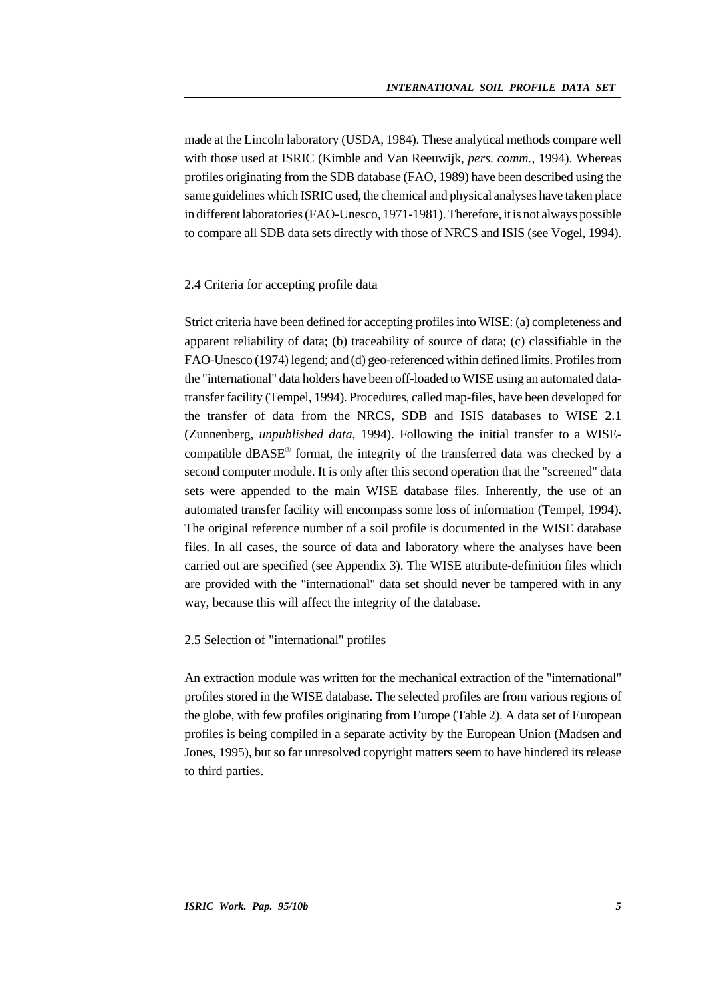made at the Lincoln laboratory (USDA, 1984). These analytical methods compare well with those used at ISRIC (Kimble and Van Reeuwijk, *pers. comm.*, 1994). Whereas profiles originating from the SDB database (FAO, 1989) have been described using the same guidelines which ISRIC used, the chemical and physical analyses have taken place in different laboratories (FAO-Unesco, 1971-1981). Therefore, it is not always possible to compare all SDB data sets directly with those of NRCS and ISIS (see Vogel, 1994).

## 2.4 Criteria for accepting profile data

Strict criteria have been defined for accepting profiles into WISE: (a) completeness and apparent reliability of data; (b) traceability of source of data; (c) classifiable in the FAO-Unesco (1974) legend; and (d) geo-referenced within defined limits. Profiles from the "international" data holders have been off-loaded to WISE using an automated datatransfer facility (Tempel, 1994). Procedures, called map-files, have been developed for the transfer of data from the NRCS, SDB and ISIS databases to WISE 2.1 (Zunnenberg, *unpublished data*, 1994). Following the initial transfer to a WISEcompatible dBASE® format, the integrity of the transferred data was checked by a second computer module. It is only after this second operation that the "screened" data sets were appended to the main WISE database files. Inherently, the use of an automated transfer facility will encompass some loss of information (Tempel, 1994). The original reference number of a soil profile is documented in the WISE database files. In all cases, the source of data and laboratory where the analyses have been carried out are specified (see Appendix 3). The WISE attribute-definition files which are provided with the "international" data set should never be tampered with in any way, because this will affect the integrity of the database.

### 2.5 Selection of "international" profiles

An extraction module was written for the mechanical extraction of the "international" profiles stored in the WISE database. The selected profiles are from various regions of the globe, with few profiles originating from Europe (Table 2). A data set of European profiles is being compiled in a separate activity by the European Union (Madsen and Jones, 1995), but so far unresolved copyright matters seem to have hindered its release to third parties.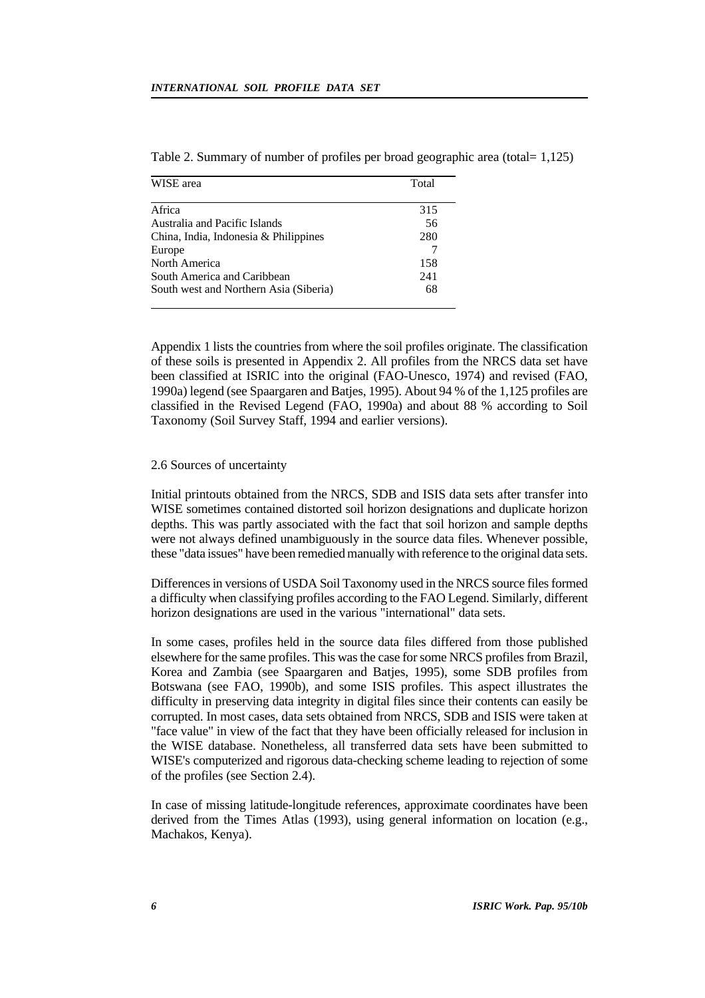| WISE area                              | Total |
|----------------------------------------|-------|
| Africa                                 | 315   |
| Australia and Pacific Islands          | 56    |
| China, India, Indonesia & Philippines  | 280   |
| Europe                                 |       |
| North America                          | 158   |
| South America and Caribbean            | 241   |
| South west and Northern Asia (Siberia) | 68    |

Table 2. Summary of number of profiles per broad geographic area (total= 1,125)

Appendix 1 lists the countries from where the soil profiles originate. The classification of these soils is presented in Appendix 2. All profiles from the NRCS data set have been classified at ISRIC into the original (FAO-Unesco, 1974) and revised (FAO, 1990a) legend (see Spaargaren and Batjes, 1995). About 94 % of the 1,125 profiles are classified in the Revised Legend (FAO, 1990a) and about 88 % according to Soil Taxonomy (Soil Survey Staff, 1994 and earlier versions).

#### 2.6 Sources of uncertainty

 $\overline{a}$ 

Initial printouts obtained from the NRCS, SDB and ISIS data sets after transfer into WISE sometimes contained distorted soil horizon designations and duplicate horizon depths. This was partly associated with the fact that soil horizon and sample depths were not always defined unambiguously in the source data files. Whenever possible, these "data issues" have been remedied manually with reference to the original data sets.

Differences in versions of USDA Soil Taxonomy used in the NRCS source files formed a difficulty when classifying profiles according to the FAO Legend. Similarly, different horizon designations are used in the various "international" data sets.

In some cases, profiles held in the source data files differed from those published elsewhere for the same profiles. This was the case for some NRCS profiles from Brazil, Korea and Zambia (see Spaargaren and Batjes, 1995), some SDB profiles from Botswana (see FAO, 1990b), and some ISIS profiles. This aspect illustrates the difficulty in preserving data integrity in digital files since their contents can easily be corrupted. In most cases, data sets obtained from NRCS, SDB and ISIS were taken at "face value" in view of the fact that they have been officially released for inclusion in the WISE database. Nonetheless, all transferred data sets have been submitted to WISE's computerized and rigorous data-checking scheme leading to rejection of some of the profiles (see Section 2.4).

In case of missing latitude-longitude references, approximate coordinates have been derived from the Times Atlas (1993), using general information on location (e.g., Machakos, Kenya).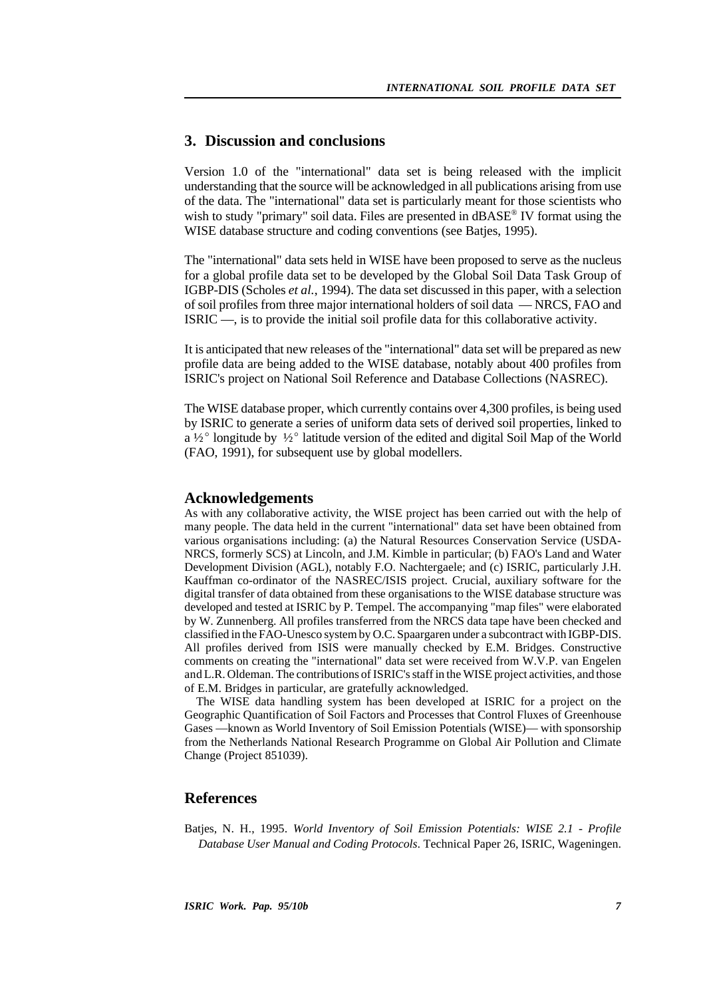## **3. Discussion and conclusions**

Version 1.0 of the "international" data set is being released with the implicit understanding that the source will be acknowledged in all publications arising from use of the data. The "international" data set is particularly meant for those scientists who wish to study "primary" soil data. Files are presented in dBASE® IV format using the WISE database structure and coding conventions (see Batjes, 1995).

The "international" data sets held in WISE have been proposed to serve as the nucleus for a global profile data set to be developed by the Global Soil Data Task Group of IGBP-DIS (Scholes *et al.*, 1994). The data set discussed in this paper, with a selection of soil profiles from three major international holders of soil data — NRCS, FAO and ISRIC —, is to provide the initial soil profile data for this collaborative activity.

It is anticipated that new releases of the "international" data set will be prepared as new profile data are being added to the WISE database, notably about 400 profiles from ISRIC's project on National Soil Reference and Database Collections (NASREC).

The WISE database proper, which currently contains over 4,300 profiles, is being used by ISRIC to generate a series of uniform data sets of derived soil properties, linked to a  $\frac{1}{2}^{\circ}$  longitude by  $\frac{1}{2}^{\circ}$  latitude version of the edited and digital Soil Map of the World (FAO, 1991), for subsequent use by global modellers.

## **Acknowledgements**

As with any collaborative activity, the WISE project has been carried out with the help of many people. The data held in the current "international" data set have been obtained from various organisations including: (a) the Natural Resources Conservation Service (USDA-NRCS, formerly SCS) at Lincoln, and J.M. Kimble in particular; (b) FAO's Land and Water Development Division (AGL), notably F.O. Nachtergaele; and (c) ISRIC, particularly J.H. Kauffman co-ordinator of the NASREC/ISIS project. Crucial, auxiliary software for the digital transfer of data obtained from these organisations to the WISE database structure was developed and tested at ISRIC by P. Tempel. The accompanying "map files" were elaborated by W. Zunnenberg. All profiles transferred from the NRCS data tape have been checked and classified in the FAO-Unesco system by O.C. Spaargaren under a subcontract with IGBP-DIS. All profiles derived from ISIS were manually checked by E.M. Bridges. Constructive comments on creating the "international" data set were received from W.V.P. van Engelen and L.R. Oldeman. The contributions of ISRIC's staff in the WISE project activities, and those of E.M. Bridges in particular, are gratefully acknowledged.

The WISE data handling system has been developed at ISRIC for a project on the Geographic Quantification of Soil Factors and Processes that Control Fluxes of Greenhouse Gases —known as World Inventory of Soil Emission Potentials (WISE)— with sponsorship from the Netherlands National Research Programme on Global Air Pollution and Climate Change (Project 851039).

## **References**

Batjes, N. H., 1995. *World Inventory of Soil Emission Potentials: WISE 2.1 - Profile Database User Manual and Coding Protocols*. Technical Paper 26, ISRIC, Wageningen.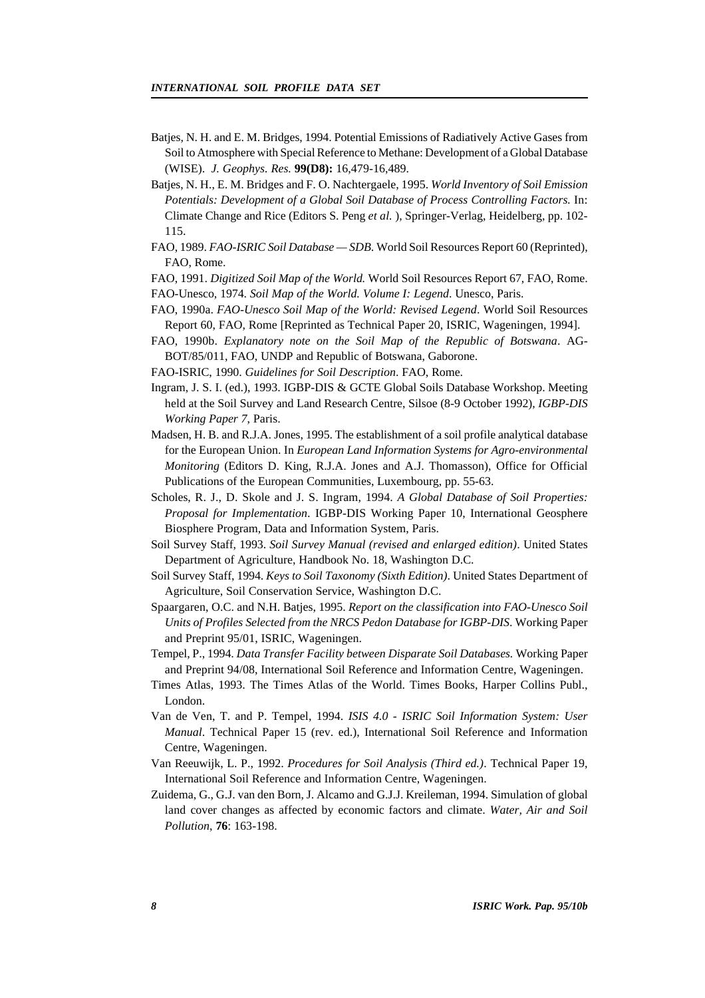- Batjes, N. H. and E. M. Bridges, 1994. Potential Emissions of Radiatively Active Gases from Soil to Atmosphere with Special Reference to Methane: Development of a Global Database (WISE). *J. Geophys. Res.* **99(D8):** 16,479-16,489.
- Batjes, N. H., E. M. Bridges and F. O. Nachtergaele, 1995. *World Inventory of Soil Emission Potentials: Development of a Global Soil Database of Process Controlling Factors.* In: Climate Change and Rice (Editors S. Peng *et al.* ), Springer-Verlag, Heidelberg, pp. 102- 115.
- FAO, 1989. *FAO-ISRIC Soil Database SDB*. World Soil Resources Report 60 (Reprinted), FAO, Rome.
- FAO, 1991. *Digitized Soil Map of the World.* World Soil Resources Report 67, FAO, Rome.
- FAO-Unesco, 1974. *Soil Map of the World. Volume I: Legend*. Unesco, Paris.
- FAO, 1990a. *FAO-Unesco Soil Map of the World: Revised Legend*. World Soil Resources Report 60, FAO, Rome [Reprinted as Technical Paper 20, ISRIC, Wageningen, 1994].
- FAO, 1990b. *Explanatory note on the Soil Map of the Republic of Botswana*. AG-BOT/85/011, FAO, UNDP and Republic of Botswana, Gaborone.
- FAO-ISRIC, 1990. *Guidelines for Soil Description*. FAO, Rome.
- Ingram, J. S. I. (ed.), 1993. IGBP-DIS & GCTE Global Soils Database Workshop. Meeting held at the Soil Survey and Land Research Centre, Silsoe (8-9 October 1992), *IGBP-DIS Working Paper 7*, Paris.
- Madsen, H. B. and R.J.A. Jones, 1995. The establishment of a soil profile analytical database for the European Union. In *European Land Information Systems for Agro-environmental Monitoring* (Editors D. King, R.J.A. Jones and A.J. Thomasson), Office for Official Publications of the European Communities, Luxembourg, pp. 55-63.
- Scholes, R. J., D. Skole and J. S. Ingram, 1994. *A Global Database of Soil Properties: Proposal for Implementation*. IGBP-DIS Working Paper 10, International Geosphere Biosphere Program, Data and Information System, Paris.
- Soil Survey Staff, 1993. *Soil Survey Manual (revised and enlarged edition)*. United States Department of Agriculture, Handbook No. 18, Washington D.C.
- Soil Survey Staff, 1994. *Keys to Soil Taxonomy (Sixth Edition)*. United States Department of Agriculture, Soil Conservation Service, Washington D.C.
- Spaargaren, O.C. and N.H. Batjes, 1995. *Report on the classification into FAO-Unesco Soil Units of Profiles Selected from the NRCS Pedon Database for IGBP-DIS*. Working Paper and Preprint 95/01, ISRIC, Wageningen.
- Tempel, P., 1994. *Data Transfer Facility between Disparate Soil Databases.* Working Paper and Preprint 94/08, International Soil Reference and Information Centre, Wageningen.
- Times Atlas, 1993. The Times Atlas of the World. Times Books, Harper Collins Publ., London.
- Van de Ven, T. and P. Tempel, 1994. *ISIS 4.0 ISRIC Soil Information System: User Manual*. Technical Paper 15 (rev. ed.), International Soil Reference and Information Centre, Wageningen.
- Van Reeuwijk, L. P., 1992. *Procedures for Soil Analysis (Third ed.)*. Technical Paper 19, International Soil Reference and Information Centre, Wageningen.
- Zuidema, G., G.J. van den Born, J. Alcamo and G.J.J. Kreileman, 1994. Simulation of global land cover changes as affected by economic factors and climate. *Water, Air and Soil Pollution*, **76**: 163-198.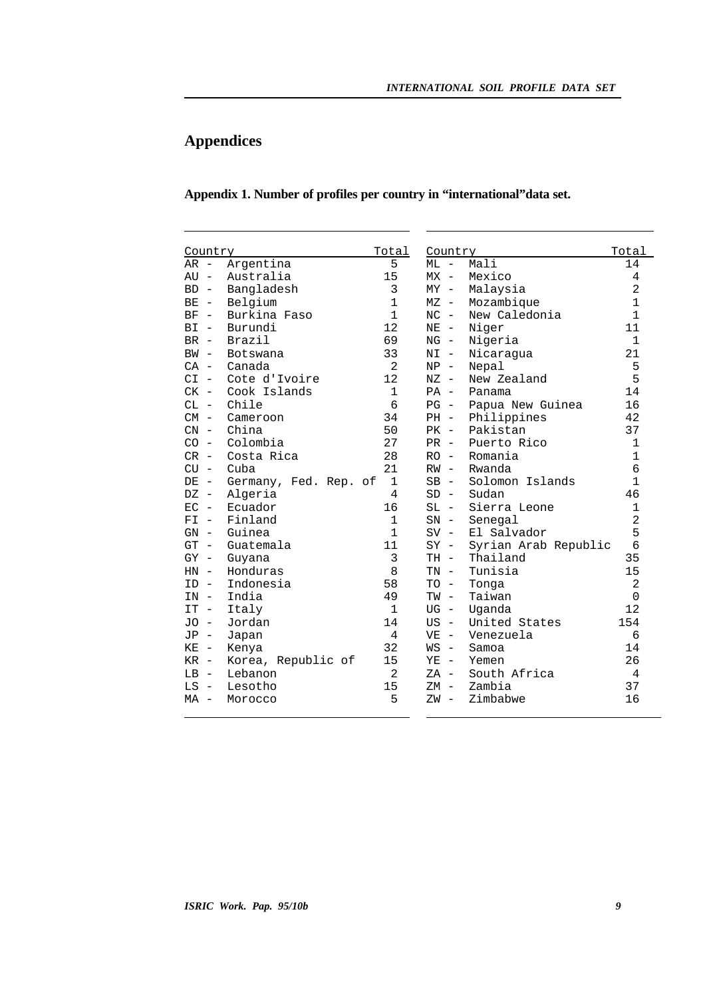# **Appendices**

ı

## **Appendix 1. Number of profiles per country in "international"data set.**

ı

| Country      |                       | Total          | Country |                      | Total          |
|--------------|-----------------------|----------------|---------|----------------------|----------------|
| $AR -$       | Argentina             | 5              | $ML -$  | Mali                 | 14             |
| $AUI -$      | Australia             | 15             | $MX -$  | Mexico               | 4              |
| $BD -$       | Bangladesh            | 3              | $MY -$  | Malaysia             | $\overline{2}$ |
| $BE -$       | Belgium               | $\mathbf{1}$   | $MZ -$  | Mozambique           | $\mathbf{1}$   |
| BF<br>$\sim$ | Burkina Faso          | $\mathbf{1}$   | $NC -$  | New Caledonia        | $\mathbf{1}$   |
| $BT -$       | Burundi               | 12             | $NE -$  | Niger                | 11             |
| $BR -$       | <b>Brazil</b>         | 69             | $NG -$  | Nigeria              | $\mathbf{1}$   |
| $BW -$       | Botswana              | 33             | $NI -$  | Nicaragua            | 21             |
| $CA -$       | Canada                | $\overline{2}$ | $NP -$  | Nepal                | 5              |
| $CI -$       | Cote d'Ivoire         | 12             | $NZ -$  | New Zealand          | 5              |
| $CK -$       | Cook Islands          | $\mathbf{1}$   | $PA -$  | Panama               | 14             |
| $CL -$       | Chile                 | 6              | $PG -$  | Papua New Guinea     | 16             |
| $CM -$       | Cameroon              | 34             | $PH -$  | Philippines          | 42             |
| $CN -$       | China                 | 50             | $PK -$  | Pakistan             | 37             |
| $CO -$       | Colombia              | 27             | $PR -$  | Puerto Rico          | $\mathbf{1}$   |
| $CR -$       | Costa Rica            | 28             | $RO -$  | Romania              | $\mathbf{1}$   |
| $CU -$       | Cuba                  | 21             | $RW -$  | Rwanda               | 6              |
| $DE -$       | Germany, Fed. Rep. of | $\mathbf{1}$   | $SB -$  | Solomon Islands      | $\mathbf{1}$   |
| $DZ -$       | Algeria               | 4              | $SD -$  | Sudan                | 46             |
| $EC -$       | Ecuador               | 16             | $SL -$  | Sierra Leone         | $\mathbf{1}$   |
| $FI -$       | Finland               | $\mathbf{1}$   | $SN -$  | Senegal              | $\overline{2}$ |
| $GN -$       | Guinea                | $\mathbf{1}$   | $SV -$  | El Salvador          | 5              |
| $GT -$       | Guatemala             | 11             | $SY -$  | Syrian Arab Republic | 6              |
| $GY -$       | Guyana                | 3              | $TH -$  | Thailand             | 35             |
| $HN -$       | Honduras              | 8              | $TN -$  | Tunisia              | 15             |
| $ID -$       | Indonesia             | 58             | $TO -$  | Tonga                | $\overline{2}$ |
| $IN -$       | India                 | 49             | $TW -$  | Taiwan               | $\Omega$       |
| $IT -$       | Italy                 | $\mathbf{1}$   | $UG -$  | Uganda               | 12             |
| JO -         | Jordan                | 14             | $US -$  | United States        | 154            |
| $JP -$       | Japan                 | $\overline{4}$ | $VE -$  | Venezuela            | 6              |
| $KE$ –       | Kenya                 | 32             | $WS -$  | Samoa                | 14             |
| $KR -$       | Korea, Republic of    | 15             | $YE -$  | Yemen                | 26             |
| $LB -$       | Lebanon               | $\overline{2}$ | $ZA -$  | South Africa         | 4              |
| $LS -$       | Lesotho               | 15             | $ZM -$  | Zambia               | 37             |
| $MA -$       | Morocco               | 5              | $ZW -$  | Zimbabwe             | 16             |
|              |                       |                |         |                      |                |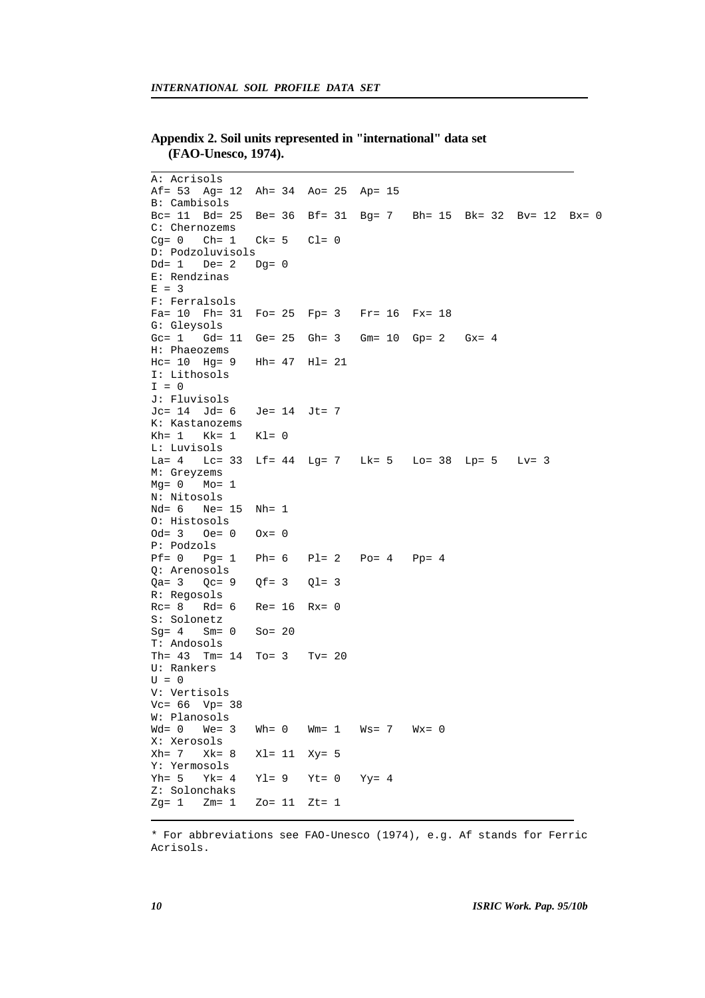## **Appendix 2. Soil units represented in "international" data set (FAO-Unesco, 1974).**

A: Acrisols Af= 53 Ag= 12 Ah= 34 Ao= 25 Ap= 15 B: Cambisols Bc= 11 Bd= 25 Be= 36 Bf= 31 Bg= 7 Bh= 15 Bk= 32 Bv= 12 Bx= 0 C: Chernozems<br>Cq= 0 Ch= 1  $Ck= 5$   $Cl= 0$ D: Podzoluvisols Dd= 1 De= 2 Dg= 0 E: Rendzinas  $E = 3$ F: Ferralsols Fa= 10 Fh= 31 Fo= 25 Fp= 3 Fr= 16 Fx= 18 G: Gleysols Gc= 1 Gd= 11 Ge= 25 Gh= 3 Gm= 10 Gp= 2 Gx= 4 H: Phaeozems Hc= 10 Hg= 9 Hh= 47 Hl= 21 I: Lithosols  $I = 0$ J: Fluvisols Jc= 14 Jd= 6 Je= 14 Jt= 7 K: Kastanozems  $Kh = 1$   $Kk = 1$   $Kl = 0$ L: Luvisols La= 4 Lc= 33 Lf= 44 Lg= 7 Lk= 5 Lo= 38 Lp= 5 Lv= 3 M: Greyzems  $Mg = 0$   $Mo = 1$ N: Nitosols Nd= 6 Ne= 15 Nh= 1 O: Histosols  $Od = 3$   $Oe = 0$   $Ox = 0$ P: Podzols Pf= 0 Pg= 1 Ph= 6 Pl= 2 Po= 4 Pp= 4 Q: Arenosols  $Qa = 3$   $Qc = 9$   $Qf = 3$   $Ql = 3$ R: Regosols<br>Rc= 8 Rd= 6  $Re= 16$   $Rx= 0$ S: Solonetz  $Sq = 4$  Sm= 0 So= 20 T: Andosols Th= 43 Tm= 14 To= 3 Tv= 20 U: Rankers  $U = 0$ V: Vertisols Vc= 66 Vp= 38 W: Planosols<br>Wd= 0 We= 3  $Wh= 0$  Wm= 1 Ws= 7 Wx= 0 X: Xerosols Xh= 7 Xk= 8 Xl= 11 Xy= 5 Y: Yermosols Yh= 5 Yk= 4 Yl= 9 Yt= 0 Yy= 4 Z: Solonchaks  $Zq = 1$   $Zm = 1$   $Zo = 11$   $Zt = 1$ 

\* For abbreviations see FAO-Unesco (1974), e.g. Af stands for Ferric Acrisols.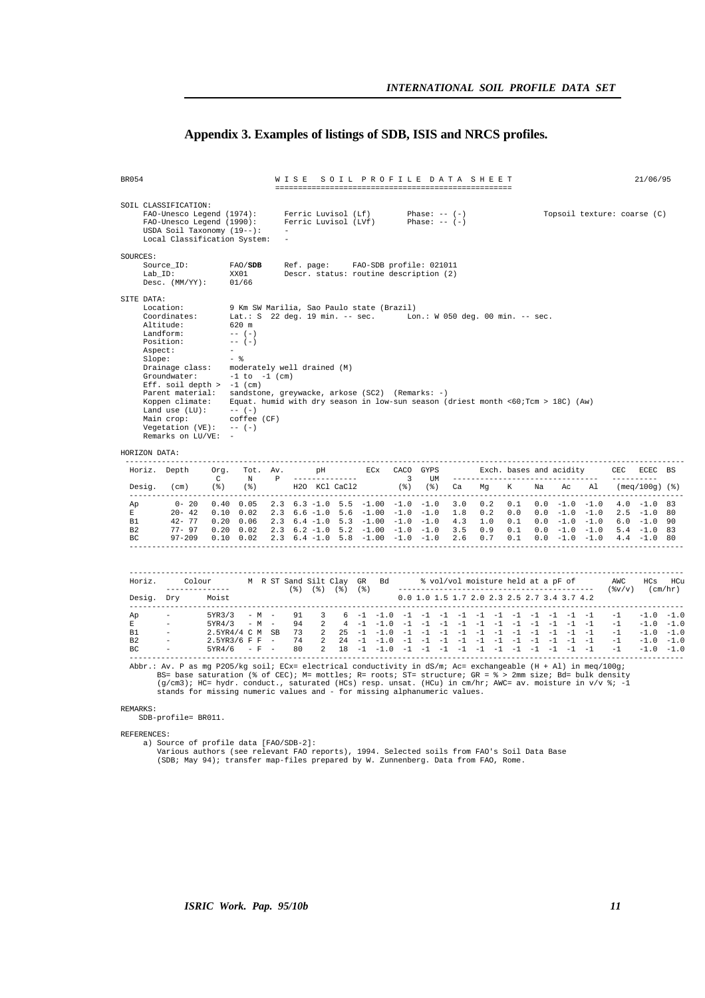## **Appendix 3. Examples of listings of SDB, ISIS and NRCS profiles.**

| <b>BR054</b>                               |                                                                                                                                                                                                                                                                                                                                                                                                                                                                                                                                                                                                                                |                                    |                                                                                             |  | WISE SOIL PROFILE DATA SHEET                                                 |  |                 |                |  |  |                                               |  |  |                             | 21/06/95 |  |
|--------------------------------------------|--------------------------------------------------------------------------------------------------------------------------------------------------------------------------------------------------------------------------------------------------------------------------------------------------------------------------------------------------------------------------------------------------------------------------------------------------------------------------------------------------------------------------------------------------------------------------------------------------------------------------------|------------------------------------|---------------------------------------------------------------------------------------------|--|------------------------------------------------------------------------------|--|-----------------|----------------|--|--|-----------------------------------------------|--|--|-----------------------------|----------|--|
|                                            | SOIL CLASSIFICATION:<br>FAO-Unesco Legend (1974):<br>FAO-Unesco Legend (1990):<br>USDA Soil Taxonomy $(19--):$<br>Local Classification System:                                                                                                                                                                                                                                                                                                                                                                                                                                                                                 |                                    |                                                                                             |  | Ferric Luvisol (Lf)<br>Ferric Luvisol (LVf)                                  |  | Phase: $-- (-)$ | Phase: $- (-)$ |  |  |                                               |  |  | Topsoil texture: coarse (C) |          |  |
| SOURCES:                                   | Source_ID:<br>Lab ID:<br>Desc. $(MM/YY):$ 01/66                                                                                                                                                                                                                                                                                                                                                                                                                                                                                                                                                                                |                                    | FAO/SDB<br>XX01                                                                             |  | Ref. page: FAO-SDB profile: 021011<br>Descr. status: routine description (2) |  |                 |                |  |  |                                               |  |  |                             |          |  |
| SITE DATA:<br>HORIZON DATA:                | Location:<br>Coordinates: Lat.: S 22 deg. 19 min. -- sec. Lon.: W 050 deg. 00 min. -- sec.<br>Altitude:<br>Landform:<br>Position:<br>Aspect:<br>Slope:<br>Drainage class: moderately well drained (M)<br>Groundwater: $-1$ to $-1$ (cm)<br>Eff. soil depth $> -1$ (cm)<br>Parent material: sandstone, greywacke, arkose (SC2) (Remarks: -)<br>Koppen climate: Equat. humid with dry season in low-sun season (driest month <60;Tcm > 18C) (Aw)<br>Land use $(LU):$ -- $(-)$<br>Main crop:<br>Vegetation $(VE):$ -- $(-)$<br>Remarks on LU/VE: -                                                                                | $\qquad \qquad -\quad \frac{9}{6}$ | 9 Km SW Marilia, Sao Paulo state (Brazil)<br>620 m<br>$--- (-)$<br>$--- (-)$<br>coffee (CF) |  |                                                                              |  |                 |                |  |  |                                               |  |  |                             |          |  |
|                                            | --------------<br>Horiz. Depth Org. Tot. Av. pH ECx CACO GYPS Exch. bases and acidity CEC ECEC BS                                                                                                                                                                                                                                                                                                                                                                                                                                                                                                                              |                                    |                                                                                             |  |                                                                              |  |                 |                |  |  |                                               |  |  |                             |          |  |
|                                            | Desig. (cm) (%) (%) H2O KCl CaCl2 (%) (%) Ca Mg K Na Ac Al (meq/100g)(%)                                                                                                                                                                                                                                                                                                                                                                                                                                                                                                                                                       |                                    |                                                                                             |  |                                                                              |  |                 |                |  |  |                                               |  |  |                             |          |  |
| Ap<br>$E$ and $E$<br>B1<br>B2<br><b>BC</b> | $0-20$ $0.40$ $0.05$ $2.3$ $6.3$ $-1.0$ $5.5$ $-1.00$ $-1.0$ $-1.0$ $3.0$ $0.2$ $0.1$ $0.0$ $-1.0$ $-1.0$ $4.0$ $-1.0$ $83$<br>$20-42$ 0.10 0.02 2.3 6.6 -1.0 5.6 -1.00 -1.0 -1.0 1.8 0.2 0.0 0.0 -1.0 -1.0 2.5 -1.0 80<br>$\begin{array}{cccccccccccccccc} 42-77 & 0.20 & 0.06 & 2.3 & 6.4 & -1.0 & 5.3 & -1.00 & -1.0 & -1.0 & 4.3 & 1.0 & 0.1 & 0.0 & -1.0 & -1.0 & 6.0 & -1.0 & 90 \\ 77-97 & 0.20 & 0.02 & 2.3 & 6.2 & -1.0 & 5.2 & -1.00 & -1.0 & -1.0 & 3.5 & 0.9 & 0.1 & 0.0 & -1.0 & -1.0 & 5.4 & -1.0 & 83 \end{array}$<br>$97-209$ 0.10 0.02 2.3 6.4 -1.0 5.8 -1.00 -1.0 -1.0 2.6 0.7 0.1 0.0 -1.0 -1.0 4.4 -1.0 80 |                                    |                                                                                             |  |                                                                              |  |                 |                |  |  |                                               |  |  |                             |          |  |
|                                            |                                                                                                                                                                                                                                                                                                                                                                                                                                                                                                                                                                                                                                |                                    |                                                                                             |  |                                                                              |  |                 |                |  |  |                                               |  |  |                             |          |  |
|                                            | Horiz. Colour M R ST Sand Silt Clay GR Bd    % vol/vol moisture held at a pF of MC HCs HCu                                                                                                                                                                                                                                                                                                                                                                                                                                                                                                                                     |                                    |                                                                                             |  |                                                                              |  |                 |                |  |  |                                               |  |  |                             |          |  |
|                                            | Desig. Dry Moist                                                                                                                                                                                                                                                                                                                                                                                                                                                                                                                                                                                                               |                                    |                                                                                             |  |                                                                              |  |                 |                |  |  | $0.0$ 1.0 1.5 1.7 2.0 2.3 2.5 2.7 3.4 3.7 4.2 |  |  |                             |          |  |
|                                            |                                                                                                                                                                                                                                                                                                                                                                                                                                                                                                                                                                                                                                |                                    |                                                                                             |  |                                                                              |  |                 |                |  |  |                                               |  |  |                             |          |  |
| <b>REMARKS:</b><br>REFERENCES:             | Abbr.: Av. P as mg P205/kg soil; ECx= electrical conductivity in dS/m; Ac= exchangeable (H + Al) in meq/100g;<br>BS= base saturation (% of CEC); M= mottles; R= roots; ST= structure; GR = % > 2mm size; Bd= bulk density<br>$(g/cm3)$ ; HC= hydr. conduct., saturated (HCs) resp. unsat. (HCu) in cm/hr; AWC= av. moisture in v/v %; -1<br>stands for missing numeric values and - for missing alphanumeric values.<br>SDB-profile= BR011.                                                                                                                                                                                    |                                    |                                                                                             |  |                                                                              |  |                 |                |  |  |                                               |  |  |                             |          |  |

REFERENCES:<br>a) Source of profile data [FAO/SDB-2]:<br>Various authors (see relevant FAO reports), 1994. Selected soils from FAO's Soil Data Base<br>(SDB; May 94); transfer map-files prepared by W. Zunnenberg. Data from FAO, Rome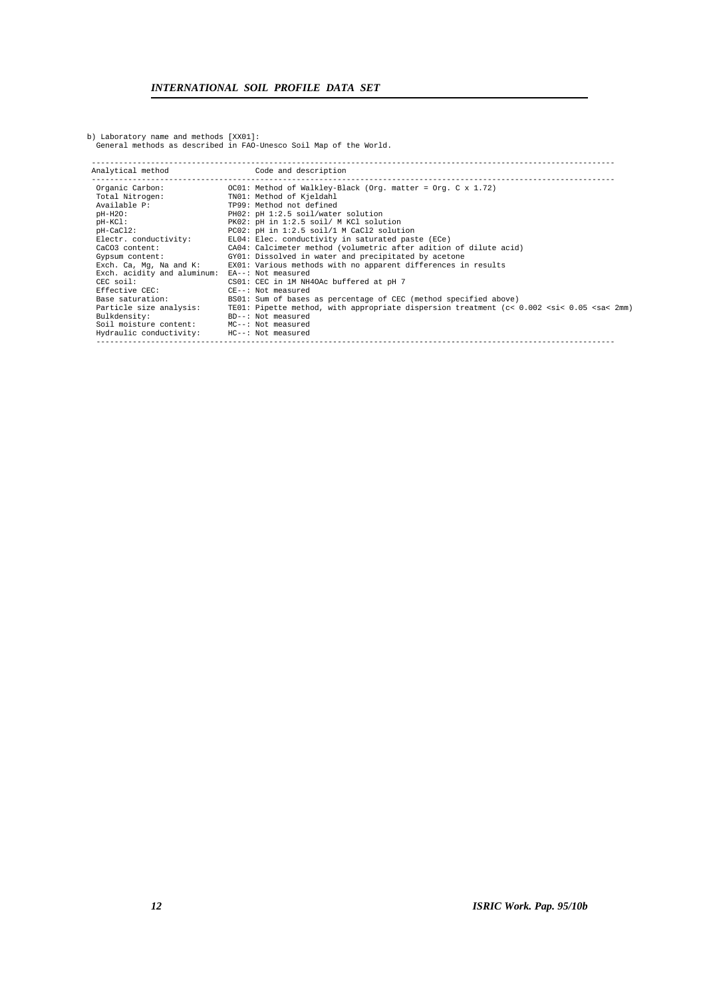b) Laboratory name and methods [XX01]: General methods as described in FAO-Unesco Soil Map of the World.

| Analytical method                              | Code and description                                                                                             |
|------------------------------------------------|------------------------------------------------------------------------------------------------------------------|
| Organic Carbon:                                | OC01: Method of Walkley-Black (Org. matter = Org. C x 1.72)                                                      |
| Total Nitrogen:                                | TN01: Method of Kjeldahl                                                                                         |
| Available P:                                   | TP99: Method not defined                                                                                         |
| pH-H20:                                        | PH02: pH 1:2.5 soil/water solution                                                                               |
| $pH-KCl:$                                      | PK02: pH in 1:2.5 soil/ M KCl solution                                                                           |
| pH-CaCl2:                                      | PC02: pH in 1:2.5 soil/1 M CaCl2 solution                                                                        |
| Electr. conductivity:                          | EL04: Elec. conductivity in saturated paste (ECe)                                                                |
| CaCO3 content:                                 | CA04: Calcimeter method (volumetric after adition of dilute acid)                                                |
| Gypsum content:                                | GY01: Dissolved in water and precipitated by acetone                                                             |
|                                                | Exch. Ca, Mg, Na and K: EX01: Various methods with no apparent differences in results                            |
| Exch. acidity and aluminum: EA--: Not measured |                                                                                                                  |
| CEC soil:                                      | CS01: CEC in 1M NH4OAc buffered at pH 7                                                                          |
| Effective CEC:                                 | CE--: Not measured                                                                                               |
| Base saturation:                               | BS01: Sum of bases as percentage of CEC (method specified above)                                                 |
| Particle size analysis:                        | TE01: Pipette method, with appropriate dispersion treatment (c< 0.002 <si< 0.05="" 2mm)<="" <sa<="" td=""></si<> |
| Bulkdensity:                                   | BD--: Not measured                                                                                               |
| Soil moisture content: MC--: Not measured      |                                                                                                                  |
| Hydraulic conductivity: HC--: Not measured     |                                                                                                                  |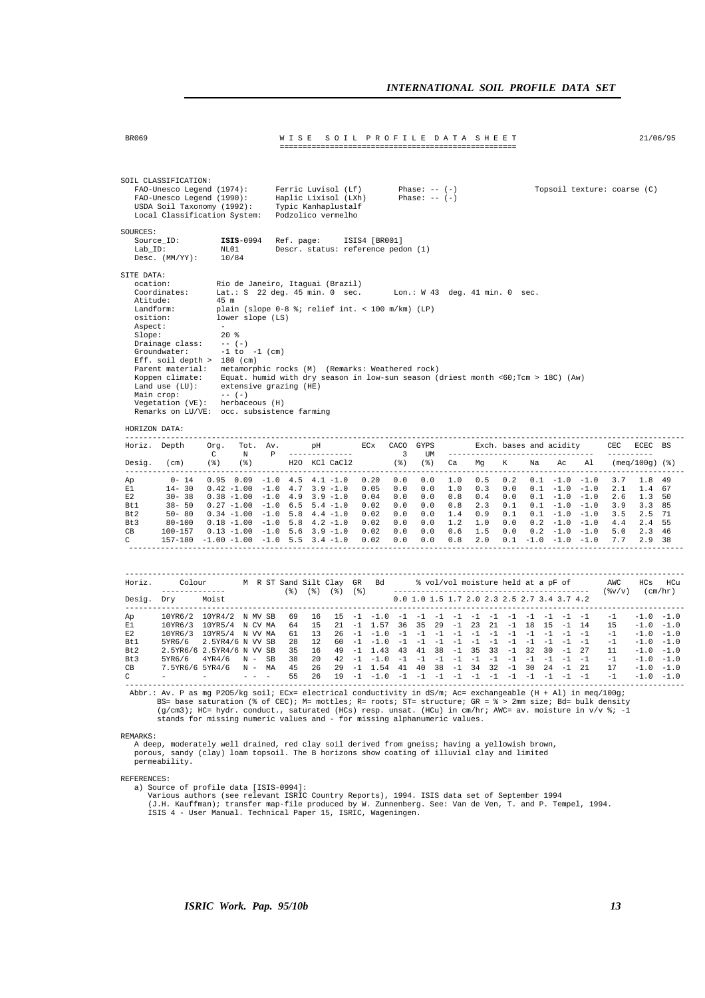|                                                             | SOIL CLASSIFICATION:<br>FAO-Unesco Legend (1974):<br>FAO-Unesco Legend (1990):<br>USDA Soil Taxonomy (1992):<br>Local Classification System:                                                                                                                                                                                                                                                                                                                                                                                                    |              |                                         |                                       |                                                                                      |       | Ferric Luvisol (Lf)<br>Haplic Lixisol (LXh)<br>Typic Kanhaplustalf<br>Podzolico vermelho |               | Phase: $--$ (-)<br>Phase: $--$ (-)                                                                                                                                                                                                                                                                                                                                                                                                                      |      |      |                               |  | Topsoil texture: coarse (C)                                                                                    |                               |  |
|-------------------------------------------------------------|-------------------------------------------------------------------------------------------------------------------------------------------------------------------------------------------------------------------------------------------------------------------------------------------------------------------------------------------------------------------------------------------------------------------------------------------------------------------------------------------------------------------------------------------------|--------------|-----------------------------------------|---------------------------------------|--------------------------------------------------------------------------------------|-------|------------------------------------------------------------------------------------------|---------------|---------------------------------------------------------------------------------------------------------------------------------------------------------------------------------------------------------------------------------------------------------------------------------------------------------------------------------------------------------------------------------------------------------------------------------------------------------|------|------|-------------------------------|--|----------------------------------------------------------------------------------------------------------------|-------------------------------|--|
| SOURCES:<br>Lab_ID:                                         | Source_ID:<br>Desc. $(MM/YY): 10/84$                                                                                                                                                                                                                                                                                                                                                                                                                                                                                                            |              | $ISIS-0994$<br>NL01                     |                                       | Ref. page:                                                                           |       | Descr. status: reference pedon (1)                                                       | ISIS4 [BR001] |                                                                                                                                                                                                                                                                                                                                                                                                                                                         |      |      |                               |  |                                                                                                                |                               |  |
| SITE DATA:<br>ocation:<br>Aspect:<br>Slope:                 | Coordinates:<br>Atitude:<br>Landform:<br>osition:<br>Drainage class:<br>Groundwater:<br>Eff. soil depth $> 180$ (cm)<br>Parent material: metamorphic rocks (M) (Remarks: Weathered rock)<br>Koppen climate: Equat. humid with dry season in low-sun season (driest month <60;Tcm > 18C) (Aw)<br>Land use $(LU)$ : extensive grazing $(HE)$<br>Main crop: -- $(-)$<br>Main crop:<br>Vegetation (VE): herbaceous (H)<br>Remarks on LU/VE: occ. subsistence farming                                                                                | $\sim$       | 45 m<br>$20*$<br>$--- (-)$<br>$--- (-)$ | lower slope (LS)<br>$-1$ to $-1$ (cm) | Rio de Janeiro, Itaguai (Brazil)<br>plain (slope 0-8 %; relief int. < 100 m/km) (LP) |       |                                                                                          |               | Lat.: S 22 deg. 45 min. 0 sec. Lon.: W 43 deg. 41 min. 0 sec.                                                                                                                                                                                                                                                                                                                                                                                           |      |      |                               |  |                                                                                                                |                               |  |
|                                                             | HORIZON DATA:                                                                                                                                                                                                                                                                                                                                                                                                                                                                                                                                   |              |                                         |                                       |                                                                                      |       |                                                                                          |               |                                                                                                                                                                                                                                                                                                                                                                                                                                                         |      |      |                               |  |                                                                                                                |                               |  |
|                                                             | ---------------<br>Horiz. Depth                                                                                                                                                                                                                                                                                                                                                                                                                                                                                                                 |              |                                         |                                       |                                                                                      |       |                                                                                          |               | Org. Tot. Av. pH ECx CACO GYPS Exch. bases and acidity CEC ECEC BS                                                                                                                                                                                                                                                                                                                                                                                      |      |      |                               |  |                                                                                                                |                               |  |
|                                                             | Desig. (cm) (%) (%) H2O KCl CaCl2 (%) (%) Ca Mg K Na Ac Al (meq/100g)(%)                                                                                                                                                                                                                                                                                                                                                                                                                                                                        | $\mathbb{C}$ |                                         |                                       |                                                                                      |       |                                                                                          |               |                                                                                                                                                                                                                                                                                                                                                                                                                                                         |      |      |                               |  |                                                                                                                |                               |  |
| Ap<br>E1<br>E2<br>Bt1<br>Bt 2<br>Bt 3<br>CB<br>$\mathbf{C}$ | $0 - 14$<br>$14 - 30$<br>$30 - 38$<br>38- 50 0.27 -1.00 -1.0 6.5 5.4 -1.0 0.02 0.0 0.0 0.8 2.3 0.1 0.1 -1.0 -1.0 3.9 3.3 85<br>50-80<br>$\begin{array}{cccccccccccccccc} 80-100 & 0.18 & -1.00 & -1.0 & 5.8 & 4.2 & -1.0 & 0.02 & 0.0 & 0.0 & 1.2 & 1.0 & 0.0 & 0.2 & -1.0 & -1.0 & 4.4 & 2.4 & 55 \\ 100-157 & 0.13 & -1.00 & -1.0 & 5.6 & 3.9 & -1.0 & 0.02 & 0.0 & 0.0 & 0.0 & 0.6 & 1.5 & 0.0 & 0.2 & -1.0 & -1.0 & 5.0 & 2.3 & 46 \end{array}$<br>157-180 -1.00 -1.00 -1.0 5.5 3.4 -1.0 0.02 0.0 0.0 0.8 2.0 0.1 -1.0 -1.0 -1.0 7.7 2.9 38 |              |                                         |                                       |                                                                                      |       |                                                                                          |               | $0.95 \quad 0.09 \quad -1.0 \quad 4.5 \quad 4.1 \quad -1.0 \quad 0.20 \quad 0.0 \quad 0.0 \quad 1.0 \quad 0.5 \quad 0.2 \quad 0.1 \quad -1.0 \quad -1.0 \quad 3.7 \quad 1.8 \quad 49$<br>$0.42 - 1.00 - 1.0$ 4.7 3.9 -1.0 0.05 0.0 0.0 1.0 0.3 0.0 0.1 -1.0 -1.0 2.1 1.4 67<br>$0.38 - 1.00 - 1.0$ 4.9 3.9 -1.0 0.04 0.0 0.0 0.8 0.4 0.0 0.1 -1.0 -1.0 2.6 1.3 50<br>$0.34 - 1.00 - 1.0$ 5.8 4.4 -1.0 0.02 0.0 0.0 1.4 0.9 0.1 0.1 -1.0 -1.0 3.5 2.5 71 |      |      |                               |  |                                                                                                                |                               |  |
|                                                             |                                                                                                                                                                                                                                                                                                                                                                                                                                                                                                                                                 |              |                                         |                                       |                                                                                      |       |                                                                                          |               |                                                                                                                                                                                                                                                                                                                                                                                                                                                         |      |      |                               |  |                                                                                                                | HCs HCu                       |  |
|                                                             | Desig. Dry Moist                                                                                                                                                                                                                                                                                                                                                                                                                                                                                                                                |              |                                         |                                       |                                                                                      |       |                                                                                          |               | 0.0 1.0 1.5 1.7 2.0 2.3 2.5 2.7 3.4 3.7 4.2                                                                                                                                                                                                                                                                                                                                                                                                             |      |      |                               |  |                                                                                                                |                               |  |
| Ap<br>E1<br>E2<br>Bt1<br>Bt2<br>Bt3<br>CB                   | 10YR6/2 10YR4/2 N MV SB 69 16 15 -1 -1.0 -1 -1 -1 -1 -1 -1 -1 -1 -1 -1 -1 -1<br>10YR6/3 10YR5/4 N CV MA 64 15<br>10YR6/3 10YR5/4 N VV MA 61 13<br>5YR6/6 2.5YR4/6 N VV SB 28 12<br>2.5YR6/6 2.5YR4/6 N VV SB 35 16 49 -1 1.43 43 41 38 -1 35 33 -1 32 30 -1 27<br>$5YR6/6$ $4YR4/6$ N - SB 38 20 42 -1 -1.0 -1 -1 -1 -1 -1 -1 -1 -1 -1 -1 -1 -1<br>7.5YR6/6 5YR4/6 N - MA 45 26                                                                                                                                                                 |              |                                         |                                       | $\sim$ 100 $\mu$                                                                     | 55 26 | $19 - 1 - 1.0$                                                                           |               | 21 -1 1.57 36 35 29 -1 23 21 -1 18 15 -1 14<br>29 -1 1.54 41 40 38 -1 34 32 -1 30 24 -1 21<br>$-1$ $-1$ $-1$                                                                                                                                                                                                                                                                                                                                            | $-1$ | $-1$ | $-1$ $-1$ $-1$ $-1$ $-1$ $-1$ |  | $-1$ $-1.0$ $-1.0$<br>$15 - 1.0 - 1.0$<br>$-1$ $-1.0$ $-1.0$<br>$-1$ $-1.0$ $-1.0$<br>$17 - 1.0 - 1.0$<br>$-1$ | $11 -1.0 -1.0$<br>$-1.0 -1.0$ |  |
|                                                             | Abbr.: Av. P as mg P205/kg soil; ECx= electrical conductivity in dS/m; Ac= exchangeable (H + Al) in meg/100g;<br>BS= base saturation (% of CEC); M= mottles; R= roots; ST= structure; GR = % > 2mm size; Bd= bulk density<br>(g/cm3); HC= hydr. conduct., saturated (HCs) resp. unsat. (HCu) in cm/hr; AWC= av. moisture in v/v %; -1<br>stands for missing numeric values and - for missing alphanumeric values.                                                                                                                               |              |                                         |                                       |                                                                                      |       |                                                                                          |               |                                                                                                                                                                                                                                                                                                                                                                                                                                                         |      |      |                               |  |                                                                                                                |                               |  |
| REMARKS:                                                    | A deep, moderately well drained, red clay soil derived from gneiss; having a yellowish brown,<br>porous, sandy (clay) loam topsoil. The B horizons show coating of illuvial clay and limited<br>permeability.                                                                                                                                                                                                                                                                                                                                   |              |                                         |                                       |                                                                                      |       |                                                                                          |               |                                                                                                                                                                                                                                                                                                                                                                                                                                                         |      |      |                               |  |                                                                                                                |                               |  |
| REFERENCES:                                                 |                                                                                                                                                                                                                                                                                                                                                                                                                                                                                                                                                 |              |                                         |                                       |                                                                                      |       |                                                                                          |               |                                                                                                                                                                                                                                                                                                                                                                                                                                                         |      |      |                               |  |                                                                                                                |                               |  |

BR069 W I S E S O I L P R O F I L E D A T A S H E E T 21/06/95

REFERENCES:<br>a) Source of profile data [ISIS-0994]:<br>Various authors (see relevant ISRIC Country Reports), 1994. ISIS data set of September 1994<br>(J.H. Kauffman); transfer map-file produced by W. Zunnenberg. See: Van de Ven,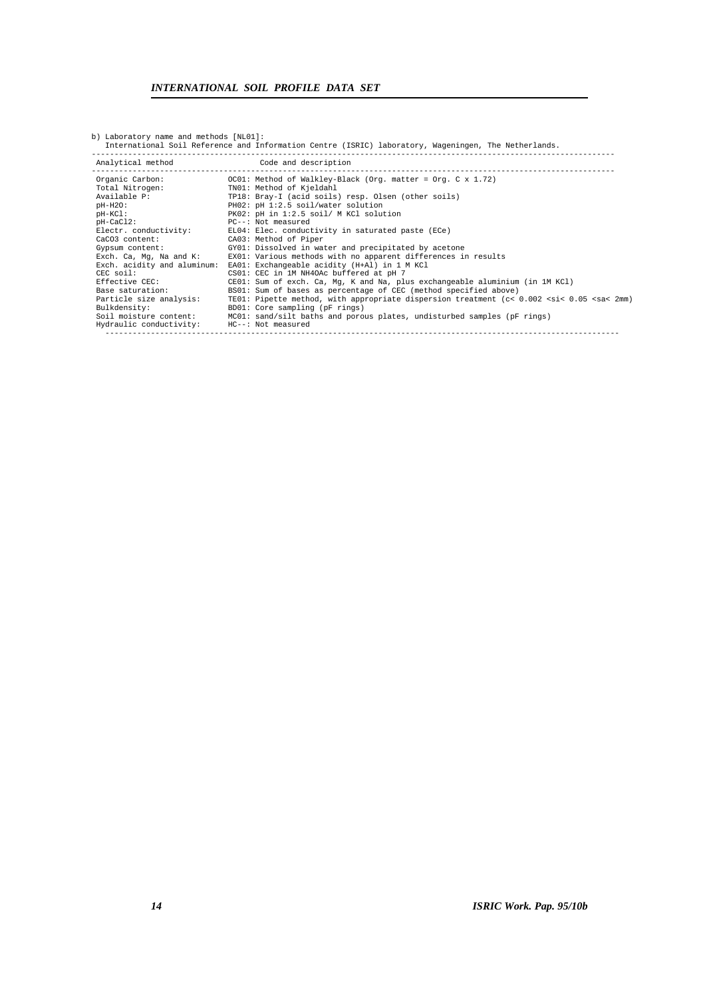| v, maporacor, hame and mechodo [nmor].                 | International Soil Reference and Information Centre (ISRIC) laboratory, Wageningen, The Netherlands.                                               |
|--------------------------------------------------------|----------------------------------------------------------------------------------------------------------------------------------------------------|
| Analytical method Code and description                 |                                                                                                                                                    |
| Organic Carbon:<br>Total Nitrogen:                     | OC01: Method of Walkley-Black (Org. matter = Org. C $x$ 1.72)<br>TN01: Method of Kjeldahl                                                          |
| Available P:                                           | TP18: Bray-I (acid soils) resp. Olsen (other soils)                                                                                                |
| $pH-H2O$ :<br>pH-KCl:                                  | PH02: pH 1:2.5 soil/water solution<br>PK02: pH in 1:2.5 soil/ M KCl solution                                                                       |
| $pH-CaCl2$ :<br>Electr. conductivity:                  | PC--: Not measured<br>EL04: Elec. conductivity in saturated paste (ECe)                                                                            |
| CaCO3 content:<br>Gypsum content:                      | CA03: Method of Piper<br>GY01: Dissolved in water and precipitated by acetone                                                                      |
| Exch. Ca, Mq, Na and K:<br>Exch. acidity and aluminum: | EX01: Various methods with no apparent differences in results<br>EA01: Exchangeable acidity (H+Al) in 1 M KCl                                      |
| $CEC$ soil:                                            | CS01: CEC in 1M NH4OAc buffered at pH 7                                                                                                            |
| Effective CEC:<br>Base saturation:                     | $CE01:$ Sum of exch. Ca, Mq, K and Na, plus exchangeable aluminium (in 1M KCl)<br>BS01: Sum of bases as percentage of CEC (method specified above) |
| Particle size analysis:<br>Bulkdensity:                | TE01: Pipette method, with appropriate dispersion treatment (c< 0.002 <si< 0.05="" 2mm)<br="" <sa<="">BD01: Core sampling (pF rings)</si<>         |
| Soil moisture content:<br>Hydraulic conductivity:      | MC01: sand/silt baths and porous plates, undisturbed samples (pF rings)<br>HC--: Not measured                                                      |
|                                                        |                                                                                                                                                    |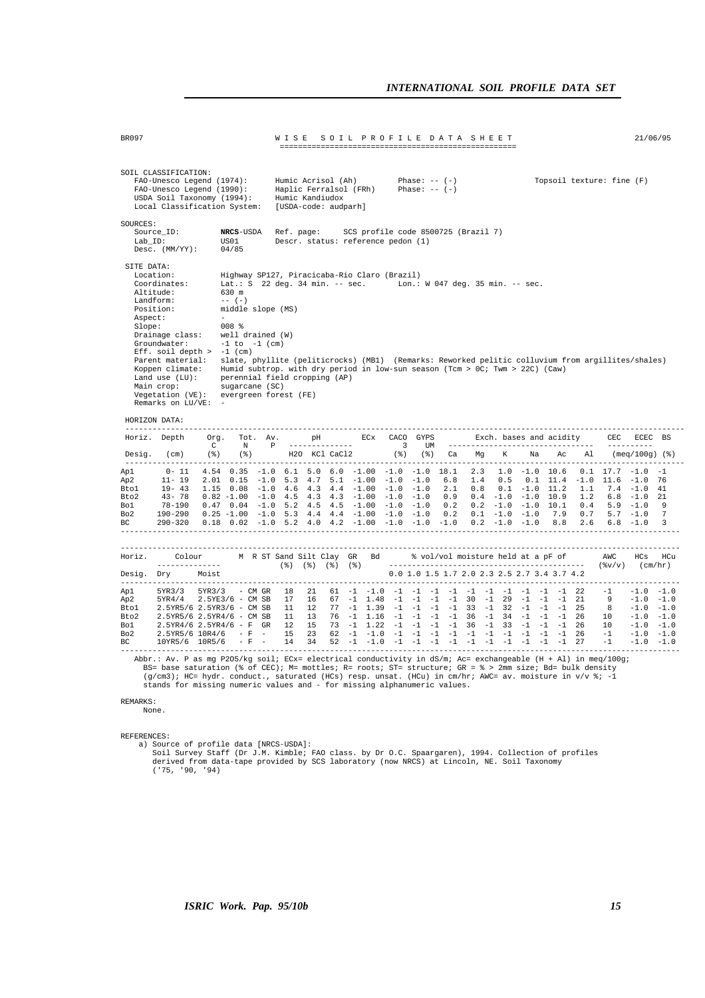| BR097                                            |                                                                                                                                                                                                                                                                          |                      |                                                                                                                                                                         |                        | W I S E                                                       |                                        |          |                                             | SOIL PROFILE DATA SHEET                                                                                                                                                                                                                                                                                                                                                                                       |                                    |                                 |                   |                                                                                               |                                                       |            |                                                    |                                                           | 21/06/95                                                                                              |                                            |
|--------------------------------------------------|--------------------------------------------------------------------------------------------------------------------------------------------------------------------------------------------------------------------------------------------------------------------------|----------------------|-------------------------------------------------------------------------------------------------------------------------------------------------------------------------|------------------------|---------------------------------------------------------------|----------------------------------------|----------|---------------------------------------------|---------------------------------------------------------------------------------------------------------------------------------------------------------------------------------------------------------------------------------------------------------------------------------------------------------------------------------------------------------------------------------------------------------------|------------------------------------|---------------------------------|-------------------|-----------------------------------------------------------------------------------------------|-------------------------------------------------------|------------|----------------------------------------------------|-----------------------------------------------------------|-------------------------------------------------------------------------------------------------------|--------------------------------------------|
|                                                  | SOIL CLASSIFICATION:<br>FAO-Unesco Legend (1974):<br>FAO-Unesco Legend (1990):<br>USDA Soil Taxonomy (1994):<br>Local Classification System:                                                                                                                             |                      |                                                                                                                                                                         |                        | Humic Acrisol (Ah)<br>Humic Kandiudox<br>[USDA-code: audparh] |                                        |          | Haplic Ferralsol (FRh)                      |                                                                                                                                                                                                                                                                                                                                                                                                               | Phase: $-- (-)$<br>Phase: $-- (-)$ |                                 |                   |                                                                                               |                                                       |            |                                                    | Topsoil texture: fine (F)                                 |                                                                                                       |                                            |
| SOURCES:<br>$Lab_ID$ :                           | Source ID:<br>Desc. (MM/YY):                                                                                                                                                                                                                                             |                      | NRCS-USDA<br>US01<br>04/85                                                                                                                                              |                        | Ref. page:                                                    |                                        |          |                                             | SCS profile code 8500725 (Brazil 7)<br>Descr. status: reference pedon (1)                                                                                                                                                                                                                                                                                                                                     |                                    |                                 |                   |                                                                                               |                                                       |            |                                                    |                                                           |                                                                                                       |                                            |
| SITE DATA:<br>Aspect:<br>Slope:                  | Location:<br>Coordinates:<br>Altitude:<br>Landform:<br>Position:<br>Drainage class:<br>Groundwater:<br>Eff. soil depth $> -1$ (cm)<br>Parent material:<br>Koppen climate:<br>Land use $(LU)$ :<br>Main crop:<br>Vegetation (VE):<br>Remarks on LU/VE: -<br>HORIZON DATA: |                      | 630 m<br>$--- (-)$<br>middle slope (MS)<br>$008$ %<br>well drained (W)<br>$-1$ to $-1$ (cm)<br>perennial field cropping (AP)<br>sugarcane (SC)<br>evergreen forest (FE) |                        |                                                               |                                        |          |                                             | Highway SP127, Piracicaba-Rio Claro (Brazil)<br>Lat.: S 22 deg. 34 min. -- sec. Lon.: W 047 deg. 35 min. -- sec.<br>slate, phyllite (peliticrocks) (MB1) (Remarks: Reworked pelitic colluvium from argillites/shales)<br>Humid subtrop. with dry period in low-sun season (Tcm > OC; Twm > 22C) (Caw)                                                                                                         |                                    |                                 |                   |                                                                                               |                                                       |            |                                                    |                                                           |                                                                                                       |                                            |
|                                                  | --------------<br>Horiz. Depth                                                                                                                                                                                                                                           | Org.<br>$\mathbf{C}$ | N                                                                                                                                                                       | Tot. Av.<br>₽          |                                                               | pH<br>--------------                   |          | ECX                                         | $\overline{\phantom{a}}$                                                                                                                                                                                                                                                                                                                                                                                      | CACO GYPS<br>UM                    |                                 |                   | Exch. bases and acidity<br>---------------------------------                                  |                                                       |            |                                                    | CEC                                                       | ECEC BS<br>----------                                                                                 |                                            |
| Desig.                                           | (cm)                                                                                                                                                                                                                                                                     | (%)                  | ( % )                                                                                                                                                                   |                        |                                                               | H <sub>20</sub> KCl CaCl <sub>2</sub>  |          |                                             | (%)                                                                                                                                                                                                                                                                                                                                                                                                           | ( % )                              | Ca                              | Mg                | K                                                                                             | Na                                                    | Ac         | Al                                                 |                                                           | $(meq/100g)$ (%)                                                                                      |                                            |
| Ap1.<br>Ap 2<br>Btol<br>Bto2<br>Bo1<br>Bo2<br>ВC | $0 - 11$<br>$11 - 19$<br>$19 - 43$<br>$43 - 78$<br>$78 - 190$<br>190-290<br>$290 - 320$                                                                                                                                                                                  |                      |                                                                                                                                                                         |                        |                                                               |                                        |          |                                             | $4.54$ 0.35 -1.0 6.1 5.0 6.0 -1.00 -1.0 -1.0 18.1<br>$2.01$ $0.15$ $-1.0$ $5.3$ $4.7$ $5.1$ $-1.00$ $-1.0$<br>$1.15$ 0.08 -1.0 4.6 4.3 4.4 -1.00 -1.0 -1.0<br>$0.82 - 1.00 - 1.0$ 4.5 4.3 4.3 $-1.00$ $-1.0$ $-1.0$<br>$0.47$ $0.04$ $-1.0$ 5.2 4.5 4.5 $-1.00$ $-1.0$ $-1.0$<br>$0.25 - 1.00 - 1.0$ 5.3 4.4 4.4 $-1.00$ $-1.0$ $-1.0$<br>$0.18$ $0.02$ $-1.0$ $5.2$ $4.0$ $4.2$ $-1.00$ $-1.0$ $-1.0$ $-1.0$ | $-1.0$                             | 6.8<br>2.1<br>0.9<br>0.2<br>0.2 | 2.3<br>1.4<br>0.8 | 0.5<br>$0.4 -1.0 -1.0 10.9$<br>$0.2 -1.0 -1.0 10.1$<br>$0.1 - 1.0 - 1.0$<br>$0.2 - 1.0 - 1.0$ | $1.0 - 1.0 10.6$<br>$0.1 - 1.0 11.2$                  | 7.9<br>8.8 | $0.1$ 11.4 $-1.0$ 11.6<br>1.1<br>1.2<br>0.7<br>2.6 | $0.1$ 17.7 $-1.0$ $-1$<br>$0.4$ 5.9 $-1.0$<br>$5.7 - 1.0$ | $-1.0$<br>$7.4 - 1.0$<br>$6.8 - 1.0$<br>$6.8 - 1.0$                                                   | 76<br>41<br>21<br>9<br>$\overline{7}$<br>3 |
| Desig. Dry<br>-----------                        | Horiz. Colour M R ST Sand Silt Clay GR Bd<br>--------------                                                                                                                                                                                                              | Moist                |                                                                                                                                                                         |                        | (옹) (옹) (옹) (옹)<br>----------                                 |                                        |          |                                             |                                                                                                                                                                                                                                                                                                                                                                                                               |                                    |                                 |                   | 0.0 1.0 1.5 1.7 2.0 2.3 2.5 2.7 3.4 3.7 4.2                                                   |                                                       |            |                                                    | % vol/vol moisture held at a pF of AWC                    | HCs                                                                                                   | HCu                                        |
| Ap1<br>Ap 2<br>Btol<br>Bto2<br>Bo1<br>Bo2<br>ВC  | 5YR3/3<br>5YR4/4<br>2.5YR5/6 2.5YR3/6 - CM SB<br>2.5YR5/6 2.5YR4/6 - CM SB<br>$2.5YR4/6$ 2.5YR4/6 - F GR<br>2.5YR5/6 10R4/6<br>10YR5/6 10R5/6                                                                                                                            |                      | $5YR3/3$ - CM GR<br>$2.5YE3/6 - CMSB$                                                                                                                                   | $- F - -$<br>$-$ F $-$ | 18<br>17<br>11<br>11<br>12<br>15<br>14                        | 21<br>16<br>12<br>13<br>15<br>23<br>34 | 67<br>76 | $-1$ 1.48<br>$62 -1 -1.0$<br>$52 - 1 - 1.0$ | $61 -1 -1.0 -1 -1 -1 -1 -1 -1 -1 -1 -1 -1 -1 22$<br>$77 - 1$ 1.39 $-1$ $-1$ $-1$ $-1$ 33 $-1$ 32<br>$-1$ 1.16 $-1$ $-1$ $-1$ $-1$ 36<br>73 -1 1.22 -1 -1 -1 -1 36 -1 33 -1 -1 -1 26                                                                                                                                                                                                                           | $-1 -1$<br>$-1$ $-1$ $-1$          | $-1$                            | $-1$ 30 $-1$      | 29<br>$-1$ 34<br>$-1$ $-1$ $-1$ $-1$ $-1$ $-1$ $-1$                                           | $-1$ $-1$ $-1$<br>$-1$ $-1$ $-1$<br>$-1$ $-1$ $-1$ 26 |            | 21<br>25<br>27                                     | $-1$<br>9<br>8<br>10<br>10 <sup>1</sup><br>$-1$<br>$-1$   | $-1.0 -1.0$<br>$-1.0 -1.0$<br>$-1.0 -1.0$<br>$-1.0 -1.0$<br>$-1.0 -1.0$<br>$-1.0 -1.0$<br>$-1.0 -1.0$ |                                            |

Abbr.: Av. P as mg P205/kg soil; ECx= electrical conductivity in dS/m; Ac= exchangeable (H + Al) in meq/100g;<br>BS= base saturation (% of CEC); M= mottles; R= roots; ST= structure; GR = % > 2mm size; Bd= bulk density<br>(g/cm3)

#### REMARKS:

None.

REFERENCES:

a) Source of profile data [NRCS-USDA]:<br>Soil Survey Staff (Dr J.M. Kimble; FAO class. by Dr O.C. Spaargaren), 1994. Collection of profiles<br>derived from data-tape provided by SCS laboratory (now NRCS) at Lincoln, NE. Soil Ta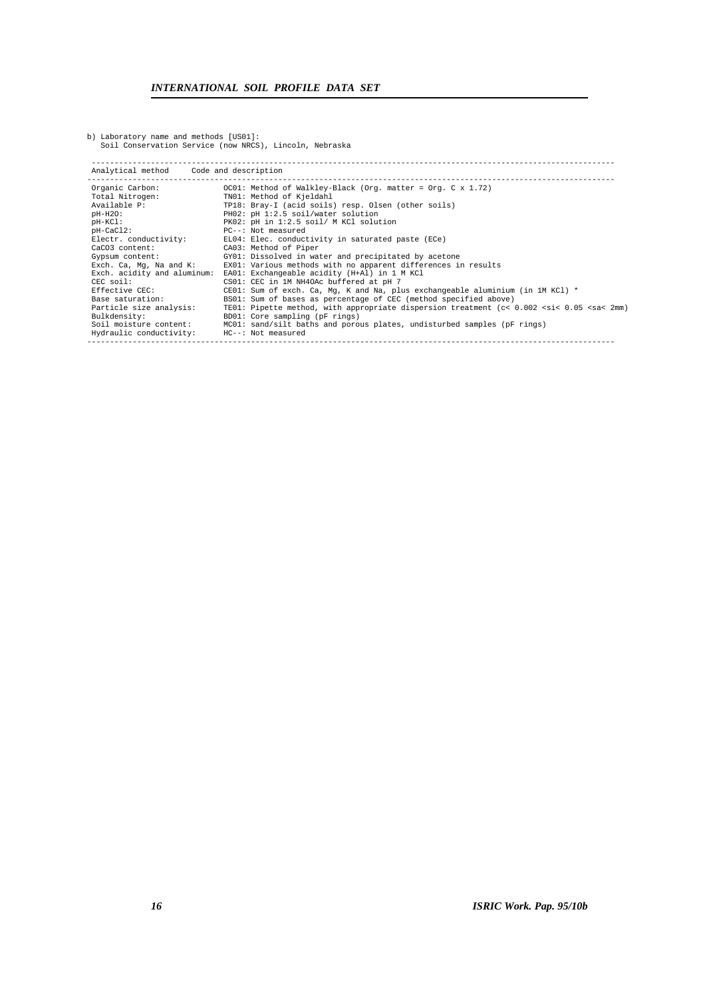b) Laboratory name and methods [US01]: Soil Conservation Service (now NRCS), Lincoln, Nebraska

| Analytical method Code and description |                                                                                                                  |
|----------------------------------------|------------------------------------------------------------------------------------------------------------------|
| Organic Carbon:                        | OC01: Method of Walkley-Black (Org. matter = Org. C $x$ 1.72)                                                    |
| Total Nitrogen:                        | TN01: Method of Kjeldahl                                                                                         |
| Available P:                           | TP18: Bray-I (acid soils) resp. Olsen (other soils)                                                              |
| $pH-H2O$ :                             | PH02: pH 1:2.5 soil/water solution                                                                               |
| $pH-KCl:$                              | PK02: pH in 1:2.5 soil/ M KCl solution                                                                           |
| $pH-CaCl2$ :                           | PC--: Not measured                                                                                               |
| Electr. conductivity:                  | EL04: Elec. conductivity in saturated paste (ECe)                                                                |
| CaCO3 content:                         | CA03: Method of Piper                                                                                            |
| Gypsum content:                        | GY01: Dissolved in water and precipitated by acetone                                                             |
| Exch. Ca, Mq, Na and K:                | EX01: Various methods with no apparent differences in results                                                    |
| Exch. acidity and aluminum:            | EA01: Exchangeable acidity (H+Al) in 1 M KCl                                                                     |
| CEC soil:                              | CS01: CEC in 1M NH4OAc buffered at pH 7                                                                          |
| Effective CEC:                         | CE01: Sum of exch. Ca, Mg, K and Na, plus exchangeable aluminium (in 1M KCl) $*$                                 |
| Base saturation:                       | BS01: Sum of bases as percentage of CEC (method specified above)                                                 |
| Particle size analysis:                | TE01: Pipette method, with appropriate dispersion treatment (c< 0.002 <si< 0.05="" 2mm)<="" <sa<="" td=""></si<> |
| Bulkdensity:                           | BD01: Core sampling (pF rings)                                                                                   |
| Soil moisture content:                 | MC01: sand/silt baths and porous plates, undisturbed samples (pF rings)                                          |
| Hydraulic conductivity:                | HC--: Not measured                                                                                               |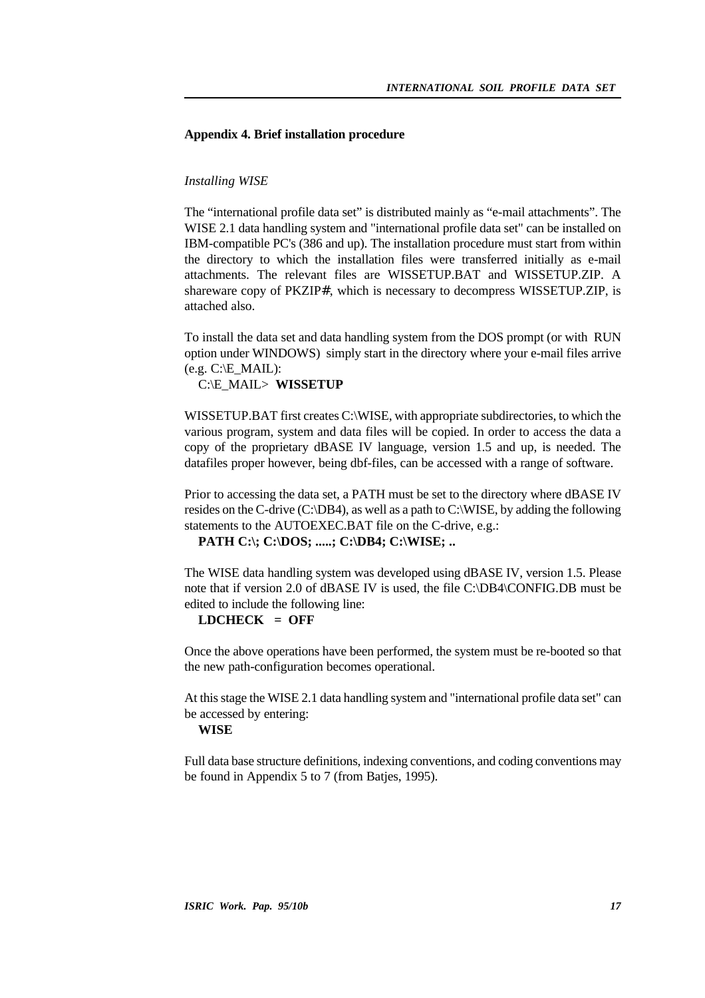## **Appendix 4. Brief installation procedure**

## *Installing WISE*

The "international profile data set" is distributed mainly as "e-mail attachments". The WISE 2.1 data handling system and "international profile data set" can be installed on IBM-compatible PC's (386 and up). The installation procedure must start from within the directory to which the installation files were transferred initially as e-mail attachments. The relevant files are WISSETUP.BAT and WISSETUP.ZIP. A shareware copy of PKZIP#, which is necessary to decompress WISSETUP.ZIP, is attached also.

To install the data set and data handling system from the DOS prompt (or with RUN option under WINDOWS) simply start in the directory where your e-mail files arrive  $(e.g. C:\E MAIL):$ 

C:\E\_MAIL> **WISSETUP**

WISSETUP.BAT first creates C:\WISE, with appropriate subdirectories, to which the various program, system and data files will be copied. In order to access the data a copy of the proprietary dBASE IV language, version 1.5 and up, is needed. The datafiles proper however, being dbf-files, can be accessed with a range of software.

Prior to accessing the data set, a PATH must be set to the directory where dBASE IV resides on the C-drive (C:\DB4), as well as a path to C:\WISE, by adding the following statements to the AUTOEXEC.BAT file on the C-drive, e.g.:

**PATH C:\; C:\DOS; .....; C:\DB4; C:\WISE; ..**

The WISE data handling system was developed using dBASE IV, version 1.5. Please note that if version 2.0 of dBASE IV is used, the file C:\DB4\CONFIG.DB must be edited to include the following line:

## **LDCHECK = OFF**

Once the above operations have been performed, the system must be re-booted so that the new path-configuration becomes operational.

At this stage the WISE 2.1 data handling system and "international profile data set" can be accessed by entering:

## **WISE**

Full data base structure definitions, indexing conventions, and coding conventions may be found in Appendix 5 to 7 (from Batjes, 1995).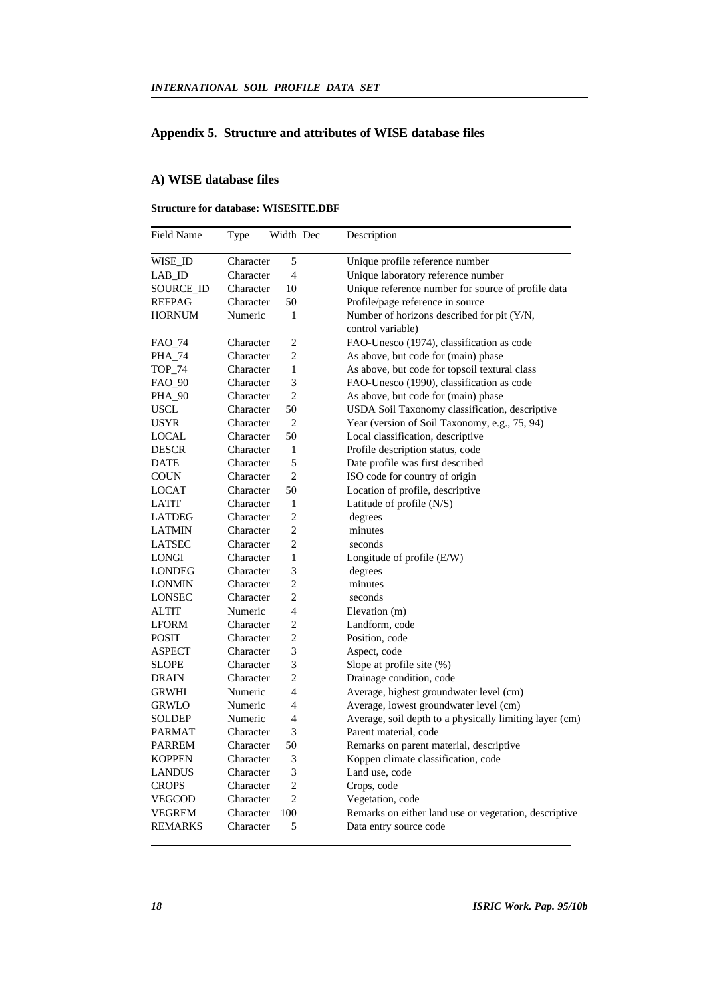## **Appendix 5. Structure and attributes of WISE database files**

## **A) WISE database files**

## **Structure for database: WISESITE.DBF**

| <b>Field Name</b> | Type      | Width Dec      | Description                                             |
|-------------------|-----------|----------------|---------------------------------------------------------|
| WISE_ID           | Character | 5              | Unique profile reference number                         |
| LAB ID            | Character | $\overline{4}$ | Unique laboratory reference number                      |
| SOURCE ID         | Character | 10             | Unique reference number for source of profile data      |
| <b>REFPAG</b>     | Character | 50             | Profile/page reference in source                        |
| <b>HORNUM</b>     | Numeric   | 1              | Number of horizons described for pit (Y/N,              |
|                   |           |                | control variable)                                       |
| FAO_74            | Character | $\overline{c}$ | FAO-Unesco (1974), classification as code               |
| PHA_74            | Character | $\overline{c}$ | As above, but code for (main) phase                     |
| <b>TOP_74</b>     | Character | $\mathbf{1}$   | As above, but code for topsoil textural class           |
| FAO_90            | Character | 3              | FAO-Unesco (1990), classification as code               |
| PHA_90            | Character | $\overline{c}$ | As above, but code for (main) phase                     |
| USCL              | Character | 50             | USDA Soil Taxonomy classification, descriptive          |
| <b>USYR</b>       | Character | $\overline{c}$ | Year (version of Soil Taxonomy, e.g., 75, 94)           |
| LOCAL             | Character | 50             | Local classification, descriptive                       |
| <b>DESCR</b>      | Character | 1              | Profile description status, code                        |
| DATE              | Character | 5              | Date profile was first described                        |
| <b>COUN</b>       | Character | $\overline{c}$ | ISO code for country of origin                          |
| LOCAT             | Character | 50             | Location of profile, descriptive                        |
| <b>LATIT</b>      | Character | 1              | Latitude of profile (N/S)                               |
| LATDEG            | Character | $\overline{c}$ | degrees                                                 |
| LATMIN            | Character | $\overline{c}$ | minutes                                                 |
| <b>LATSEC</b>     | Character | $\overline{c}$ | seconds                                                 |
| LONGI             | Character | $\mathbf{1}$   | Longitude of profile $(E/W)$                            |
| LONDEG            | Character | 3              | degrees                                                 |
| LONMIN            | Character | $\overline{c}$ | minutes                                                 |
| LONSEC            | Character | $\overline{c}$ | seconds                                                 |
| <b>ALTIT</b>      | Numeric   | 4              | Elevation (m)                                           |
| <b>LFORM</b>      | Character | $\overline{c}$ | Landform, code                                          |
| <b>POSIT</b>      | Character | 2              | Position, code                                          |
| ASPECT            | Character | 3              | Aspect, code                                            |
| SLOPE             | Character | 3              | Slope at profile site (%)                               |
| DRAIN             | Character | $\overline{c}$ | Drainage condition, code                                |
| GRWHI             | Numeric   | 4              | Average, highest groundwater level (cm)                 |
| <b>GRWLO</b>      | Numeric   | 4              | Average, lowest groundwater level (cm)                  |
| SOLDEP            | Numeric   | 4              | Average, soil depth to a physically limiting layer (cm) |
| PARMAT            | Character | 3              | Parent material, code                                   |
| PARREM            | Character | 50             | Remarks on parent material, descriptive                 |
| <b>KOPPEN</b>     | Character | 3              | Köppen climate classification, code                     |
| <b>LANDUS</b>     | Character | 3              | Land use, code                                          |
| <b>CROPS</b>      | Character | $\overline{c}$ | Crops, code                                             |
| VEGCOD            | Character | $\overline{c}$ | Vegetation, code                                        |
| <b>VEGREM</b>     | Character | 100            | Remarks on either land use or vegetation, descriptive   |
| <b>REMARKS</b>    | Character | 5              | Data entry source code                                  |
|                   |           |                |                                                         |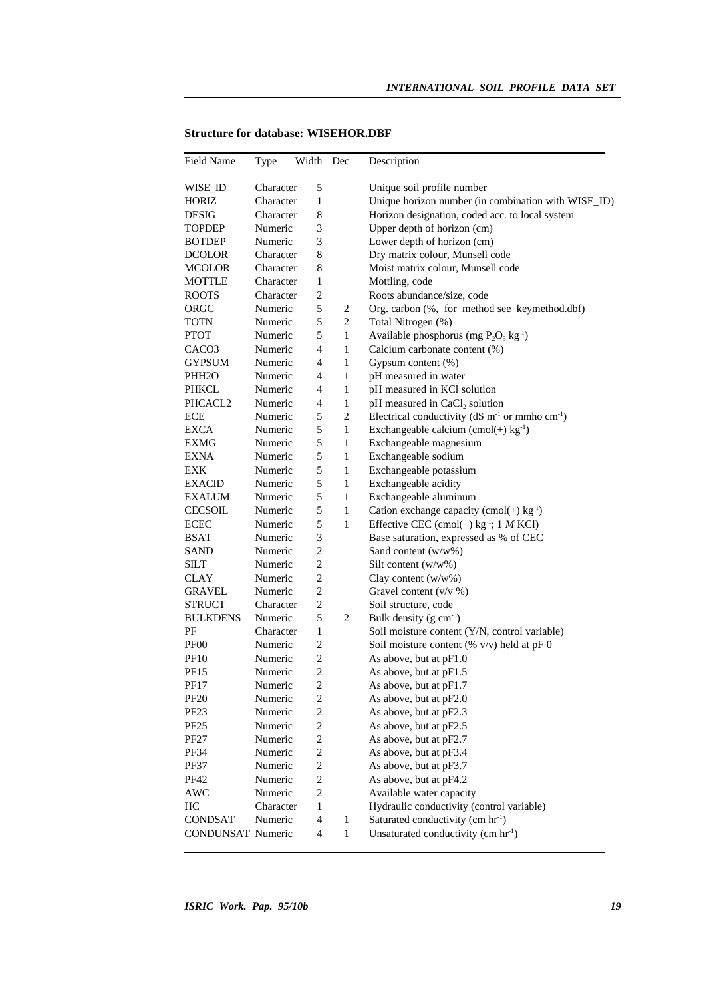| <b>Field Name</b>  | Type      | Width                    | Dec          | Description                                                              |
|--------------------|-----------|--------------------------|--------------|--------------------------------------------------------------------------|
| WISE_ID            | Character | 5                        |              | Unique soil profile number                                               |
| HORIZ              | Character | $\mathbf{1}$             |              | Unique horizon number (in combination with WISE_ID)                      |
| <b>DESIG</b>       | Character | 8                        |              | Horizon designation, coded acc. to local system                          |
| <b>TOPDEP</b>      | Numeric   | 3                        |              | Upper depth of horizon (cm)                                              |
| <b>BOTDEP</b>      | Numeric   | 3                        |              | Lower depth of horizon (cm)                                              |
| <b>DCOLOR</b>      | Character | 8                        |              | Dry matrix colour, Munsell code                                          |
| <b>MCOLOR</b>      | Character | 8                        |              | Moist matrix colour, Munsell code                                        |
| <b>MOTTLE</b>      | Character | 1                        |              | Mottling, code                                                           |
| <b>ROOTS</b>       | Character | $\overline{c}$           |              | Roots abundance/size, code                                               |
| ORGC               | Numeric   | 5                        | 2            | Org. carbon (%, for method see keymethod.dbf)                            |
| TOTN               | Numeric   | 5                        | 2            | Total Nitrogen (%)                                                       |
| <b>PTOT</b>        | Numeric   | 5                        | 1            | Available phosphorus (mg $P_2O_5$ kg <sup>-1</sup> )                     |
| CACO <sub>3</sub>  | Numeric   | 4                        | 1            | Calcium carbonate content (%)                                            |
| <b>GYPSUM</b>      | Numeric   | 4                        | 1            | Gypsum content (%)                                                       |
| PHH <sub>2</sub> O | Numeric   | 4                        | $\mathbf{1}$ | pH measured in water                                                     |
| PHKCL              | Numeric   | 4                        | $\mathbf{1}$ | pH measured in KCl solution                                              |
| PHCACL2            | Numeric   | 4                        | 1            | pH measured in CaCl <sub>2</sub> solution                                |
| <b>ECE</b>         | Numeric   | 5                        | 2            | Electrical conductivity ( $dS \text{ m}^{-1}$ or mmho cm <sup>-1</sup> ) |
| <b>EXCA</b>        | Numeric   | 5                        | $\mathbf{1}$ | Exchangeable calcium (cmol(+) $kg^{-1}$ )                                |
| EXMG               | Numeric   | 5                        | 1            | Exchangeable magnesium                                                   |
| <b>EXNA</b>        | Numeric   | 5                        | 1            | Exchangeable sodium                                                      |
| EXK                | Numeric   | 5                        | 1            | Exchangeable potassium                                                   |
| <b>EXACID</b>      | Numeric   | 5                        | 1            | Exchangeable acidity                                                     |
| <b>EXALUM</b>      | Numeric   | 5                        | $\mathbf{1}$ | Exchangeable aluminum                                                    |
| <b>CECSOIL</b>     | Numeric   | 5                        | $\mathbf{1}$ | Cation exchange capacity (cmol(+) $kg^{-1}$ )                            |
| <b>ECEC</b>        | Numeric   | 5                        | $\mathbf{1}$ | Effective CEC (cmol(+) $kg^{-1}$ ; 1 <i>M</i> KCl)                       |
| BSAT               | Numeric   | 3                        |              | Base saturation, expressed as % of CEC                                   |
| SAND               | Numeric   | $\overline{c}$           |              | Sand content (w/w%)                                                      |
| SILT               | Numeric   | $\overline{c}$           |              | Silt content $(w/w\%)$                                                   |
| CLAY               | Numeric   | $\mathbf{2}$             |              | Clay content (w/w%)                                                      |
| <b>GRAVEL</b>      | Numeric   | $\overline{\mathbf{c}}$  |              | Gravel content $(v/v \%)$                                                |
| <b>STRUCT</b>      | Character | 2                        |              | Soil structure, code                                                     |
| <b>BULKDENS</b>    | Numeric   | 5                        | 2            | Bulk density $(g \text{ cm}^3)$                                          |
| PF                 | Character | 1                        |              | Soil moisture content (Y/N, control variable)                            |
| PF <sub>00</sub>   | Numeric   | $\overline{c}$           |              | Soil moisture content (% v/v) held at pF 0                               |
| PF <sub>10</sub>   | Numeric   | $\overline{c}$           |              | As above, but at pF1.0                                                   |
| <b>PF15</b>        | Numeric   | $\overline{c}$           |              | As above, but at pF1.5                                                   |
| PF17               | Numeric   | $\mathfrak{D}$           |              | As above, but at pF1.7                                                   |
| <b>PF20</b>        | Numeric   | 2                        |              | As above, but at pF2.0                                                   |
| PF23               | Numeric   | $\overline{\mathbf{c}}$  |              | As above, but at pF2.3                                                   |
| PF <sub>25</sub>   | Numeric   | $\overline{c}$           |              | As above, but at pF2.5                                                   |
| <b>PF27</b>        | Numeric   | $\overline{c}$           |              | As above, but at pF2.7                                                   |
| PF34               | Numeric   | $\overline{c}$           |              | As above, but at pF3.4                                                   |
| <b>PF37</b>        | Numeric   | $\overline{c}$           |              | As above, but at pF3.7                                                   |
| PF42               | Numeric   | $\overline{c}$           |              | As above, but at pF4.2                                                   |
| <b>AWC</b>         | Numeric   | $\overline{c}$           |              | Available water capacity                                                 |
| HC                 | Character | $\mathbf{1}$             |              | Hydraulic conductivity (control variable)                                |
| <b>CONDSAT</b>     | Numeric   | $\overline{\mathcal{A}}$ | $\mathbf{1}$ | Saturated conductivity (cm hr <sup>-1</sup> )                            |
| CONDUNSAT Numeric  |           | $\overline{4}$           | $\mathbf{1}$ | Unsaturated conductivity (cm $\text{hr}^{-1}$ )                          |
|                    |           |                          |              |                                                                          |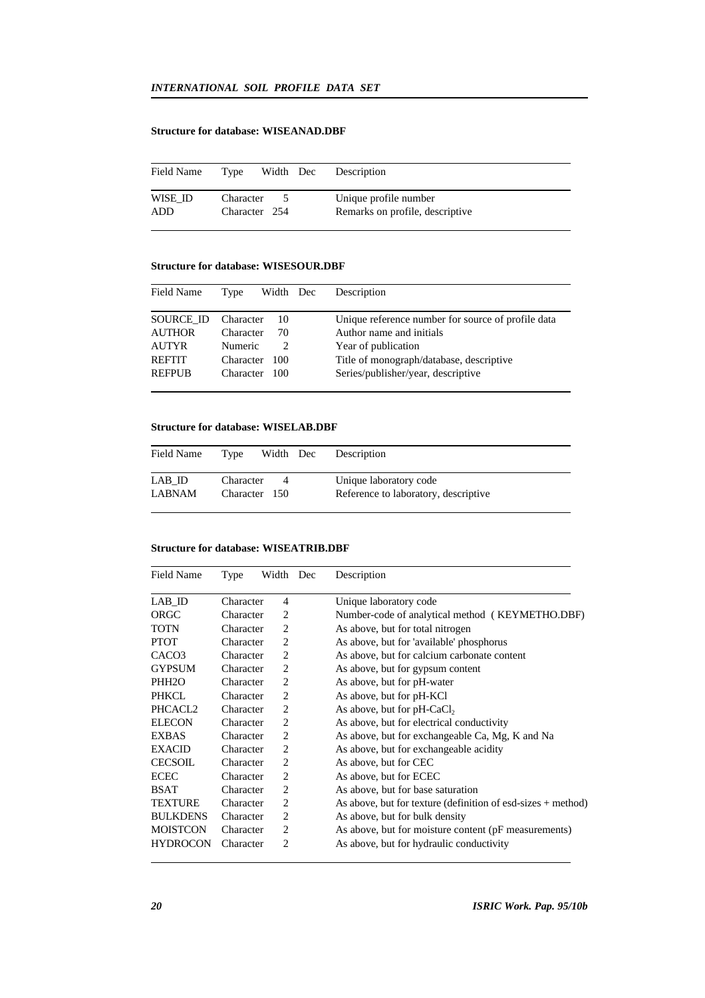## **Structure for database: WISEANAD.DBF**

| Field Name     | Type                       | Width Dec | Description                                              |
|----------------|----------------------------|-----------|----------------------------------------------------------|
| WISE ID<br>ADD | Character<br>Character 254 |           | Unique profile number<br>Remarks on profile, descriptive |

## **Structure for database: WISESOUR.DBF**

| Type      |      |               | Description                                        |
|-----------|------|---------------|----------------------------------------------------|
| Character | 10   |               | Unique reference number for source of profile data |
| Character | 70   |               | Author name and initials                           |
| Numeric   |      |               | Year of publication                                |
| Character | -100 |               | Title of monograph/database, descriptive           |
|           |      |               | Series/publisher/year, descriptive                 |
|           |      | Character 100 | Width Dec                                          |

## **Structure for database: WISELAB.DBF**

| Field Name       | Type                       | Width Dec | Description                                                    |
|------------------|----------------------------|-----------|----------------------------------------------------------------|
| LAB ID<br>LABNAM | Character<br>Character 150 |           | Unique laboratory code<br>Reference to laboratory, descriptive |

#### **Structure for database: WISEATRIB.DBF**

| Field Name          | Type      | Width Dec      | Description                                                    |
|---------------------|-----------|----------------|----------------------------------------------------------------|
| LAB ID              | Character | 4              | Unique laboratory code                                         |
| ORGC                | Character | 2              | Number-code of analytical method (KEYMETHO.DBF)                |
| <b>TOTN</b>         | Character | 2              | As above, but for total nitrogen                               |
| <b>PTOT</b>         | Character | 2              | As above, but for 'available' phosphorus                       |
| CACO <sub>3</sub>   | Character | 2              | As above, but for calcium carbonate content                    |
| <b>GYPSUM</b>       | Character | 2              | As above, but for gypsum content                               |
| PHH <sub>2</sub> O  | Character | 2              | As above, but for pH-water                                     |
| <b>PHKCL</b>        | Character | 2              | As above, but for pH-KCl                                       |
| PHCACL <sub>2</sub> | Character | 2              | As above, but for $pH-CaCl2$                                   |
| <b>ELECON</b>       | Character | $\overline{c}$ | As above, but for electrical conductivity                      |
| <b>EXBAS</b>        | Character | 2              | As above, but for exchangeable Ca, Mg, K and Na                |
| <b>EXACID</b>       | Character | 2              | As above, but for exchangeable acidity                         |
| <b>CECSOIL</b>      | Character | 2              | As above, but for CEC                                          |
| <b>ECEC</b>         | Character | 2              | As above, but for ECEC                                         |
| <b>BSAT</b>         | Character | 2              | As above, but for base saturation                              |
| <b>TEXTURE</b>      | Character | 2              | As above, but for texture (definition of esd-sizes $+$ method) |
| <b>BULKDENS</b>     | Character | 2              | As above, but for bulk density                                 |
| <b>MOISTCON</b>     | Character | 2              | As above, but for moisture content (pF measurements)           |
| <b>HYDROCON</b>     | Character | $\overline{c}$ | As above, but for hydraulic conductivity                       |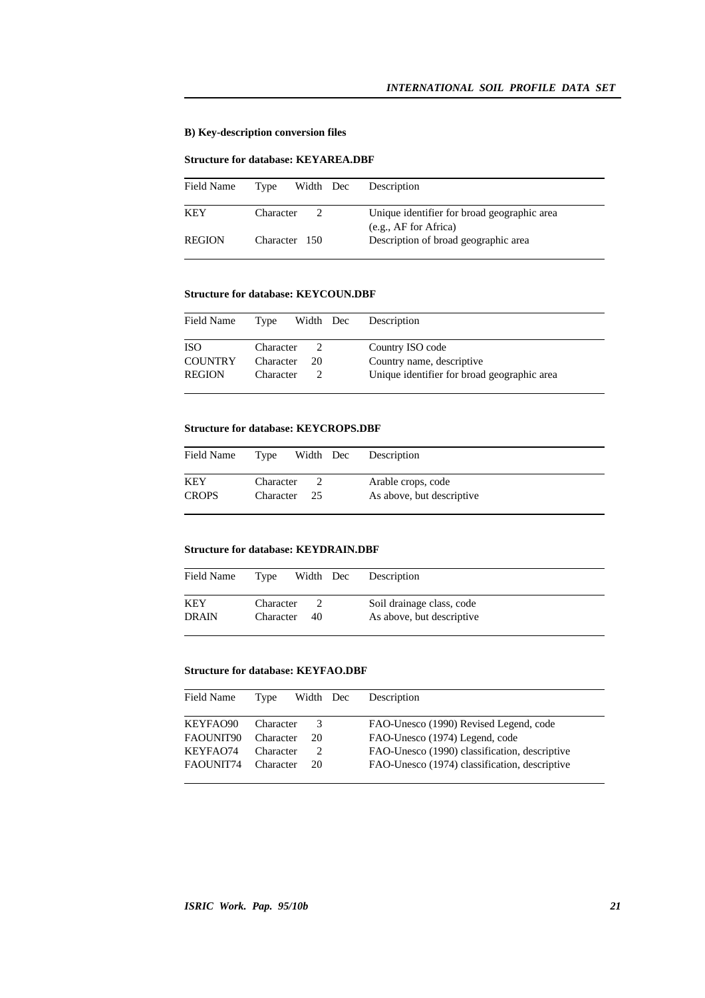## **B) Key-description conversion files**

### **Structure for database: KEYAREA.DBF**

| Field Name    | Width Dec<br>Type          | Description                                                          |
|---------------|----------------------------|----------------------------------------------------------------------|
| <b>KEY</b>    | Character<br>$\mathcal{D}$ | Unique identifier for broad geographic area<br>(e.g., AF for Africa) |
| <b>REGION</b> | Character 150              | Description of broad geographic area                                 |

## **Structure for database: KEYCOUN.DBF**

| Field Name     | Type      | Width Dec | Description                                 |
|----------------|-----------|-----------|---------------------------------------------|
| <b>ISO</b>     | Character | 20        | Country ISO code                            |
| <b>COUNTRY</b> | Character |           | Country name, descriptive                   |
| <b>REGION</b>  | Character |           | Unique identifier for broad geographic area |

#### **Structure for database: KEYCROPS.DBF**

| Field Name   | Width Dec<br>Type | Description               |
|--------------|-------------------|---------------------------|
| <b>KEY</b>   | Character         | Arable crops, code        |
| <b>CROPS</b> | Character 25      | As above, but descriptive |

#### **Structure for database: KEYDRAIN.DBF**

| Field Name   | Type      | Width Dec | Description               |
|--------------|-----------|-----------|---------------------------|
| KEY          | Character | 40        | Soil drainage class, code |
| <b>DRAIN</b> | Character |           | As above, but descriptive |

## **Structure for database: KEYFAO.DBF**

| Field Name | Type      | Width Dec | Description                                   |
|------------|-----------|-----------|-----------------------------------------------|
| KEYFAO90   | Character | 3         | FAO-Unesco (1990) Revised Legend, code        |
| FAQUNIT90  | Character | 20        | FAO-Unesco (1974) Legend, code                |
| KEYFA074   | Character |           | FAO-Unesco (1990) classification, descriptive |
| FAQUNIT74  | Character | 20        | FAO-Unesco (1974) classification, descriptive |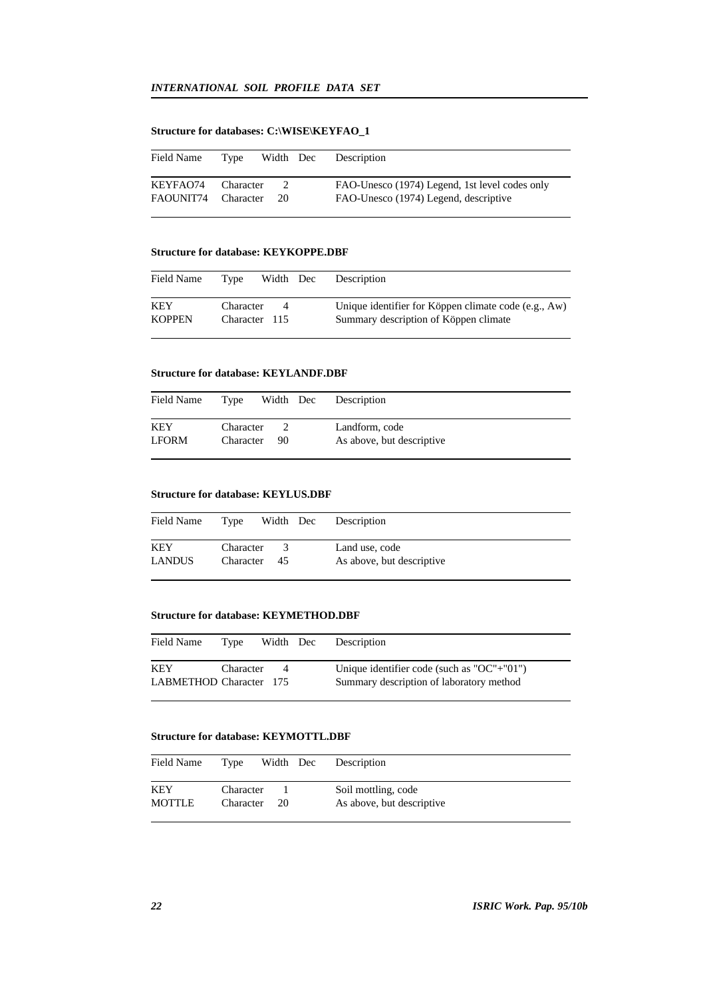## **Structure for databases: C:\WISE\KEYFAO\_1**

| Field Name          | Type      | Width Dec | Description                                    |
|---------------------|-----------|-----------|------------------------------------------------|
| KEYFAO74            | Character |           | FAO-Unesco (1974) Legend, 1st level codes only |
| FAOUNIT74 Character |           | 20        | FAO-Unesco (1974) Legend, descriptive          |

#### **Structure for database: KEYKOPPE.DBF**

| Field Name           | Type                       | Width Dec | Description                                                                                   |
|----------------------|----------------------------|-----------|-----------------------------------------------------------------------------------------------|
| KEY<br><b>KOPPEN</b> | Character<br>Character 115 | 4         | Unique identifier for Köppen climate code (e.g., Aw)<br>Summary description of Köppen climate |

#### **Structure for database: KEYLANDF.DBF**

| Field Name          | Type                   | Width Dec | Description                                 |
|---------------------|------------------------|-----------|---------------------------------------------|
| KEY<br><b>LFORM</b> | Character<br>Character | 90        | Landform, code<br>As above, but descriptive |

## **Structure for database: KEYLUS.DBF**

| Field Name    | Type      | Width Dec | Description               |
|---------------|-----------|-----------|---------------------------|
| <b>KEY</b>    | Character | 3         | Land use, code            |
| <b>LANDUS</b> | Character | -45       | As above, but descriptive |

#### **Structure for database: KEYMETHOD.DBF**

| Field Name              | Type      | Width Dec | Description                                |
|-------------------------|-----------|-----------|--------------------------------------------|
| <b>KEY</b>              | Character | $\Delta$  | Unique identifier code (such as "OC"+"01") |
| LABMETHOD Character 175 |           |           | Summary description of laboratory method   |

## **Structure for database: KEYMOTTL.DBF**

| Field Name           | Type                   | Width Dec | Description                                      |
|----------------------|------------------------|-----------|--------------------------------------------------|
| KEY<br><b>MOTTLE</b> | Character<br>Character | 20        | Soil mottling, code<br>As above, but descriptive |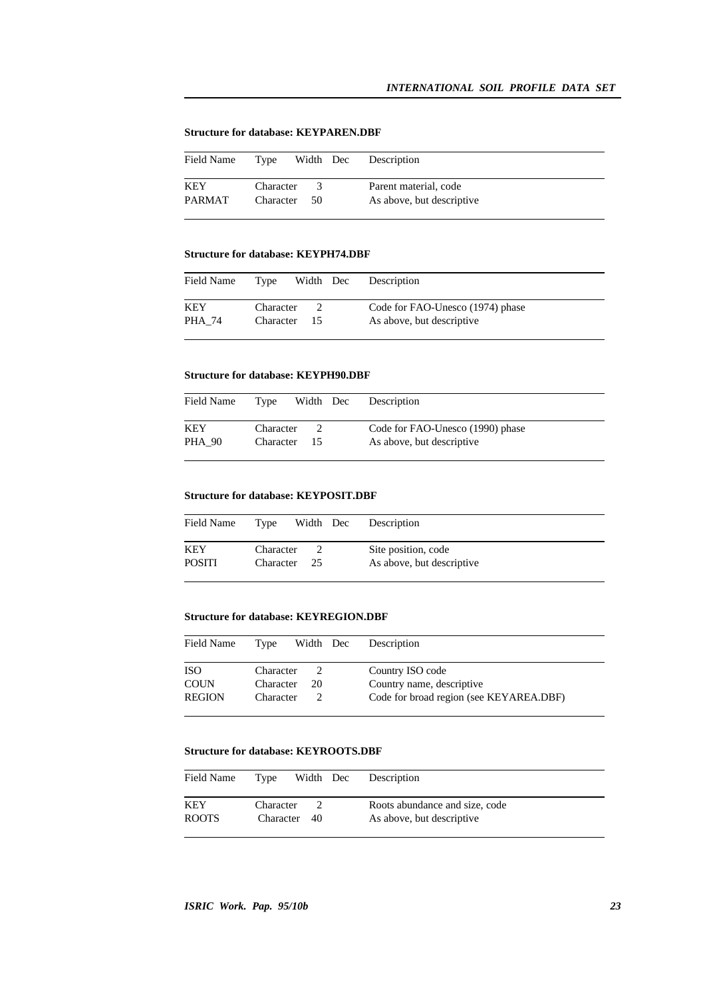## **Structure for database: KEYPAREN.DBF**

| Field Name    | Type      |      | Width Dec Description     |
|---------------|-----------|------|---------------------------|
| <b>KEY</b>    | Character | $-3$ | Parent material, code     |
| <b>PARMAT</b> | Character | - 50 | As above, but descriptive |

## **Structure for database: KEYPH74.DBF**

| Field Name    | Type                   | Width Dec | Description                                                   |
|---------------|------------------------|-----------|---------------------------------------------------------------|
| KEY<br>PHA 74 | Character<br>Character | -15       | Code for FAO-Unesco (1974) phase<br>As above, but descriptive |

## **Structure for database: KEYPH90.DBF**

| Field Name           | Type                   | Width Dec | Description                                                   |
|----------------------|------------------------|-----------|---------------------------------------------------------------|
| KEY<br><b>PHA 90</b> | Character<br>Character | -15       | Code for FAO-Unesco (1990) phase<br>As above, but descriptive |

### **Structure for database: KEYPOSIT.DBF**

| Field Name           | Type                   | Width Dec | Description                                      |
|----------------------|------------------------|-----------|--------------------------------------------------|
| KEY<br><b>POSITI</b> | Character<br>Character | - 25      | Site position, code<br>As above, but descriptive |

## **Structure for database: KEYREGION.DBF**

| Field Name    | Width Dec<br>Type | Description                             |
|---------------|-------------------|-----------------------------------------|
| <b>ISO</b>    | Character         | Country ISO code                        |
| <b>COUN</b>   | 20<br>Character   | Country name, descriptive               |
| <b>REGION</b> | Character         | Code for broad region (see KEYAREA.DBF) |

#### **Structure for database: KEYROOTS.DBF**

| Field Name   | Type         | Width Dec | Description                    |
|--------------|--------------|-----------|--------------------------------|
| KEY          | Character    |           | Roots abundance and size, code |
| <b>ROOTS</b> | Character 40 |           | As above, but descriptive      |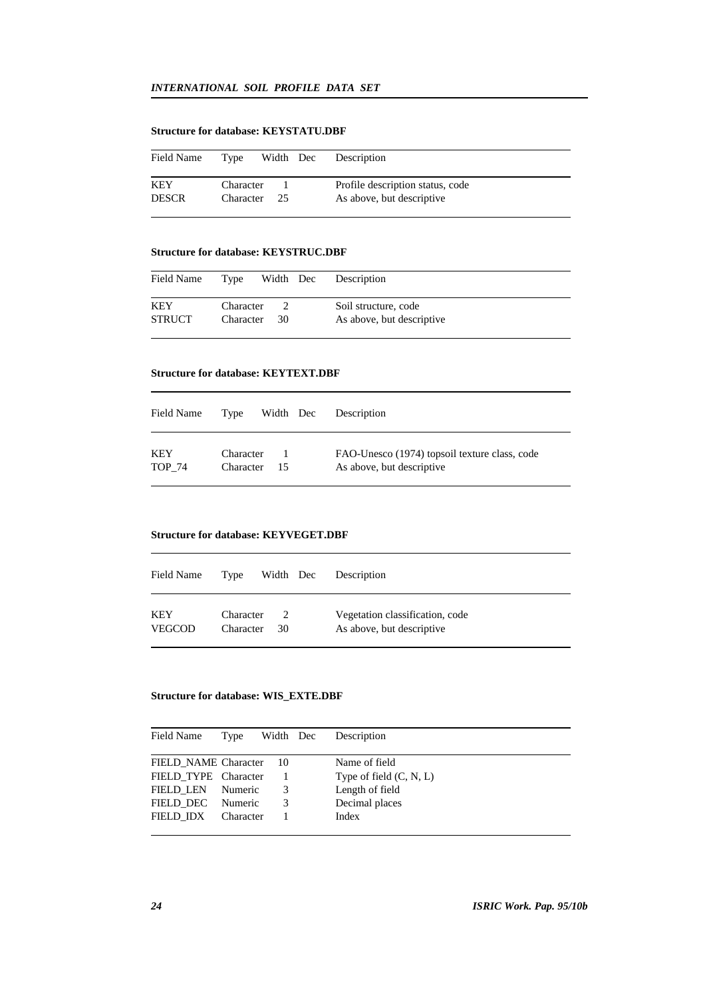## **Structure for database: KEYSTATU.DBF**

| Field Name          | Type                   | Width Dec | Description                                                   |
|---------------------|------------------------|-----------|---------------------------------------------------------------|
| KEY<br><b>DESCR</b> | Character<br>Character | -25       | Profile description status, code<br>As above, but descriptive |

#### **Structure for database: KEYSTRUC.DBF**

| Field Name           | Type                   | Width Dec | Description                                       |
|----------------------|------------------------|-----------|---------------------------------------------------|
| KEY<br><b>STRUCT</b> | Character<br>Character | -30       | Soil structure, code<br>As above, but descriptive |

#### **Structure for database: KEYTEXT.DBF**

| Field Name    | Type      | Width Dec | Description                                   |
|---------------|-----------|-----------|-----------------------------------------------|
| KEY           | Character | -15       | FAO-Unesco (1974) topsoil texture class, code |
| <b>TOP 74</b> | Character |           | As above, but descriptive                     |

#### **Structure for database: KEYVEGET.DBF**

| Field Name    | Type      | Width Dec     | Description                     |
|---------------|-----------|---------------|---------------------------------|
| KEY           | Character | $\mathcal{L}$ | Vegetation classification, code |
| <b>VEGCOD</b> | Character | 30            | As above, but descriptive       |

## **Structure for database: WIS\_EXTE.DBF**

| Field Name           | Type      | Width Dec | Description               |
|----------------------|-----------|-----------|---------------------------|
| FIELD NAME Character |           | - 10      | Name of field             |
| FIELD TYPE Character |           |           | Type of field $(C, N, L)$ |
| <b>FIELD LEN</b>     | Numeric   | 3         | Length of field           |
| FIELD DEC            | Numeric   | 3         | Decimal places            |
| FIELD IDX            | Character |           | Index                     |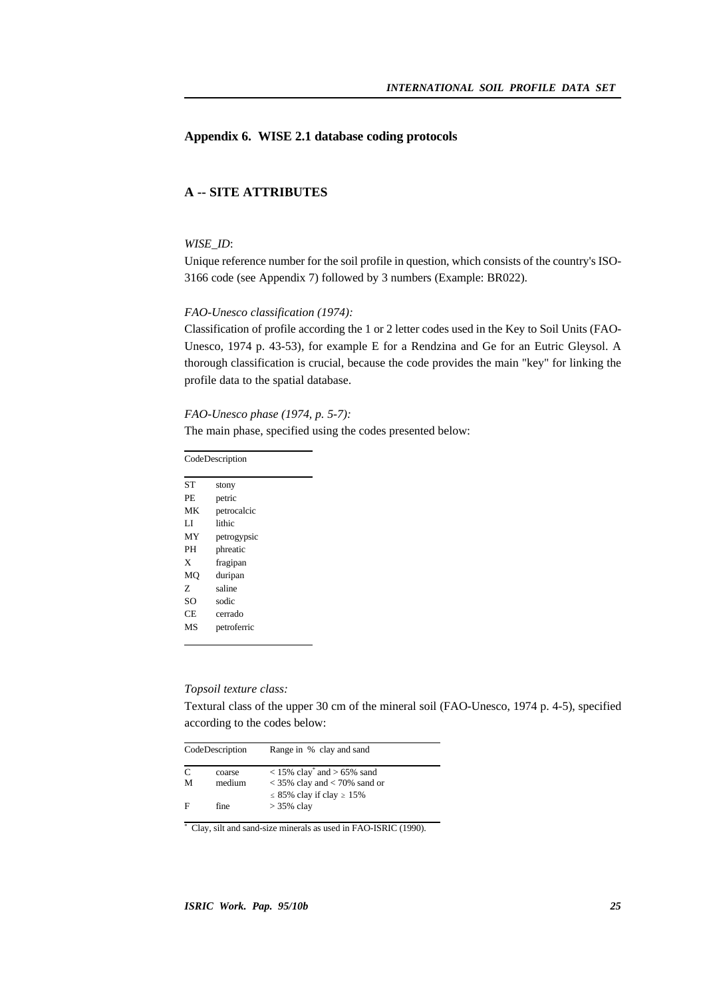## **Appendix 6. WISE 2.1 database coding protocols**

## **A -- SITE ATTRIBUTES**

## *WISE\_ID*:

Unique reference number for the soil profile in question, which consists of the country's ISO-3166 code (see Appendix 7) followed by 3 numbers (Example: BR022).

#### *FAO-Unesco classification (1974):*

Classification of profile according the 1 or 2 letter codes used in the Key to Soil Units (FAO-Unesco, 1974 p. 43-53), for example E for a Rendzina and Ge for an Eutric Gleysol. A thorough classification is crucial, because the code provides the main "key" for linking the profile data to the spatial database.

#### *FAO-Unesco phase (1974, p. 5-7):*

The main phase, specified using the codes presented below:

CodeDescription ST stony PE petric MK petrocalcic LI lithic MY petrogypsic PH phreatic X fragipan MQ duripan Z saline SO sodic CE cerrado MS petroferric

## *Topsoil texture class:*

Textural class of the upper 30 cm of the mineral soil (FAO-Unesco, 1974 p. 4-5), specified according to the codes below:

| CodeDescription |                  | Range in % clay and sand                                                                                           |  |  |
|-----------------|------------------|--------------------------------------------------------------------------------------------------------------------|--|--|
| C<br>м          | coarse<br>medium | $<$ 15% clay <sup>*</sup> and > 65% sand<br>$<$ 35% clay and $<$ 70% sand or<br>$\leq$ 85% clay if clay $\geq$ 15% |  |  |
| F               | fine             | $>$ 35% clay                                                                                                       |  |  |

\* Clay, silt and sand-size minerals as used in FAO-ISRIC (1990).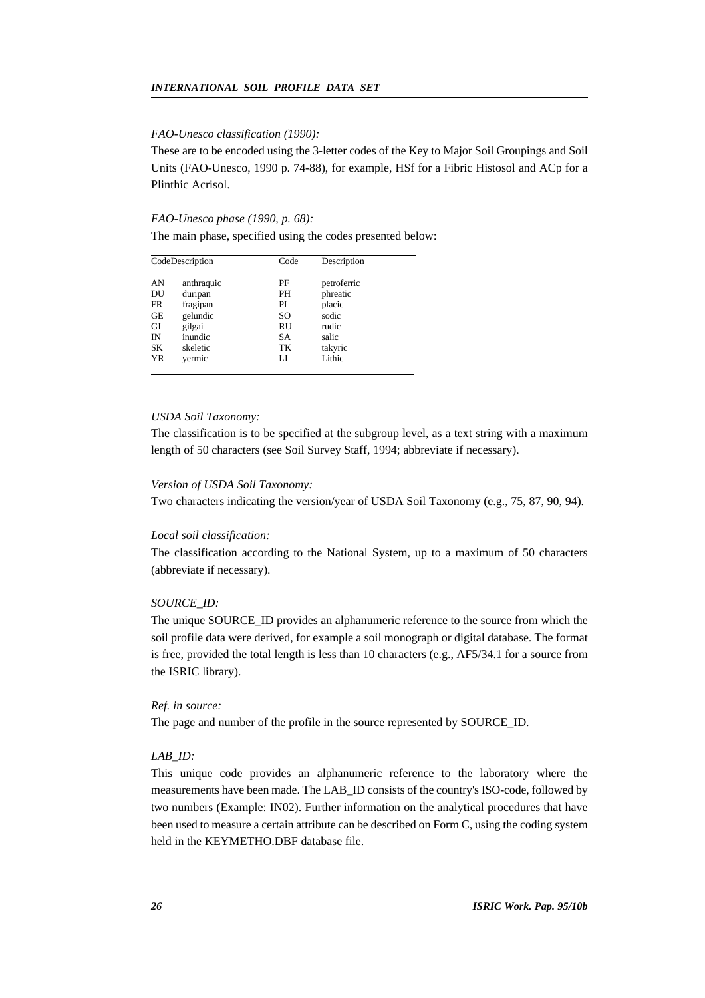#### *FAO-Unesco classification (1990):*

These are to be encoded using the 3-letter codes of the Key to Major Soil Groupings and Soil Units (FAO-Unesco, 1990 p. 74-88), for example, HSf for a Fibric Histosol and ACp for a Plinthic Acrisol.

#### *FAO-Unesco phase (1990, p. 68):*

The main phase, specified using the codes presented below:

| CodeDescription |            | Code | Description |  |
|-----------------|------------|------|-------------|--|
| AN              | anthraquic | PF   | petroferric |  |
| DU              | duripan    | PН   | phreatic    |  |
| FR              | fragipan   | PL.  | placic      |  |
| GE              | gelundic   | SO   | sodic       |  |
| GI              | gilgai     | RU   | rudic       |  |
| IN              | inundic    | SА   | salic       |  |
| SK              | skeletic   | TК   | takyric     |  |
| <b>YR</b>       | vermic     | LI   | Lithic      |  |

#### *USDA Soil Taxonomy:*

The classification is to be specified at the subgroup level, as a text string with a maximum length of 50 characters (see Soil Survey Staff, 1994; abbreviate if necessary).

#### *Version of USDA Soil Taxonomy:*

Two characters indicating the version/year of USDA Soil Taxonomy (e.g., 75, 87, 90, 94).

#### *Local soil classification:*

The classification according to the National System, up to a maximum of 50 characters (abbreviate if necessary).

#### *SOURCE\_ID:*

The unique SOURCE\_ID provides an alphanumeric reference to the source from which the soil profile data were derived, for example a soil monograph or digital database. The format is free, provided the total length is less than 10 characters (e.g., AF5/34.1 for a source from the ISRIC library).

#### *Ref. in source:*

The page and number of the profile in the source represented by SOURCE\_ID.

## *LAB\_ID:*

This unique code provides an alphanumeric reference to the laboratory where the measurements have been made. The LAB\_ID consists of the country's ISO-code, followed by two numbers (Example: IN02). Further information on the analytical procedures that have been used to measure a certain attribute can be described on Form C, using the coding system held in the KEYMETHO.DBF database file.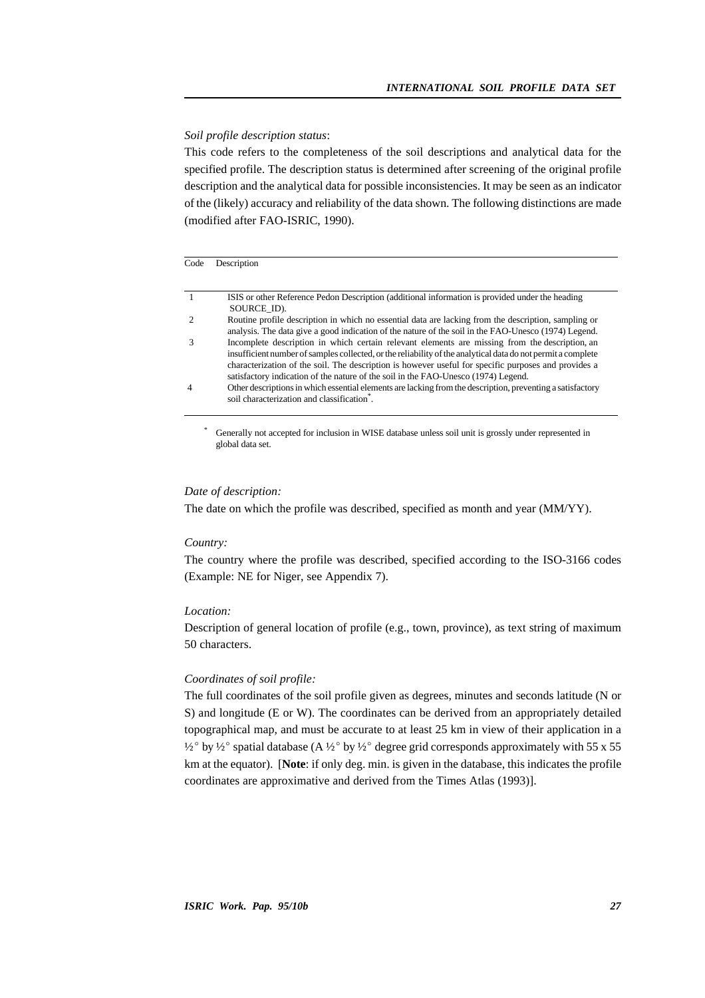#### *Soil profile description status*:

This code refers to the completeness of the soil descriptions and analytical data for the specified profile. The description status is determined after screening of the original profile description and the analytical data for possible inconsistencies. It may be seen as an indicator of the (likely) accuracy and reliability of the data shown. The following distinctions are made (modified after FAO-ISRIC, 1990).

#### Code Description

|                | ISIS or other Reference Pedon Description (additional information is provided under the heading              |
|----------------|--------------------------------------------------------------------------------------------------------------|
|                | SOURCE ID).                                                                                                  |
|                | Routine profile description in which no essential data are lacking from the description, sampling or         |
|                | analysis. The data give a good indication of the nature of the soil in the FAO-Unesco (1974) Legend.         |
|                | Incomplete description in which certain relevant elements are missing from the description, an               |
|                | insufficient number of samples collected, or the reliability of the analytical data do not permit a complete |
|                | characterization of the soil. The description is however useful for specific purposes and provides a         |
|                | satisfactory indication of the nature of the soil in the FAO-Unesco (1974) Legend.                           |
| $\overline{4}$ | Other descriptions in which essential elements are lacking from the description, preventing a satisfactory   |
|                | soil characterization and classification <sup>"</sup> .                                                      |
|                |                                                                                                              |

Generally not accepted for inclusion in WISE database unless soil unit is grossly under represented in global data set.

#### *Date of description:*

The date on which the profile was described, specified as month and year (MM/YY).

#### *Country:*

The country where the profile was described, specified according to the ISO-3166 codes (Example: NE for Niger, see Appendix 7).

#### *Location:*

Description of general location of profile (e.g., town, province), as text string of maximum 50 characters.

#### *Coordinates of soil profile:*

The full coordinates of the soil profile given as degrees, minutes and seconds latitude (N or S) and longitude (E or W). The coordinates can be derived from an appropriately detailed topographical map, and must be accurate to at least 25 km in view of their application in a  $\frac{1}{2}$  by  $\frac{1}{2}$  spatial database (A  $\frac{1}{2}$  by  $\frac{1}{2}$  degree grid corresponds approximately with 55 x 55 km at the equator). [**Note**: if only deg. min. is given in the database, this indicates the profile coordinates are approximative and derived from the Times Atlas (1993)].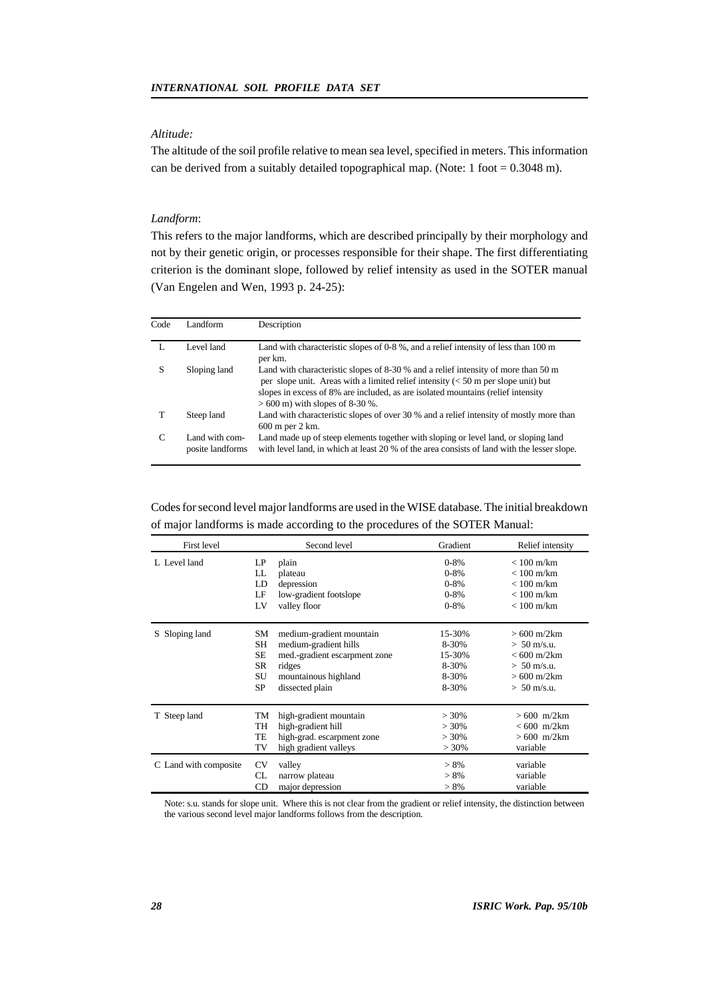## *Altitude:*

The altitude of the soil profile relative to mean sea level, specified in meters. This information can be derived from a suitably detailed topographical map. (Note: 1 foot = 0.3048 m).

## *Landform*:

This refers to the major landforms, which are described principally by their morphology and not by their genetic origin, or processes responsible for their shape. The first differentiating criterion is the dominant slope, followed by relief intensity as used in the SOTER manual (Van Engelen and Wen, 1993 p. 24-25):

| Code | Landform                           | Description                                                                                                                                                                                                                                                                                                |
|------|------------------------------------|------------------------------------------------------------------------------------------------------------------------------------------------------------------------------------------------------------------------------------------------------------------------------------------------------------|
|      | Level land                         | Land with characteristic slopes of $0.8$ %, and a relief intensity of less than 100 m<br>per km.                                                                                                                                                                                                           |
| S    | Sloping land                       | Land with characteristic slopes of 8-30 % and a relief intensity of more than 50 m<br>per slope unit. Areas with a limited relief intensity $(< 50 \text{ m}$ per slope unit) but<br>slopes in excess of 8% are included, as are isolated mountains (relief intensity<br>$> 600$ m) with slopes of 8-30 %. |
|      | Steep land                         | Land with characteristic slopes of over 30 % and a relief intensity of mostly more than<br>600 m per 2 km.                                                                                                                                                                                                 |
| C    | Land with com-<br>posite landforms | Land made up of steep elements together with sloping or level land, or sloping land<br>with level land, in which at least 20 % of the area consists of land with the lesser slope.                                                                                                                         |

Codes for second level major landforms are used in the WISE database. The initial breakdown of major landforms is made according to the procedures of the SOTER Manual:

| First level           | Second level                                                                                                                                                                       | Gradient                                                    | Relief intensity                                                                                                                                    |
|-----------------------|------------------------------------------------------------------------------------------------------------------------------------------------------------------------------------|-------------------------------------------------------------|-----------------------------------------------------------------------------------------------------------------------------------------------------|
| L. Level land         | LP<br>plain<br>LL<br>plateau<br>LD<br>depression<br>low-gradient footslope<br>LF<br>valley floor<br>LV                                                                             | $0 - 8%$<br>$0 - 8%$<br>$0 - 8\%$<br>$0 - 8\%$<br>$0 - 8\%$ | $< 100$ m/km<br>$< 100$ m/km<br>$< 100$ m/km<br>$< 100$ m/km<br>$< 100$ m/km                                                                        |
| S Sloping land        | SM<br>medium-gradient mountain<br>medium-gradient hills<br>SH<br>SE<br>med.-gradient escarpment zone<br><b>SR</b><br>ridges<br>SU<br>mountainous highland<br>SP<br>dissected plain | 15-30%<br>8-30%<br>15-30%<br>8-30%<br>8-30%<br>8-30%        | $>600 \text{ m}/2 \text{km}$<br>$> 50$ m/s.u.<br>$< 600 \text{ m} / 2 \text{ km}$<br>$> 50$ m/s.u.<br>$>600 \text{ m}/2 \text{km}$<br>$> 50$ m/s.u. |
| T Steep land          | high-gradient mountain<br>TМ<br>high-gradient hill<br>TH<br>high-grad. escarpment zone<br>TE<br>high gradient valleys<br>TV                                                        | $>30\%$<br>$>30\%$<br>$>30\%$<br>$> 30\%$                   | $>600$ m/2km<br>$< 600$ m/2km<br>$>600$ m/2km<br>variable                                                                                           |
| C Land with composite | CV<br>valley<br>narrow plateau<br>CL<br>major depression<br>CD                                                                                                                     | $> 8\%$<br>$> 8\%$<br>$> 8\%$                               | variable<br>variable<br>variable                                                                                                                    |

Note: s.u. stands for slope unit. Where this is not clear from the gradient or relief intensity, the distinction between the various second level major landforms follows from the description.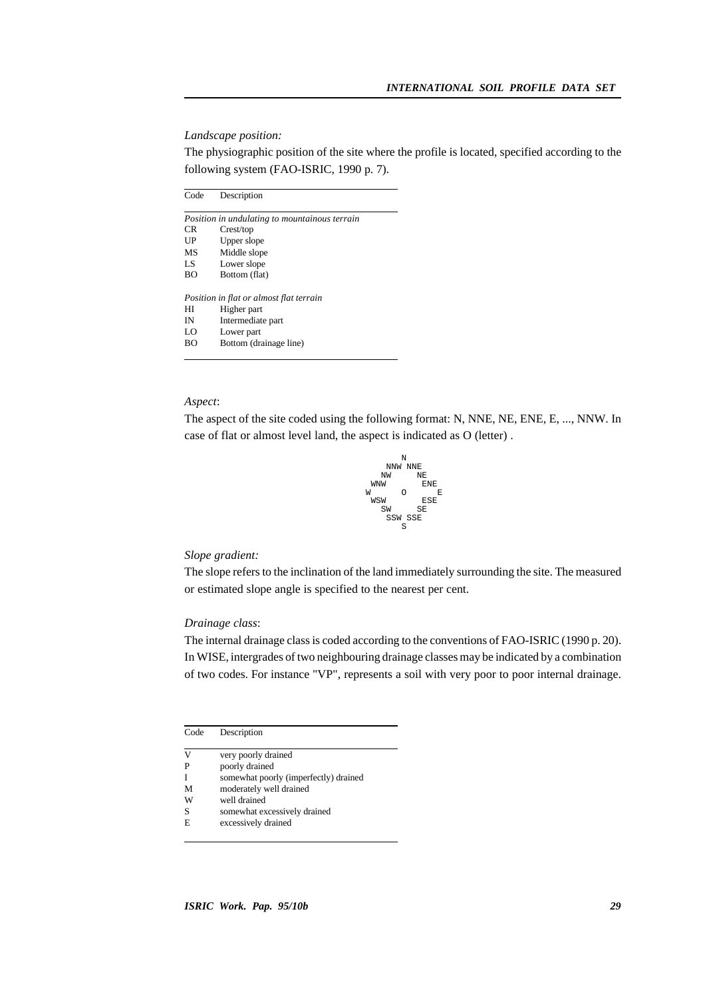#### *Landscape position:*

The physiographic position of the site where the profile is located, specified according to the following system (FAO-ISRIC, 1990 p. 7).

| Code | Description                                   |
|------|-----------------------------------------------|
|      | Position in undulating to mountainous terrain |
| CR.  | Crest/top                                     |
| UP   | Upper slope                                   |
| MS   | Middle slope                                  |
| LS   | Lower slope                                   |
| BΟ   | Bottom (flat)                                 |
|      | Position in flat or almost flat terrain       |
| НI   | Higher part                                   |
| IN   | Intermediate part                             |
| LO   | Lower part                                    |
| BО   | Bottom (drainage line)                        |
|      |                                               |

## *Aspect*:

The aspect of the site coded using the following format: N, NNE, NE, ENE, E, ..., NNW. In case of flat or almost level land, the aspect is indicated as O (letter) .



### *Slope gradient:*

The slope refers to the inclination of the land immediately surrounding the site. The measured or estimated slope angle is specified to the nearest per cent.

## *Drainage class*:

The internal drainage class is coded according to the conventions of FAO-ISRIC (1990 p. 20). In WISE, intergrades of two neighbouring drainage classes may be indicated by a combination of two codes. For instance "VP", represents a soil with very poor to poor internal drainage.

| Code | Description |
|------|-------------|
|------|-------------|

- V very poorly drained
- P poorly drained
- I somewhat poorly (imperfectly) drained
- M moderately well drained
- W well drained<br>S somewhat ex
- S somewhat excessively drained<br>E excessively drained

excessively drained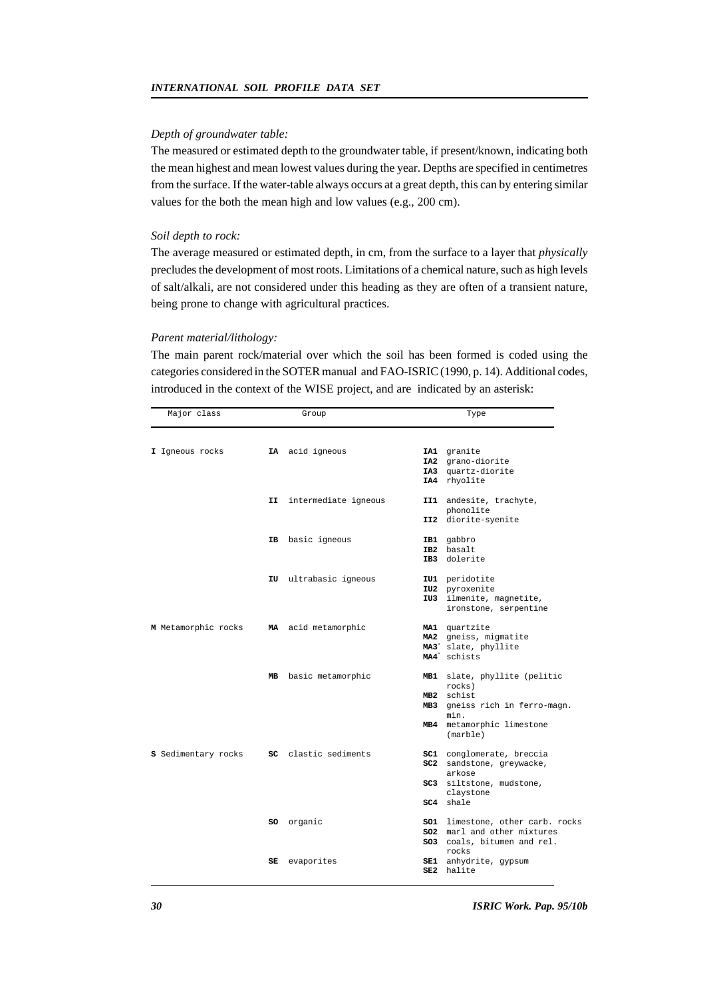#### *Depth of groundwater table:*

The measured or estimated depth to the groundwater table, if present/known, indicating both the mean highest and mean lowest values during the year. Depths are specified in centimetres from the surface. If the water-table always occurs at a great depth, this can by entering similar values for the both the mean high and low values (e.g., 200 cm).

#### *Soil depth to rock:*

The average measured or estimated depth, in cm, from the surface to a layer that *physically* precludes the development of most roots. Limitations of a chemical nature, such as high levels of salt/alkali, are not considered under this heading as they are often of a transient nature, being prone to change with agricultural practices.

#### *Parent material/lithology:*

The main parent rock/material over which the soil has been formed is coded using the categories considered in the SOTER manual and FAO-ISRIC (1990, p. 14). Additional codes, introduced in the context of the WISE project, and are indicated by an asterisk:

| Major class |                     | Group |                       | Type |                                                |  |
|-------------|---------------------|-------|-----------------------|------|------------------------------------------------|--|
|             |                     |       |                       |      |                                                |  |
|             | I Igneous rocks     |       | IA acid igneous       |      | IA1 granite                                    |  |
|             |                     |       |                       |      | IA2 grano-diorite                              |  |
|             |                     |       |                       |      | IA3 quartz-diorite                             |  |
|             |                     |       |                       |      | IA4 rhyolite                                   |  |
|             |                     | II I  | intermediate igneous  |      | II1 andesite, trachyte,                        |  |
|             |                     |       |                       |      | phonolite                                      |  |
|             |                     |       |                       |      | II2 diorite-syenite                            |  |
|             |                     |       | IB basic igneous      |      | IB1 gabbro                                     |  |
|             |                     |       |                       |      | IB2 basalt                                     |  |
|             |                     |       |                       |      | IB3 dolerite                                   |  |
|             |                     |       | IU ultrabasic igneous |      | IU1 peridotite                                 |  |
|             |                     |       |                       |      | IU2 pyroxenite                                 |  |
|             |                     |       |                       |      | IU3 ilmenite, magnetite,                       |  |
|             |                     |       |                       |      | ironstone, serpentine                          |  |
|             | M Metamorphic rocks |       | MA acid metamorphic   |      | MA1 quartzite                                  |  |
|             |                     |       |                       |      | MA2 gneiss, migmatite                          |  |
|             |                     |       |                       |      | MA3 <sup>*</sup> slate, phyllite               |  |
|             |                     |       |                       |      | MA4 <sup>*</sup> schists                       |  |
|             |                     |       | MB basic metamorphic  |      | MB1 slate, phyllite (pelitic                   |  |
|             |                     |       |                       |      | rocks)                                         |  |
|             |                     |       |                       |      | MB2 schist                                     |  |
|             |                     |       |                       | MB3  | gneiss rich in ferro-magn.                     |  |
|             |                     |       |                       |      | min.                                           |  |
|             |                     |       |                       |      | MB4 metamorphic limestone<br>$(\text{marble})$ |  |
|             | S Sedimentary rocks |       | SC clastic sediments  |      | SC1 conglomerate, breccia                      |  |
|             |                     |       |                       |      | SC2 sandstone, greywacke,                      |  |
|             |                     |       |                       |      | arkose                                         |  |
|             |                     |       |                       | SC3  | siltstone, mudstone,                           |  |
|             |                     |       |                       |      | claystone                                      |  |
|             |                     |       |                       |      | SC4 shale                                      |  |
|             |                     | so    | organic               |      | <b>SO1</b> limestone, other carb. rocks        |  |
|             |                     |       |                       |      | <b>SO2</b> marl and other mixtures             |  |
|             |                     |       |                       |      | SO3 coals, bitumen and rel.                    |  |
|             |                     |       |                       |      | rocks                                          |  |
|             |                     | SE    | evaporites            | SE1  | anhydrite, gypsum                              |  |
|             |                     |       |                       |      | SE2 halite                                     |  |
|             |                     |       |                       |      |                                                |  |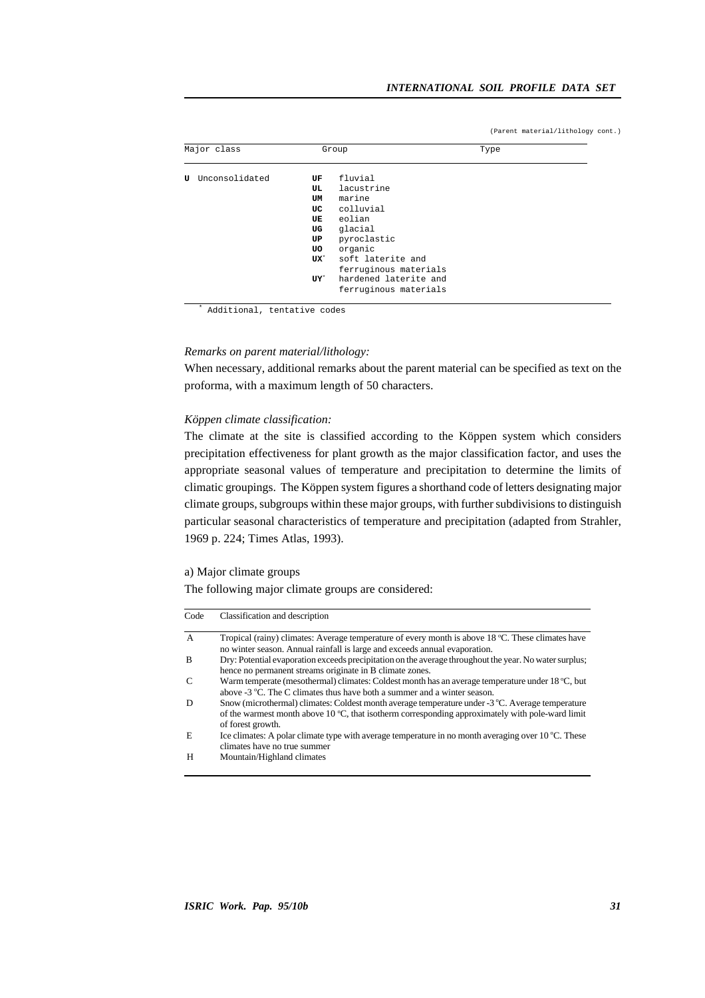(Parent material/lithology cont.)

| Major class         |                                                               | Group                                                                                                                                                                                       | Type |  |
|---------------------|---------------------------------------------------------------|---------------------------------------------------------------------------------------------------------------------------------------------------------------------------------------------|------|--|
| Unconsolidated<br>U | UF<br>UL<br>UM<br>UC<br>UE<br>UG<br>UP<br>UO<br>$ux^*$<br>UY" | fluvial<br>lacustrine<br>marine<br>colluvial<br>eolian<br>glacial<br>pyroclastic<br>organic<br>soft laterite and<br>ferruginous materials<br>hardened laterite and<br>ferruginous materials |      |  |

\* Additional, tentative codes

## *Remarks on parent material/lithology:*

When necessary, additional remarks about the parent material can be specified as text on the proforma, with a maximum length of 50 characters.

#### *Köppen climate classification:*

The climate at the site is classified according to the Köppen system which considers precipitation effectiveness for plant growth as the major classification factor, and uses the appropriate seasonal values of temperature and precipitation to determine the limits of climatic groupings. The Köppen system figures a shorthand code of letters designating major climate groups, subgroups within these major groups, with further subdivisions to distinguish particular seasonal characteristics of temperature and precipitation (adapted from Strahler, 1969 p. 224; Times Atlas, 1993).

#### a) Major climate groups

The following major climate groups are considered:

| Code          | Classification and description                                                                                                                                                                                                      |
|---------------|-------------------------------------------------------------------------------------------------------------------------------------------------------------------------------------------------------------------------------------|
| $\mathbf{A}$  | Tropical (rainy) climates: Average temperature of every month is above 18 °C. These climates have<br>no winter season. Annual rainfall is large and exceeds annual evaporation.                                                     |
| B             | Dry: Potential evaporation exceeds precipitation on the average throughout the year. No water surplus;<br>hence no permanent streams originate in B climate zones.                                                                  |
| $\mathcal{C}$ | Warm temperate (mesothermal) climates: Coldest month has an average temperature under 18 °C, but<br>above $-3$ °C. The C climates thus have both a summer and a winter season.                                                      |
| D             | Snow (microthermal) climates: Coldest month average temperature under -3 °C. Average temperature<br>of the warmest month above 10 $^{\circ}$ C, that isotherm corresponding approximately with pole-ward limit<br>of forest growth. |
| E             | Ice climates: A polar climate type with average temperature in no month averaging over $10^{\circ}$ C. These<br>climates have no true summer                                                                                        |
| н             | Mountain/Highland climates                                                                                                                                                                                                          |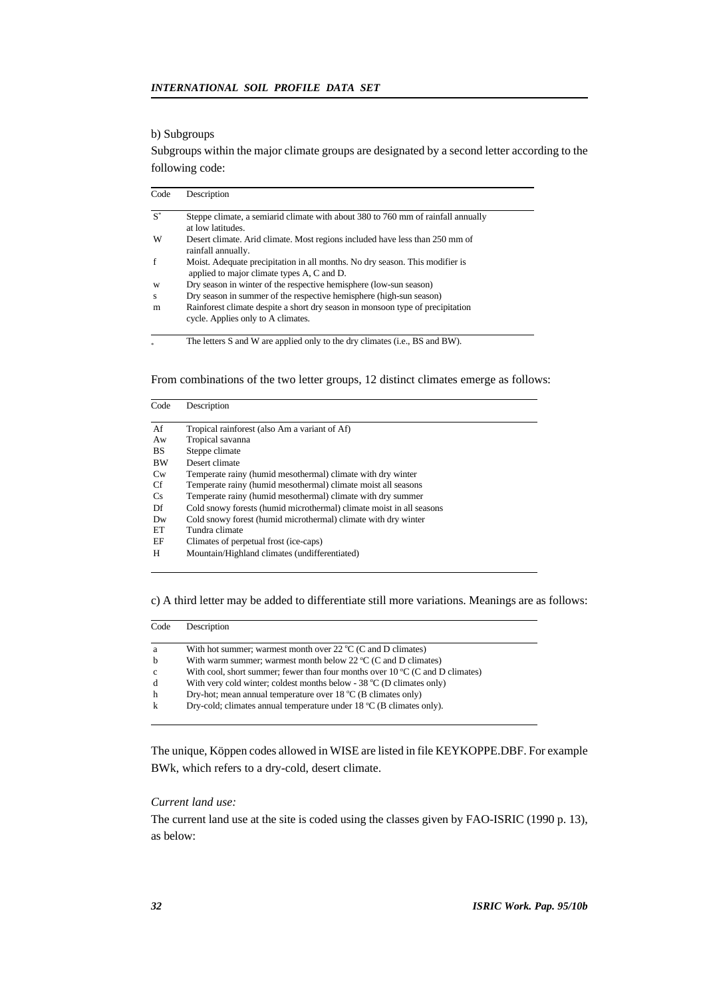## b) Subgroups

Subgroups within the major climate groups are designated by a second letter according to the following code:

| Code  | Description                                                                                                                |
|-------|----------------------------------------------------------------------------------------------------------------------------|
| $S^*$ | Steppe climate, a semiarid climate with about 380 to 760 mm of rainfall annually<br>at low latitudes.                      |
| W     | Desert climate. Arid climate. Most regions included have less than 250 mm of<br>rainfall annually.                         |
| f     | Moist. Adequate precipitation in all months. No dry season. This modifier is<br>applied to major climate types A, C and D. |
| W     | Dry season in winter of the respective hemisphere (low-sun season)                                                         |
| S     | Dry season in summer of the respective hemisphere (high-sun season)                                                        |
| m     | Rainforest climate despite a short dry season in monsoon type of precipitation<br>cycle. Applies only to A climates.       |
|       | The letters S and W are applied only to the dry climates (i.e., BS and BW).                                                |

From combinations of the two letter groups, 12 distinct climates emerge as follows:

| Code | Description                                                          |
|------|----------------------------------------------------------------------|
| Af   | Tropical rainforest (also Am a variant of Af)                        |
| Aw   | Tropical savanna                                                     |
| BS.  | Steppe climate                                                       |
| BW   | Desert climate                                                       |
| Cw   | Temperate rainy (humid mesothermal) climate with dry winter          |
| Cf   | Temperate rainy (humid mesothermal) climate moist all seasons        |
| Cs   | Temperate rainy (humid mesothermal) climate with dry summer          |
| Df   | Cold snowy forests (humid microthermal) climate moist in all seasons |
| Dw   | Cold snowy forest (humid microthermal) climate with dry winter       |
| EТ   | Tundra climate                                                       |
| EF   | Climates of perpetual frost (ice-caps)                               |
| H    | Mountain/Highland climates (undifferentiated)                        |
|      |                                                                      |

c) A third letter may be added to differentiate still more variations. Meanings are as follows:

| Code         | Description                                                                           |
|--------------|---------------------------------------------------------------------------------------|
| a            | With hot summer; warmest month over $22^{\circ}C$ (C and D climates)                  |
| $\mathbf b$  | With warm summer; warmest month below 22 $^{\circ}$ C (C and D climates)              |
| $\mathbf{c}$ | With cool, short summer; fewer than four months over $10\degree C$ (C and D climates) |
| d            | With very cold winter; coldest months below - $38 \degree C$ (D climates only)        |
| h            | Dry-hot; mean annual temperature over $18 \degree C$ (B climates only)                |
| k            | Dry-cold; climates annual temperature under 18 °C (B climates only).                  |

The unique, Köppen codes allowed in WISE are listed in file KEYKOPPE.DBF. For example BWk, which refers to a dry-cold, desert climate.

## *Current land use:*

The current land use at the site is coded using the classes given by FAO-ISRIC (1990 p. 13), as below: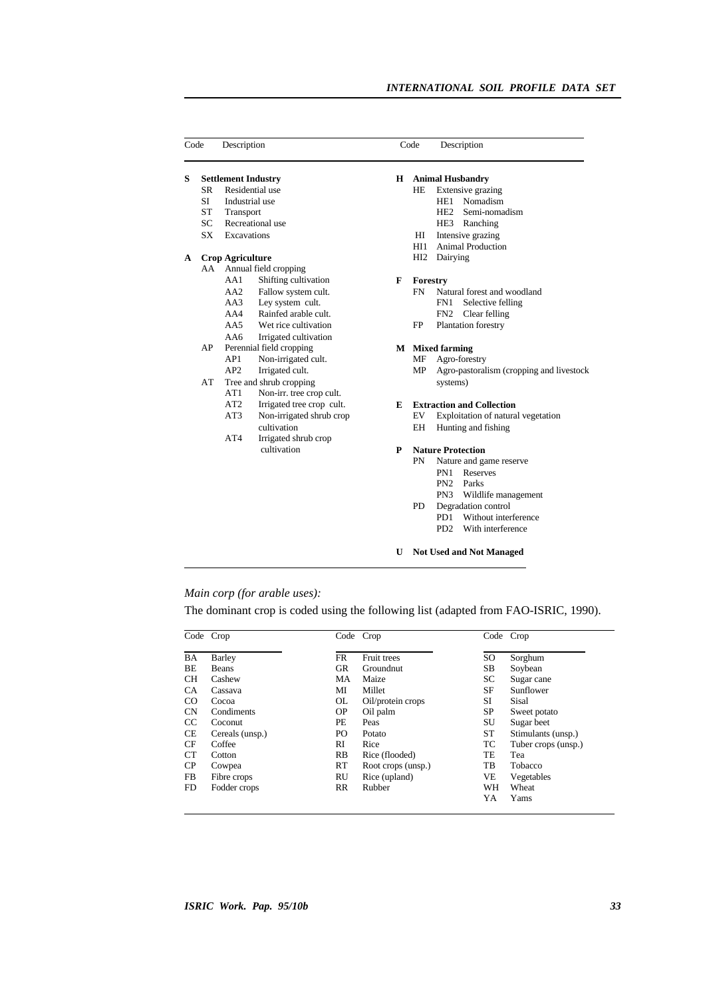| Code |           | Description                |                           | Code |                        | Description                              |  |
|------|-----------|----------------------------|---------------------------|------|------------------------|------------------------------------------|--|
| S    |           | <b>Settlement Industry</b> |                           | Н    |                        | <b>Animal Husbandry</b>                  |  |
|      | SR.       |                            | Residential use           |      | HE.                    | Extensive grazing                        |  |
|      | SI.       | Industrial use             |                           |      |                        | Nomadism<br>HE1                          |  |
|      | <b>ST</b> | Transport                  |                           |      |                        | HE2<br>Semi-nomadism                     |  |
|      | SC.       |                            | Recreational use          |      |                        | HE3<br>Ranching                          |  |
|      | SX        | Excavations                |                           |      | HІ                     | Intensive grazing                        |  |
|      |           |                            |                           |      | HI1                    | <b>Animal Production</b>                 |  |
| A    |           | <b>Crop Agriculture</b>    |                           |      | HI2                    | Dairying                                 |  |
|      |           |                            | AA Annual field cropping  |      |                        |                                          |  |
|      |           | AA1                        | Shifting cultivation      | F    | Forestry               |                                          |  |
|      |           | AA2                        | Fallow system cult.       |      | <b>FN</b>              | Natural forest and woodland              |  |
|      |           | AA3                        | Ley system cult.          |      |                        | FN1<br>Selective felling                 |  |
|      |           | AA4                        | Rainfed arable cult.      |      |                        | FN2<br>Clear felling                     |  |
|      |           | AA5                        | Wet rice cultivation      |      | FP                     | Plantation forestry                      |  |
|      |           | AA6                        | Irrigated cultivation     |      |                        |                                          |  |
|      | AP        |                            | Perennial field cropping  |      | <b>M</b> Mixed farming |                                          |  |
|      |           | AP1                        | Non-irrigated cult.       |      | MF                     | Agro-forestry                            |  |
|      |           | AP2                        | Irrigated cult.           |      | MP                     | Agro-pastoralism (cropping and livestock |  |
|      | AT        |                            | Tree and shrub cropping   |      |                        | systems)                                 |  |
|      |           | AT1                        | Non-irr. tree crop cult.  |      |                        |                                          |  |
|      |           | AT <sub>2</sub>            | Irrigated tree crop cult. | E    |                        | <b>Extraction and Collection</b>         |  |
|      |           | AT3                        | Non-irrigated shrub crop  |      | EV                     | Exploitation of natural vegetation       |  |
|      |           |                            | cultivation               |      | EΗ                     | Hunting and fishing                      |  |
|      |           | AT4                        | Irrigated shrub crop      |      |                        |                                          |  |
|      |           |                            | cultivation               | P    |                        | <b>Nature Protection</b>                 |  |
|      |           |                            |                           |      | <b>PN</b>              | Nature and game reserve                  |  |
|      |           |                            |                           |      |                        | PN1<br>Reserves                          |  |
|      |           |                            |                           |      |                        | PN <sub>2</sub><br>Parks                 |  |
|      |           |                            |                           |      |                        | PN <sub>3</sub><br>Wildlife management   |  |
|      |           |                            |                           |      | PD                     | Degradation control                      |  |
|      |           |                            |                           |      |                        | P <sub>D</sub> 1<br>Without interference |  |

## *Main corp (for arable uses):*

The dominant crop is coded using the following list (adapted from FAO-ISRIC, 1990).

PD2 With interference

**U Not Used and Not Managed**

|           | Code Crop       |           | Code Crop          |               | Code Crop           |
|-----------|-----------------|-----------|--------------------|---------------|---------------------|
| BA        | Barley          | FR        | Fruit trees        | <sub>SO</sub> | Sorghum             |
| BE        | <b>Beans</b>    | GR        | Groundnut          | <b>SB</b>     | Soybean             |
| <b>CH</b> | Cashew          | MA        | Maize              | SC            | Sugar cane          |
| <b>CA</b> | Cassava         | MI        | Millet             | SF            | Sunflower           |
| CO        | Cocoa           | <b>OL</b> | Oil/protein crops  | SI            | Sisal               |
| <b>CN</b> | Condiments      | <b>OP</b> | Oil palm           | SP            | Sweet potato        |
| CC        | Coconut         | PЕ        | Peas               | SU            | Sugar beet          |
| <b>CE</b> | Cereals (unsp.) | PО        | Potato             | ST            | Stimulants (unsp.)  |
| <b>CF</b> | Coffee          | RI        | Rice               | TC            | Tuber crops (unsp.) |
| <b>CT</b> | Cotton          | <b>RB</b> | Rice (flooded)     | TE            | Tea                 |
| CP        | Cowpea          | <b>RT</b> | Root crops (unsp.) | TB            | Tobacco             |
| FB.       | Fibre crops     | RU        | Rice (upland)      | VE            | Vegetables          |
| FD        | Fodder crops    | <b>RR</b> | Rubber             | WH            | Wheat               |
|           |                 |           |                    | YA            | Yams                |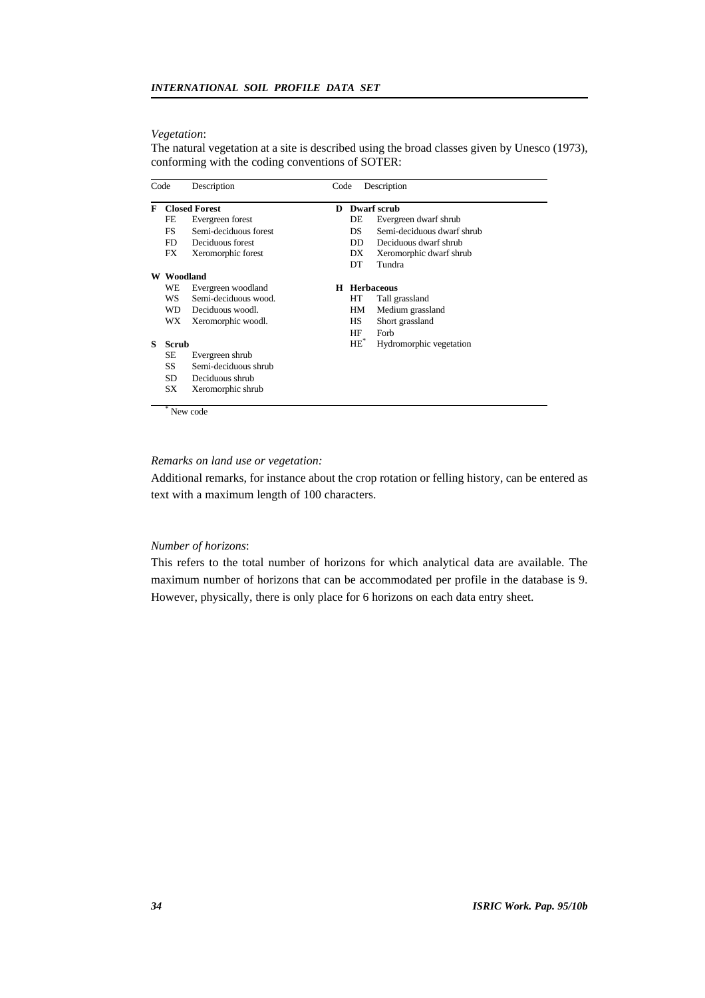#### *Vegetation*:

The natural vegetation at a site is described using the broad classes given by Unesco (1973), conforming with the coding conventions of SOTER:

| Code |              | Description           |   | Description<br>Code |                            |  |  |
|------|--------------|-----------------------|---|---------------------|----------------------------|--|--|
| F    |              | <b>Closed Forest</b>  |   |                     | <b>Dwarf</b> scrub         |  |  |
|      | FE           | Evergreen forest      |   | DE                  | Evergreen dwarf shrub      |  |  |
|      | FS.          | Semi-deciduous forest |   | DS.                 | Semi-deciduous dwarf shrub |  |  |
|      | FD           | Deciduous forest      |   | DD.                 | Deciduous dwarf shrub      |  |  |
|      | FX           | Xeromorphic forest    |   | DX                  | Xeromorphic dwarf shrub    |  |  |
|      |              |                       |   | DT.                 | Tundra                     |  |  |
| W    | Woodland     |                       |   |                     |                            |  |  |
|      | WE           | Evergreen woodland    | н |                     | Herbaceous                 |  |  |
|      | WS           | Semi-deciduous wood.  |   | HТ                  | Tall grassland             |  |  |
|      | WD.          | Deciduous woodl.      |   | HМ                  | Medium grassland           |  |  |
|      | WX           | Xeromorphic woodl.    |   | HS                  | Short grassland            |  |  |
|      |              |                       |   | HF                  | Forb                       |  |  |
| s    | <b>Scrub</b> |                       |   | $HE^*$              | Hydromorphic vegetation    |  |  |
|      | SЕ           | Evergreen shrub       |   |                     |                            |  |  |
|      | SS           | Semi-deciduous shrub  |   |                     |                            |  |  |
|      | SD.          | Deciduous shrub       |   |                     |                            |  |  |
|      | SX           | Xeromorphic shrub     |   |                     |                            |  |  |
|      |              | New code              |   |                     |                            |  |  |

#### *Remarks on land use or vegetation:*

Additional remarks, for instance about the crop rotation or felling history, can be entered as text with a maximum length of 100 characters.

## *Number of horizons*:

This refers to the total number of horizons for which analytical data are available. The maximum number of horizons that can be accommodated per profile in the database is 9. However, physically, there is only place for 6 horizons on each data entry sheet.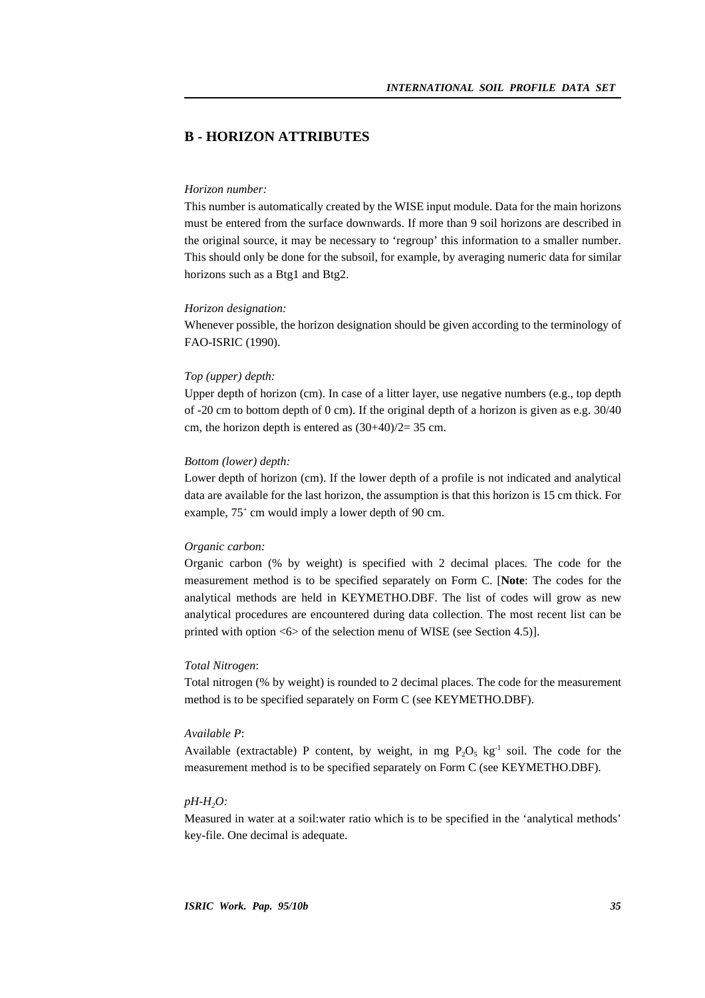## **B - HORIZON ATTRIBUTES**

#### *Horizon number:*

This number is automatically created by the WISE input module. Data for the main horizons must be entered from the surface downwards. If more than 9 soil horizons are described in the original source, it may be necessary to 'regroup' this information to a smaller number. This should only be done for the subsoil, for example, by averaging numeric data for similar horizons such as a Btg1 and Btg2.

#### *Horizon designation:*

Whenever possible, the horizon designation should be given according to the terminology of FAO-ISRIC (1990).

#### *Top (upper) depth:*

Upper depth of horizon (cm). In case of a litter layer, use negative numbers (e.g., top depth of -20 cm to bottom depth of 0 cm). If the original depth of a horizon is given as e.g. 30/40 cm, the horizon depth is entered as  $(30+40)/2=35$  cm.

#### *Bottom (lower) depth:*

Lower depth of horizon (cm). If the lower depth of a profile is not indicated and analytical data are available for the last horizon, the assumption is that this horizon is 15 cm thick. For example, 75<sup>+</sup> cm would imply a lower depth of 90 cm.

#### *Organic carbon:*

Organic carbon (% by weight) is specified with 2 decimal places. The code for the measurement method is to be specified separately on Form C. [**Note**: The codes for the analytical methods are held in KEYMETHO.DBF. The list of codes will grow as new analytical procedures are encountered during data collection. The most recent list can be printed with option  $\langle 6 \rangle$  of the selection menu of WISE (see Section 4.5)].

## *Total Nitrogen*:

Total nitrogen (% by weight) is rounded to 2 decimal places. The code for the measurement method is to be specified separately on Form C (see KEYMETHO.DBF).

## *Available P*:

Available (extractable) P content, by weight, in mg  $P_2O_5$  kg<sup>-1</sup> soil. The code for the measurement method is to be specified separately on Form C (see KEYMETHO.DBF).

### *pH-H2O:*

Measured in water at a soil:water ratio which is to be specified in the 'analytical methods' key-file. One decimal is adequate.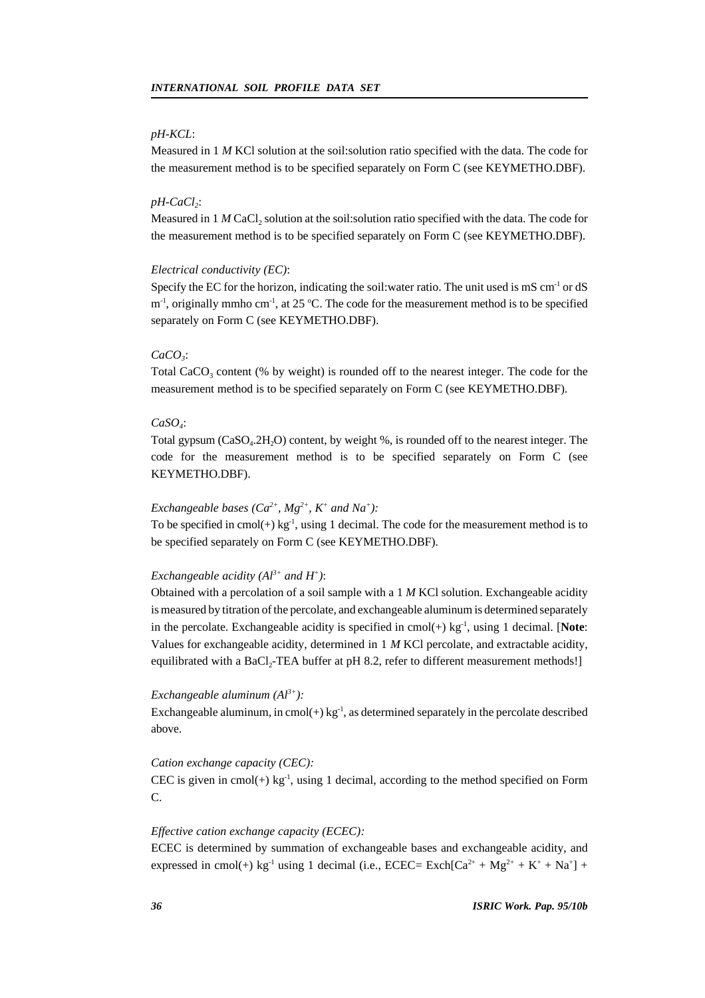## *pH-KCL*:

Measured in 1 *M* KCl solution at the soil:solution ratio specified with the data. The code for the measurement method is to be specified separately on Form C (see KEYMETHO.DBF).

### *pH-CaCl<sup>2</sup>* :

Measured in 1 *M* CaCl<sub>2</sub> solution at the soil: solution ratio specified with the data. The code for the measurement method is to be specified separately on Form C (see KEYMETHO.DBF).

#### *Electrical conductivity (EC)*:

Specify the EC for the horizon, indicating the soil:water ratio. The unit used is mS cm<sup>-1</sup> or dS  $m<sup>-1</sup>$ , originally mmho cm<sup>-1</sup>, at 25 °C. The code for the measurement method is to be specified separately on Form C (see KEYMETHO.DBF).

### *CaCO<sup>3</sup>* :

Total CaCO<sub>3</sub> content (% by weight) is rounded off to the nearest integer. The code for the measurement method is to be specified separately on Form C (see KEYMETHO.DBF).

## *CaSO<sup>4</sup>* :

Total gypsum (CaSO<sub>4</sub>.2H<sub>2</sub>O) content, by weight %, is rounded off to the nearest integer. The code for the measurement method is to be specified separately on Form C (see KEYMETHO.DBF).

## *Exchangeable bases* ( $Ca^{2+}$ *, Mg*<sup>2+</sup>*, K<sup>+</sup> and Na<sup>+</sup>):*

To be specified in cmol(+)  $kg^{-1}$ , using 1 decimal. The code for the measurement method is to be specified separately on Form C (see KEYMETHO.DBF).

#### *Exchangeable acidity (Al3+ and H<sup>+</sup> )*:

Obtained with a percolation of a soil sample with a 1 *M* KCl solution. Exchangeable acidity is measured by titration of the percolate, and exchangeable aluminum is determined separately in the percolate. Exchangeable acidity is specified in cmol(+) kg-1 , using 1 decimal. [**Note**: Values for exchangeable acidity, determined in 1 *M* KCl percolate, and extractable acidity, equilibrated with a BaCl<sub>2</sub>-TEA buffer at pH 8.2, refer to different measurement methods!]

#### *Exchangeable aluminum (Al3+):*

Exchangeable aluminum, in cmol(+)  $kg^{-1}$ , as determined separately in the percolate described above.

#### *Cation exchange capacity (CEC):*

CEC is given in cmol(+)  $kg^{-1}$ , using 1 decimal, according to the method specified on Form C.

#### *Effective cation exchange capacity (ECEC):*

ECEC is determined by summation of exchangeable bases and exchangeable acidity, and expressed in cmol(+) kg<sup>-1</sup> using 1 decimal (i.e., ECEC= Exch[Ca<sup>2+</sup> + Mg<sup>2+</sup> + K<sup>+</sup> + Na<sup>+</sup>] +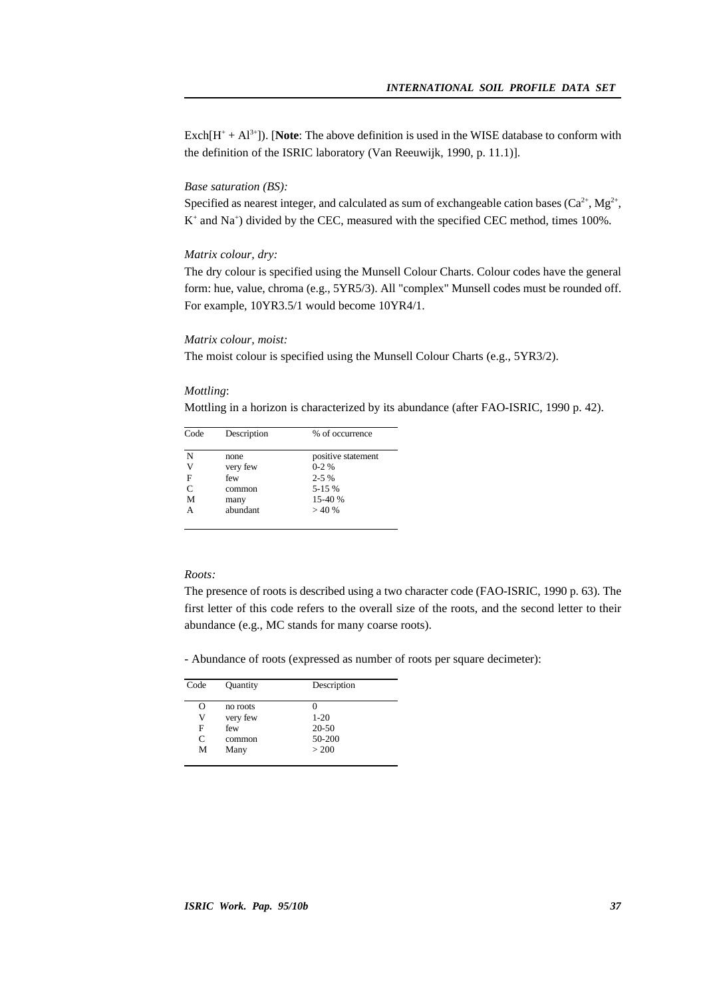$\text{Exch}[\text{H}^+ + \text{Al}^{3+}]$ ). [Note: The above definition is used in the WISE database to conform with the definition of the ISRIC laboratory (Van Reeuwijk, 1990, p. 11.1)].

#### *Base saturation (BS):*

Specified as nearest integer, and calculated as sum of exchangeable cation bases  $(Ca^{2+}, Mg^{2+},$ K<sup>+</sup> and Na<sup>+</sup>) divided by the CEC, measured with the specified CEC method, times 100%.

## *Matrix colour, dry:*

The dry colour is specified using the Munsell Colour Charts. Colour codes have the general form: hue, value, chroma (e.g., 5YR5/3). All "complex" Munsell codes must be rounded off. For example, 10YR3.5/1 would become 10YR4/1.

#### *Matrix colour, moist:*

The moist colour is specified using the Munsell Colour Charts (e.g., 5YR3/2).

#### *Mottling*:

Mottling in a horizon is characterized by its abundance (after FAO-ISRIC, 1990 p. 42).

| Code | Description | % of occurrence    |
|------|-------------|--------------------|
| N    | none        | positive statement |
| V    | very few    | $0-2%$             |
| F    | few         | $2 - 5\%$          |
| C    | common      | 5-15 %             |
| м    | many        | 15-40 %            |
| А    | abundant    | >40%               |

#### *Roots:*

The presence of roots is described using a two character code (FAO-ISRIC, 1990 p. 63). The first letter of this code refers to the overall size of the roots, and the second letter to their abundance (e.g., MC stands for many coarse roots).

- Abundance of roots (expressed as number of roots per square decimeter):

| Code | Quantity | Description |
|------|----------|-------------|
| O    | no roots |             |
| V    | very few | $1 - 20$    |
| F    | few      | $20 - 50$   |
| C    | common   | 50-200      |
| M    | Many     | > 200       |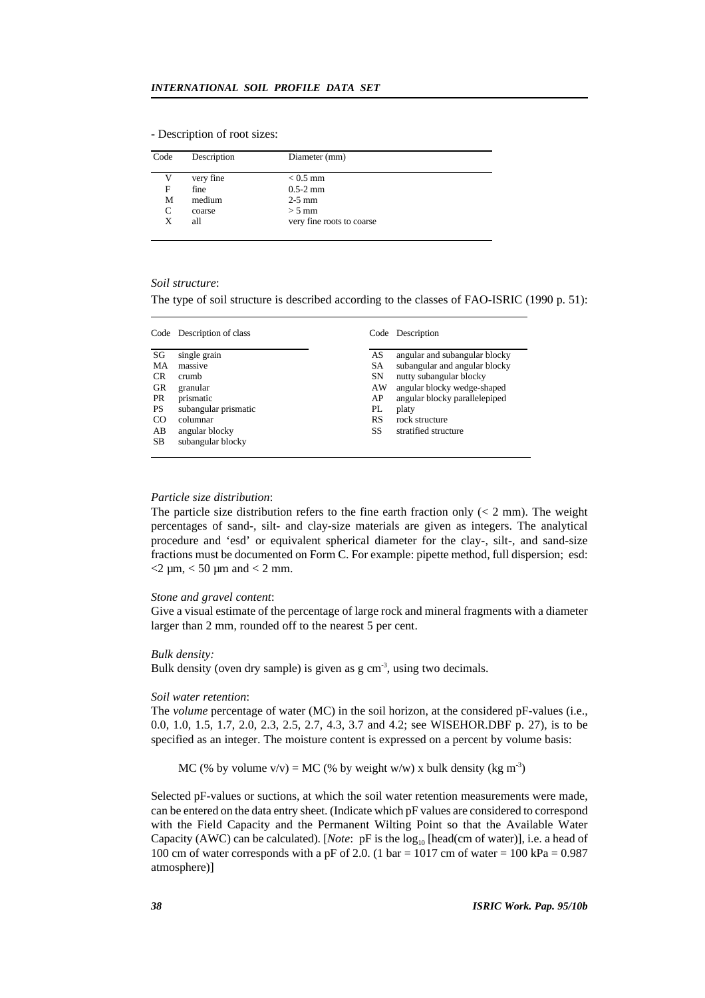| - Description of root sizes: |  |
|------------------------------|--|
|------------------------------|--|

| Code | Description | Diameter (mm)             |  |
|------|-------------|---------------------------|--|
| V    | very fine   | $< 0.5$ mm                |  |
| F    | fine        | $0.5-2 \text{ mm}$        |  |
| М    | medium      | $2-5$ mm                  |  |
| C    | coarse      | $> 5$ mm                  |  |
| X    | all         | very fine roots to coarse |  |
|      |             |                           |  |

#### *Soil structure*:

The type of soil structure is described according to the classes of FAO-ISRIC (1990 p. 51):

| Code      | Description of class |           | Code Description              |
|-----------|----------------------|-----------|-------------------------------|
| SG        | single grain         | AS        | angular and subangular blocky |
| MA        | massive              | SA        | subangular and angular blocky |
| CR.       | crumb                | <b>SN</b> | nutty subangular blocky       |
| GR        | granular             | AW        | angular blocky wedge-shaped   |
| <b>PR</b> | prismatic            | AP        | angular blocky parallelepiped |
| <b>PS</b> | subangular prismatic | PL        | platy                         |
| CO        | columnar             | RS        | rock structure                |
| AB        | angular blocky       | SS        | stratified structure          |
| <b>SB</b> | subangular blocky    |           |                               |

#### *Particle size distribution*:

The particle size distribution refers to the fine earth fraction only  $(< 2$  mm). The weight percentages of sand-, silt- and clay-size materials are given as integers. The analytical procedure and 'esd' or equivalent spherical diameter for the clay-, silt-, and sand-size fractions must be documented on Form C. For example: pipette method, full dispersion; esd:  $<$  2  $\mu$ m,  $<$  50  $\mu$ m and  $<$  2 mm.

#### *Stone and gravel content*:

Give a visual estimate of the percentage of large rock and mineral fragments with a diameter larger than 2 mm, rounded off to the nearest 5 per cent.

#### *Bulk density:*

Bulk density (oven dry sample) is given as  $g \text{ cm}^{-3}$ , using two decimals.

#### *Soil water retention*:

The *volume* percentage of water (MC) in the soil horizon, at the considered pF-values (i.e., 0.0, 1.0, 1.5, 1.7, 2.0, 2.3, 2.5, 2.7, 4.3, 3.7 and 4.2; see WISEHOR.DBF p. 27), is to be specified as an integer. The moisture content is expressed on a percent by volume basis:

MC (% by volume  $v/v$ ) = MC (% by weight w/w) x bulk density (kg m<sup>-3</sup>)

Selected pF-values or suctions, at which the soil water retention measurements were made, can be entered on the data entry sheet. (Indicate which pF values are considered to correspond with the Field Capacity and the Permanent Wilting Point so that the Available Water Capacity (AWC) can be calculated). [*Note*: pF is the log<sub>10</sub> [head(cm of water)], i.e. a head of 100 cm of water corresponds with a pF of 2.0. (1 bar = 1017 cm of water = 100 kPa =  $0.987$ atmosphere)]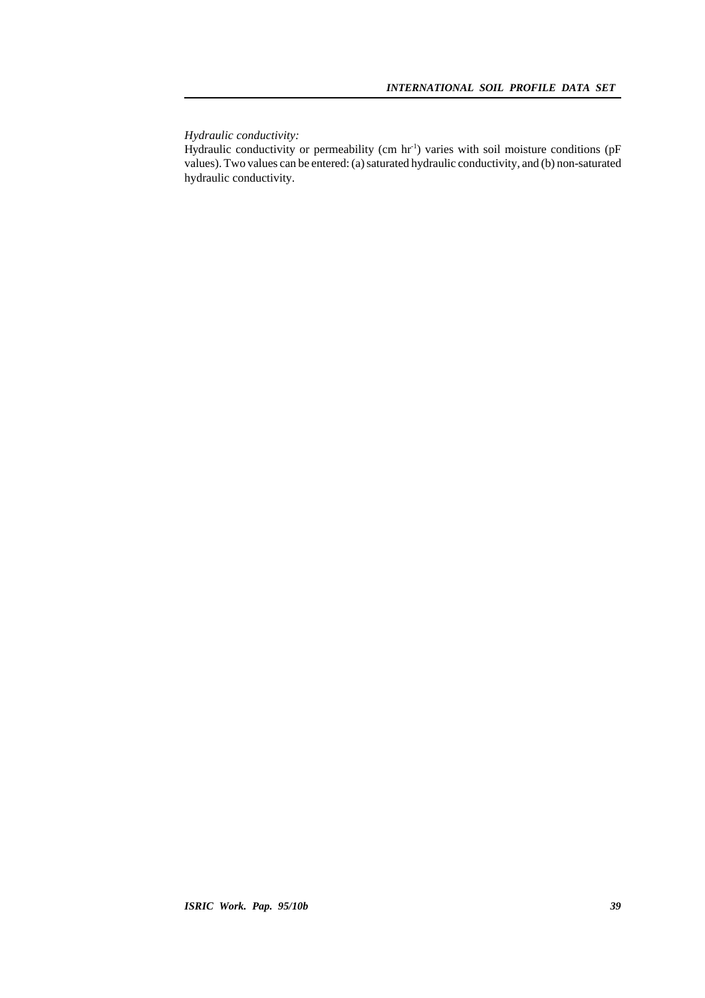*Hydraulic conductivity:*

Hydraulic conductivity or permeability (cm hr<sup>1</sup>) varies with soil moisture conditions (pF values). Two values can be entered: (a) saturated hydraulic conductivity, and (b) non-saturated hydraulic conductivity.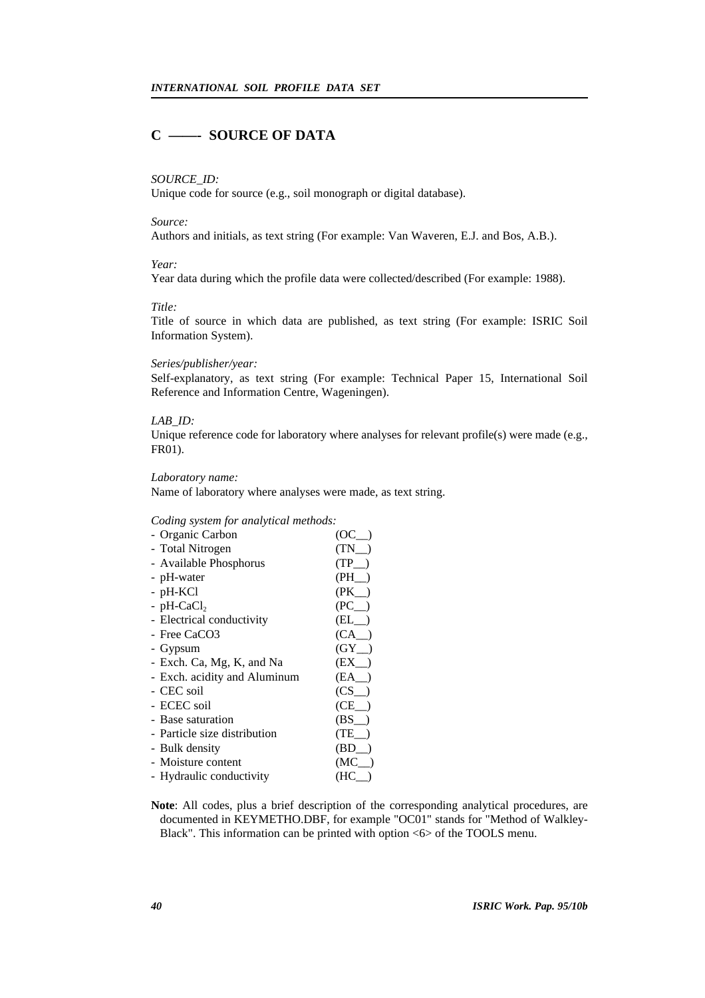## **C ——- SOURCE OF DATA**

#### *SOURCE\_ID:*

Unique code for source (e.g., soil monograph or digital database).

#### *Source:*

Authors and initials, as text string (For example: Van Waveren, E.J. and Bos, A.B.).

#### *Year:*

Year data during which the profile data were collected/described (For example: 1988).

#### *Title:*

Title of source in which data are published, as text string (For example: ISRIC Soil Information System).

#### *Series/publisher/year:*

Self-explanatory, as text string (For example: Technical Paper 15, International Soil Reference and Information Centre, Wageningen).

## *LAB\_ID:*

Unique reference code for laboratory where analyses for relevant profile(s) were made (e.g., FR01).

#### *Laboratory name:*

Name of laboratory where analyses were made, as text string.

#### *Coding system for analytical methods:*

| - Organic Carbon             | (OC =     |
|------------------------------|-----------|
| - Total Nitrogen             | $(TN - )$ |
| - Available Phosphorus       | (TP)      |
| - pH-water                   | (PH)      |
| - pH-KCl                     | $(PK_$    |
| - pH-Ca $Cl2$                | (PC)      |
| - Electrical conductivity    | $(EL_$    |
| - Free CaCO3                 | (CA)      |
| - Gypsum                     | (GY)      |
| - Exch. Ca, Mg, K, and Na    | (EX)      |
| - Exch. acidity and Aluminum | (EA)      |
| - CEC soil                   | $(CS_$    |
| - ECEC soil                  | (CE)      |
| - Base saturation            | (BS)      |
| - Particle size distribution | (TE)      |
| - Bulk density               | (BD)      |
| - Moisture content           | (MC)      |
| - Hydraulic conductivity     | (HC)      |

**Note**: All codes, plus a brief description of the corresponding analytical procedures, are documented in KEYMETHO.DBF, for example "OC01" stands for "Method of Walkley-Black". This information can be printed with option <6> of the TOOLS menu.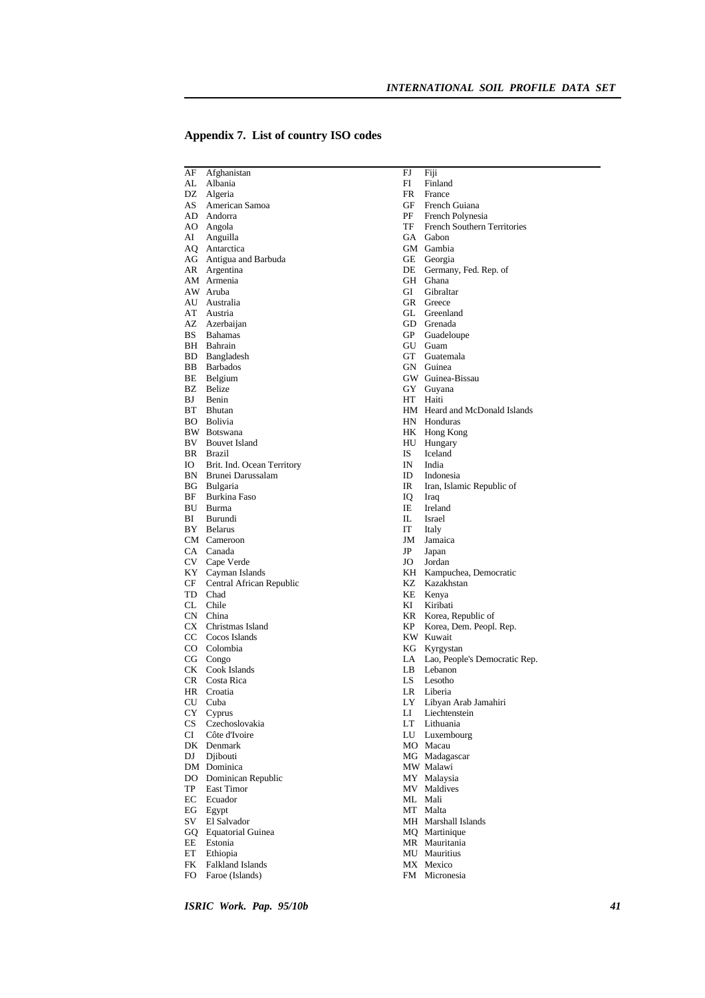| AF       | Afghanistan                         | FJ        | Fiji                             |
|----------|-------------------------------------|-----------|----------------------------------|
|          | AL Albania                          | FI        | Finland                          |
|          | DZ Algeria                          | FR        | France                           |
|          | AS American Samoa                   | GF        | French Guiana                    |
|          | AD Andorra                          | PF        | French Polynesia                 |
|          | AO Angola                           | TF        | French Southern Territories      |
|          | AI Anguilla                         |           | GA Gabon                         |
|          | AQ Antarctica                       |           | GM Gambia                        |
|          | AG Antigua and Barbuda              |           | GE Georgia                       |
|          | AR Argentina                        | DE        | Germany, Fed. Rep. of            |
|          | AM Armenia                          |           | GH Ghana                         |
|          | AW Aruba                            | GI        | Gibraltar                        |
|          | AU Australia                        |           | GR Greece                        |
| AT       | Austria                             |           | GL Greenland                     |
|          | AZ Azerbaijan                       |           | GD Grenada                       |
| BS       | <b>Bahamas</b><br>BH Bahrain        |           | GP Guadeloupe<br>GU Guam         |
|          |                                     | GT        | Guatemala                        |
|          | BD Bangladesh<br><b>BB</b> Barbados |           | GN Guinea                        |
|          | BE Belgium                          |           | GW Guinea-Bissau                 |
|          | <b>BZ</b> Belize                    |           | GY Guyana                        |
| BJ       | Benin                               |           | HT Haiti                         |
|          | BT Bhutan                           |           | HM Heard and McDonald Islands    |
|          | BO Bolivia                          |           | HN Honduras                      |
|          | BW Botswana                         |           | HK Hong Kong                     |
|          | <b>BV</b> Bouvet Island             |           | HU Hungary                       |
|          | BR Brazil                           | IS        | Iceland                          |
| Ю        | Brit. Ind. Ocean Territory          | IN        | India                            |
|          | BN Brunei Darussalam                | ID        | Indonesia                        |
|          | BG Bulgaria                         | IR        | Iran, Islamic Republic of        |
| BF       | Burkina Faso                        | IQ        | Iraq                             |
|          | BU Burma                            | ΙE        | Ireland                          |
| BI       | Burundi                             | IL.       | Israel                           |
|          | BY Belarus                          | IT        | Italy                            |
|          | CM Cameroon                         | JM        | Jamaica                          |
|          | CA Canada                           | JP        | Japan                            |
|          | CV Cape Verde                       | JO        | Jordan                           |
|          | KY Cayman Islands                   |           | KH Kampuchea, Democratic         |
| CF       | Central African Republic            |           | KZ Kazakhstan                    |
|          | TD Chad                             |           | KE Kenya                         |
|          | CL Chile                            | KI        | Kiribati                         |
|          | CN China                            |           | KR Korea, Republic of            |
|          | CX Christmas Island                 | KP        | Korea, Dem. Peopl. Rep.          |
|          | CC Cocos Islands                    |           | KW Kuwait                        |
|          | CO Colombia                         |           | KG Kyrgystan                     |
|          | CG Congo                            |           | LA Lao, People's Democratic Rep. |
|          | CK Cook Islands                     | LB        | Lebanon                          |
| CR       | Costa Rica                          | LS        | Lesotho                          |
|          | HR Croatia                          |           | LR Liberia                       |
| CU       | Cuba                                |           | LY Libyan Arab Jamahiri          |
| CY       | Cyprus                              | LI        | Liechtenstein                    |
| CS       | Czechoslovakia                      | <b>LT</b> | Lithuania                        |
| CI       | Côte d'Ivoire                       | LU        | Luxembourg                       |
|          | DK Denmark                          |           | MO Macau                         |
| DJ       | Djibouti                            |           | MG Madagascar                    |
|          | DM Dominica                         |           | MW Malawi                        |
|          | DO Dominican Republic               |           | MY Malaysia                      |
| TP       | East Timor                          |           | MV Maldives                      |
| EC       | Ecuador                             |           | ML Mali                          |
|          | EG Egypt                            |           | MT Malta                         |
| SV       | El Salvador                         |           | MH Marshall Islands              |
|          | GQ Equatorial Guinea                |           | MO Martinique<br>MR Mauritania   |
| EE<br>ET | Estonia<br>Ethiopia                 |           | MU Mauritius                     |
| FK       | Falkland Islands                    |           | MX Mexico                        |
| FO       | Faroe (Islands)                     |           | FM Micronesia                    |
|          |                                     |           |                                  |

## **Appendix 7. List of country ISO codes**

*ISRIC Work. Pap. 95/10b 41*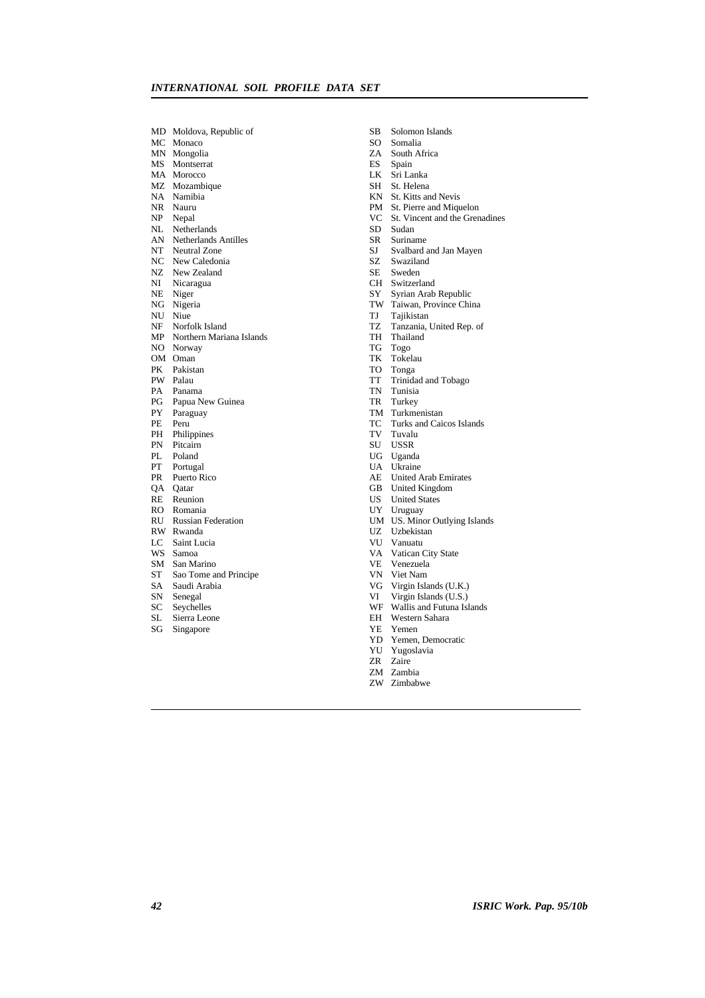| MD                     | Moldova, Republic of                             |
|------------------------|--------------------------------------------------|
| MC                     | Monaco                                           |
| MΝ                     | Mongolia                                         |
| MS                     | Montserrat                                       |
|                        | Morocco                                          |
| MA<br>MZ               | Mozambique                                       |
| NA                     | Namibia                                          |
| NR                     | Nauru                                            |
| NP                     | Nepal                                            |
| NL.                    | Netherlands                                      |
| AN                     | <b>Netherlands Antilles</b>                      |
| $\overline{\text{NT}}$ | <b>Neutral Zone</b>                              |
| NC                     | New Caledonia                                    |
| NZ                     | New Zealand                                      |
| NI                     | Nicaragua                                        |
| NE                     | Niger                                            |
| NG                     | Nigeria                                          |
| NU                     | Niue                                             |
|                        |                                                  |
|                        | NF Norfolk Island<br>MP Northern Mariana Islands |
|                        | NO Norway                                        |
| OM                     | Oman                                             |
| PK                     | Pakistan                                         |
| PW.                    | Palau                                            |
| PA                     | Panama                                           |
| PG                     | Papua New Guinea                                 |
| PY                     | Paraguay                                         |
| PE                     | Peru                                             |
| PH                     | Philippines                                      |
| PN                     | Pitcairn                                         |
| PL                     | Poland                                           |
| PТ                     | Portugal                                         |
| PR                     | Puerto Rico                                      |
| QA                     | Oatar                                            |
| RE                     | Reunion                                          |
| RO                     | Romania                                          |
| RU                     | <b>Russian Federation</b>                        |
| RW                     | Rwanda                                           |
| LC                     | Saint Lucia                                      |
| w <sub>S</sub>         | Samoa                                            |
| SM                     | San Marino                                       |
| ST                     | Sao Tome and Principe                            |
| SA                     | Saudi Arabia                                     |
| SN                     | Senegal                                          |
| SC                     | Seychelles                                       |
| SL                     | Sierra Leone                                     |
| SG                     | Singapore                                        |
|                        |                                                  |

- SB Solomon Islands
- SO Somalia
- ZA South Africa
- ES Spain
- LK Sri Lanka
- SH St. Helena
- KN St. Kitts and Nevis
- PM St. Pierre and Miquelon
- VC St. Vincent and the Grenadines
- SD Sudan
- SR Suriname
- SJ Svalbard and Jan Mayen
- 
- SZ Swaziland<br>SE Sweden Sweden
- CH Switzerland
- SY Syrian Arab Republic
- TW Taiwan, Province China
- TJ Tajikistan
- TZ Tanzania, United Rep. of
- TH Thailand
- TG Togo
- TK Tokelau
- TO Tonga
- TT Trinidad and Tobago
- TN Tunisia
- TR Turkey
- TM Turkmenistan
- TC Turks and Caicos Islands
- TV Tuvalu
- SU USSR
- UG Uganda
- UA Ukraine
- AE United Arab Emirates
- GB United Kingdom
- US United States
- UY Uruguay
- UM US. Minor Outlying Islands
- UZ Uzbekistan
- VU Vanuatu
- VA Vatican City State
- VE Venezuela
- VN Viet Nam
- VG Virgin Islands (U.K.)
- VI Virgin Islands (U.S.)
- WF Wallis and Futuna Islands
- EH Western Sahara
- YE Yemen
- YD Yemen, Democratic
- YU Yugoslavia
- ZR Zaire
- ZM Zambia
- ZW Zimbabwe